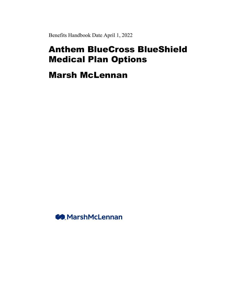Benefits Handbook Date April 1, 2022

# Anthem BlueCross BlueShield Medical Plan Options

Marsh McLennan

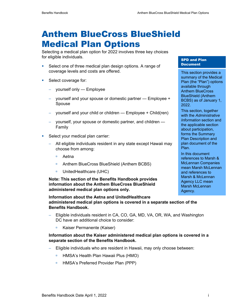# Anthem BlueCross BlueShield Medical Plan Options

Selecting a medical plan option for 2022 involves three key choices for eligible individuals.

- **Select one of three medical plan design options. A range of** coverage levels and costs are offered.
- **Select coverage for:** 
	- − yourself only Employee
	- − yourself and your spouse or domestic partner Employee + Spouse
	- − yourself and your child or children Employee + Child(ren)
	- − yourself, your spouse or domestic partner, and children Family
- **Select your medical plan carrier:** 
	- − All eligible individuals resident in any state except Hawaii may choose from among:
		- Aetna
		- Anthem BlueCross BlueShield (Anthem BCBS)
		- UnitedHealthcare (UHC)

**Note: This section of the Benefits Handbook provides information about the Anthem BlueCross BlueShield administered medical plan options only.** 

**Information about the Aetna and UnitedHealthcare administered medical plan options is covered in a separate section of the Benefits Handbook.** 

- − Eligible individuals resident in CA, CO, GA, MD, VA, OR, WA, and Washington DC have an additional choice to consider:
	- Kaiser Permanente (Kaiser)

#### **Information about the Kaiser administered medical plan options is covered in a separate section of the Benefits Handbook.**

- − Eligible individuals who are resident in Hawaii, may only choose between:
	- HMSA's Health Plan Hawaii Plus (HMO)
	- □ HMSA's Preferred Provider Plan (PPP)

#### SPD and Plan **Document**

This section provides a summary of the Medical Plan (the "Plan") options available through Anthem BlueCross BlueShield (Anthem BCBS) as of January 1, 2022.

This section, together with the *Administrative Information* section and the applicable section about participation, forms the Summary Plan Description and plan document of the Plan.

In this document references to Marsh & McLennan Companies mean Marsh McLennan and references to Marsh & McLennan Agency LLC mean Marsh McLennan Agency.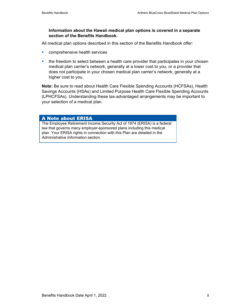#### **Information about the Hawaii medical plan options is covered in a separate section of the Benefits Handbook.**

All medical plan options described in this section of the Benefits Handbook offer:

- **COMPTED SERVICES**
- the freedom to select between a health care provider that participates in your chosen medical plan carrier's network, generally at a lower cost to you, or a provider that does not participate in your chosen medical plan carrier's network, generally at a higher cost to you.

**Note:** Be sure to read about Health Care Flexible Spending Accounts (HCFSAs), Health Savings Accounts (HSAs) and Limited Purpose Health Care Flexible Spending Accounts (LPHCFSAs). Understanding these tax-advantaged arrangements may be important to your selection of a medical plan.

#### A Note about ERISA

The Employee Retirement Income Security Act of 1974 (ERISA) is a federal law that governs many employer-sponsored plans including this medical plan. Your ERISA rights in connection with this Plan are detailed in the *Administrative Information* section.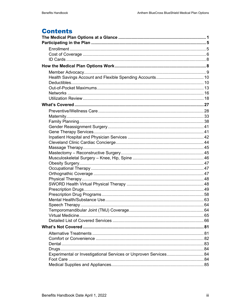# **Contents**

| Experimental or Investigational Services or Unproven Services 84 |  |
|------------------------------------------------------------------|--|
|                                                                  |  |
|                                                                  |  |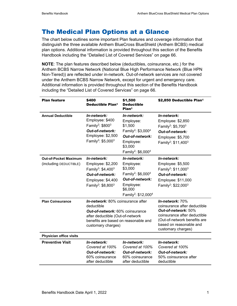# The Medical Plan Options at a Glance

The chart below outlines some important Plan features and coverage information that distinguish the three available Anthem BlueCross BlueShield (Anthem BCBS) medical plan options. Additional information is provided throughout this section of the Benefits Handbook including the "Detailed List of Covered Services" on page 66.

**NOTE**: The plan features described below (deductibles, coinsurance, etc.) for the Anthem BCBS Narrow Network (National Blue High Performance Network (Blue HPN Non-Tiered)) are reflected under in-network. Out-of-network services are not covered under the Anthem BCBS Narrow Network, except for urgent and emergency care. Additional information is provided throughout this section of the Benefits Handbook including the "Detailed List of Covered Services" on page 66.

| <b>Plan feature</b>                                    | \$400<br><b>Deductible Plan1</b>                                                                                                                                                            | \$1,500<br><b>Deductible</b><br>Plan <sup>1</sup>                                                                                                                           | \$2,850 Deductible Plan1                                                                                                                                                                |
|--------------------------------------------------------|---------------------------------------------------------------------------------------------------------------------------------------------------------------------------------------------|-----------------------------------------------------------------------------------------------------------------------------------------------------------------------------|-----------------------------------------------------------------------------------------------------------------------------------------------------------------------------------------|
| <b>Annual Deductible</b>                               | In-network:<br>Employee: \$400<br>Family <sup>2</sup> : \$800 <sup>3</sup><br>Out-of-network:<br>Employee: \$2,500<br>Family <sup>2</sup> : \$5,000 <sup>3</sup>                            | In-network:<br>Employee:<br>\$1,500<br>Family <sup>2</sup> : \$3,000 <sup>4</sup><br>Out-of-network:<br>Employee:<br>\$3,000<br>Family <sup>2</sup> : \$6,000 <sup>4</sup>  | In-network:<br>Employee: \$2,850<br>Family <sup>2</sup> : $$5,700^3$<br>Out-of-network:<br>Employee: \$5,700<br>Family <sup>2</sup> : \$11,400 <sup>3</sup>                             |
| <b>Out-of-Pocket Maximum</b><br>(including DEDUCTIBLE) | In-network:<br>Employee: \$2,200<br>Family <sup>2</sup> : \$4,400 <sup>3</sup><br>Out-of-network:<br>Employee: \$4,400<br>Family <sup>2</sup> : \$8,800 <sup>3</sup>                        | In-network:<br>Employee:<br>\$3,000<br>Family <sup>2</sup> : \$6,000 <sup>4</sup><br>Out-of-network:<br>Employee:<br>\$6,000<br>Family <sup>2</sup> : \$12,000 <sup>4</sup> | In-network:<br>Employee: \$5,500<br>Family <sup>2</sup> : \$11,000 <sup>3</sup><br>Out-of-network:<br>Employee: \$11,000<br>Family <sup>2</sup> : \$22,000 <sup>3</sup>                 |
| <b>Plan Coinsurance</b>                                | <b>In-network:</b> 80% coinsurance after<br>deductible<br>Out-of-network: 60% coinsurance<br>after deductible (Out-of-network<br>benefits are based on reasonable and<br>customary charges) |                                                                                                                                                                             | In-network: 70%<br>coinsurance after deductible<br>Out-of-network: 50%<br>coinsurance after deductible<br>(Out-of-network benefits are<br>based on reasonable and<br>customary charges) |
| <b>Physician office visits</b>                         |                                                                                                                                                                                             |                                                                                                                                                                             |                                                                                                                                                                                         |
| <b>Preventive Visit</b>                                | In-network:<br>Covered at 100%<br><b>Out-of-network:</b><br>60% coinsurance<br>after deductible                                                                                             | In-network:<br>Covered at 100%<br><b>Out-of-network:</b><br>60% coinsurance<br>after deductible                                                                             | In-network:<br>Covered at 100%<br><b>Out-of-network:</b><br>50% coinsurance after<br>deductible                                                                                         |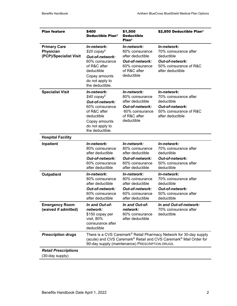| <b>Plan feature</b>                                        | \$400<br><b>Deductible Plan1</b>                                                                                                                                                           | \$1,500<br><b>Deductible</b><br>Plan <sup>1</sup>                                                                             | \$2,850 Deductible Plan1                                                                                                   |  |
|------------------------------------------------------------|--------------------------------------------------------------------------------------------------------------------------------------------------------------------------------------------|-------------------------------------------------------------------------------------------------------------------------------|----------------------------------------------------------------------------------------------------------------------------|--|
| <b>Primary Care</b><br>Physician<br>(PCP)/Specialist Visit | In-network:<br>$$20$ copay <sup>5</sup><br><b>Out-of-network:</b><br>60% coinsurance<br>of R&C after<br>deductible<br>Copay amounts<br>do not apply to<br>the deductible.                  | In-network:<br>80% coinsurance<br>after deductible<br><b>Out-of-network:</b><br>60% coinsurance<br>of R&C after<br>deductible | In-network:<br>70% coinsurance after<br>deductible<br><b>Out-of-network:</b><br>50% coinsurance of R&C<br>after deductible |  |
| <b>Specialist Visit</b>                                    | In-network:<br>$$40$ copay <sup>5</sup><br>Out-of-network:<br>60% coinsurance<br>of R&C after<br>deductible<br>Copay amounts<br>do not apply to<br>the deductible.                         | In-network:<br>80% coinsurance<br>after deductible<br><b>Out-of-network:</b><br>60% coinsurance<br>of R&C after<br>deductible | In-network:<br>70% coinsurance after<br>deductible<br><b>Out-of-network:</b><br>50% coinsurance of R&C<br>after deductible |  |
| <b>Hospital Facility</b>                                   |                                                                                                                                                                                            |                                                                                                                               |                                                                                                                            |  |
| Inpatient                                                  | In-network:<br>80% coinsurance<br>after deductible<br><b>Out-of-network:</b><br>60% coinsurance<br>after deductible                                                                        | In-network:<br>80% coinsurance<br>after deductible<br><b>Out-of-network:</b><br>60% coinsurance<br>after deductible           | In-network:<br>70% coinsurance after<br>deductible<br><b>Out-of-network:</b><br>50% coinsurance after<br>deductible        |  |
| <b>Outpatient</b>                                          | In-network:<br>80% coinsurance<br>after deductible<br><b>Out-of-network:</b><br>60% coinsurance<br>after deductible                                                                        | In-network:<br>80% coinsurance<br>after deductible<br><b>Out-of-network:</b><br>60% coinsurance<br>after deductible           | In-network:<br>70% coinsurance after<br>deductible<br><b>Out-of-network:</b><br>50% coinsurance after<br>deductible        |  |
| <b>Emergency Room</b><br>(waived if admitted)              | In and Out-of-<br>network:<br>\$150 copay per<br>visit, 80%<br>coinsurance after<br>deductible                                                                                             | In and Out-of-<br>network:<br>80% coinsurance<br>after deductible                                                             | In and Out-of-network:<br>70% coinsurance after<br>deductible                                                              |  |
| <b>Prescription drugs</b>                                  | There is a CVS Caremark® Retail Pharmacy Network for 30-day supply<br>(acute) and CVS Caremark® Retail and CVS Caremark® Mail Order for<br>90-day supply (maintenance) PRESCRIPTION DRUGS. |                                                                                                                               |                                                                                                                            |  |
| <b>Retail Prescriptions</b><br>(30-day supply)             |                                                                                                                                                                                            |                                                                                                                               |                                                                                                                            |  |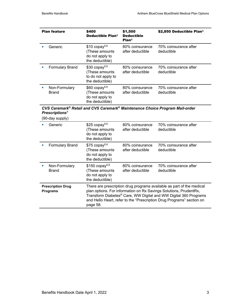|                | <b>Plan feature</b>           | \$400<br>\$1,500<br>Deductible Plan <sup>1</sup><br><b>Deductible</b><br>Plan <sup>1</sup> |                                     | \$2,850 Deductible Plan1            |
|----------------|-------------------------------|--------------------------------------------------------------------------------------------|-------------------------------------|-------------------------------------|
|                | Generic                       | $$10$ copay <sup>5,6</sup><br>(These amounts<br>do not apply to<br>the deductible)         | 80% coinsurance<br>after deductible | 70% coinsurance after<br>deductible |
|                | <b>Formulary Brand</b>        | $$30$ copay <sup>5,6</sup><br>(These amounts<br>to do not apply to<br>the deductible)      | 80% coinsurance<br>after deductible | 70% coinsurance after<br>deductible |
| $\blacksquare$ | Non-Formulary<br><b>Brand</b> | $$60$ copay <sup>5,6</sup><br>(These amounts<br>do not apply to<br>the deductible)         | 80% coinsurance<br>after deductible | 70% coinsurance after<br>deductible |

### *CVS Caremark® Retail and CVS Caremark® Maintenance Choice Program Mail-order Prescriptions7*

(90-day supply)

| Generic                                     | $$25$ copay <sup>5,6</sup><br>(These amounts<br>do not apply to<br>the deductible)                                                                                                                                                                                                                  | 80% coinsurance<br>after deductible | 70% coinsurance after<br>deductible |
|---------------------------------------------|-----------------------------------------------------------------------------------------------------------------------------------------------------------------------------------------------------------------------------------------------------------------------------------------------------|-------------------------------------|-------------------------------------|
| <b>Formulary Brand</b>                      | $$75$ copay <sup>5,6</sup><br>(These amounts)<br>do not apply to<br>the deductible)                                                                                                                                                                                                                 | 80% coinsurance<br>after deductible | 70% coinsurance after<br>deductible |
| Non-Formulary<br>Brand                      | $$150$ copay <sup>5,6</sup><br>(These amounts<br>do not apply to<br>the deductible)                                                                                                                                                                                                                 | 80% coinsurance<br>after deductible | 70% coinsurance after<br>deductible |
| <b>Prescription Drug</b><br><b>Programs</b> | There are prescription drug programs available as part of the medical<br>plan options. For information on Rx Savings Solutions, PrudentRx,<br>Transform Diabetes® Care, WW Digital and WW Digital 360 Programs<br>and Hello Heart, refer to the "Prescription Drug Programs" section on<br>page 58. |                                     |                                     |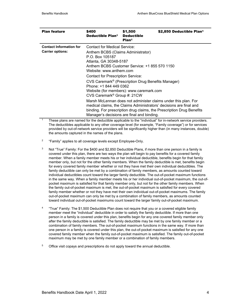| <b>Plan feature</b>                                       | \$400<br>Deductible Plan <sup>1</sup>                                                                                                                                                                                                                                                                                                                                                                              | \$1,500<br><b>Deductible</b><br>Plan <sup>1</sup> | \$2,850 Deductible Plan1                                                                                                                                                                                      |
|-----------------------------------------------------------|--------------------------------------------------------------------------------------------------------------------------------------------------------------------------------------------------------------------------------------------------------------------------------------------------------------------------------------------------------------------------------------------------------------------|---------------------------------------------------|---------------------------------------------------------------------------------------------------------------------------------------------------------------------------------------------------------------|
| <b>Contact Information for</b><br><b>Carrier options:</b> | Contact for Medical Service:<br>Anthem BCBS (Claims Administrator)<br>P.O. Box 105187<br>Atlanta, GA 30348-5187<br>Anthem BCBS Customer Service: +1 855 570 1150<br>Website: www.anthem.com<br>Contact for Prescription Service:<br>CVS Caremark <sup>®</sup> (Prescription Drug Benefits Manager)<br>Phone: +1 844 449 0362<br>Website (for members): www.caremark.com<br>CVS Caremark <sup>®</sup> Group #: 21CW |                                                   |                                                                                                                                                                                                               |
|                                                           | Manager's decisions are final and binding.                                                                                                                                                                                                                                                                                                                                                                         |                                                   | Marsh McLennan does not administer claims under this plan. For<br>medical claims, the Claims Administrators' decisions are final and<br>binding. For prescription drug claims, the Prescription Drug Benefits |

1 These plans are named for the deductible applicable to the "individual" for in-network service providers. The deductibles applicable to any other coverage level (for example, "Family coverage") or for services provided by out-of-network service providers will be significantly higher than (in many instances, double) the amounts captured in the names of the plans.

- <sup>2</sup> "Family" applies to all coverage levels except Employee-Only.
- $3$  Not "True" Family: For the \$400 and \$2,850 Deductible Plans, if more than one person in a family is covered under this plan, there are two ways the plan will begin to pay benefits for a covered family member. When a family member meets his or her individual deductible, benefits begin for that family member only, but not for the other family members. When the family deductible is met, benefits begin for every covered family member whether or not they have met their own individual deductibles. The family deductible can only be met by a combination of family members, as amounts counted toward individual deductibles count toward the larger family deductible. The out-of-pocket maximum functions in the same way. When a family member meets his or her individual out-of-pocket maximum, the out-ofpocket maximum is satisfied for that family member only, but not for the other family members. When the family out-of-pocket maximum is met, the out-of-pocket maximum is satisfied for every covered family member whether or not they have met their own individual out-of-pocket maximums. The family out-of-pocket maximum can only be met by a combination of family members, as amounts counted toward individual out-of-pocket maximums count toward the larger family out-of-pocket maximum.
- 4 "True" Family: The \$1,500 Deductible Plan does not require that you or a covered eligible family member meet the "individual" deductible in order to satisfy the family deductible. If more than one person in a family is covered under this plan, benefits begin for any one covered family member only after the family deductible is satisfied. The family deductible may be met by one family member or a combination of family members. The out-of-pocket maximum functions in the same way. If more than one person in a family is covered under this plan, the out-of-pocket maximum is satisfied for any one covered family member when the family out-of-pocket maximum is satisfied. The family out-of-pocket maximum may be met by one family member or a combination of family members.
- $5$  Office visit copays and prescriptions do not apply toward the annual deductible.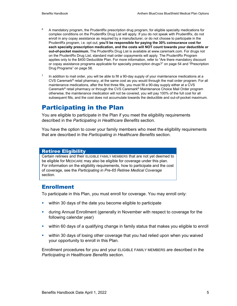- $6$  A mandatory program, the PrudentRx prescription drug program, for eligible specialty medications for complex conditions on the PrudentRx Drug List will apply. If you do not speak with PrudentRx, do not enroll in any copay assistance as required by a manufacturer, or do not choose to participate in the PrudentRx program, i.e. opt out, **you'll be responsible for paying the 30% coinsurance cost for each specialty prescription medication, and the costs will NOT count towards your deductible or out-of-pocket maximum.** The PrudentRx Drug List is available at www.caremark.com. For drugs not on the PrudentRx Drug List, standard mail order copayments will apply. The PrudentRx Program applies only to the \$400 Deductible Plan. For more information, refer to "Are there mandatory discount or copay assistance programs applicable for specialty prescription drugs?" on page 54 and "Prescription Drug Programs" on page 58.
- $7$  In addition to mail order, you will be able to fill a 90-day supply of your maintenance medications at a CVS Caremark® retail pharmacy, at the same cost as you would through the mail order program. For all maintenance medications, after the first three fills, you must fill a 90-day supply either at a CVS Caremark® retail pharmacy or through the CVS Caremark® Maintenance Choice Mail Order program otherwise, the maintenance medication will not be covered, you will pay 100% of the full cost for all subsequent fills, and the cost does not accumulate towards the deductible and out-of-pocket maximum.

# Participating in the Plan

You are eligible to participate in the Plan if you meet the eligibility requirements described in the *Participating in Healthcare Benefits* section.

You have the option to cover your family members who meet the eligibility requirements that are described in the *Participating in Healthcare Benefits* section.

#### Retiree Eligibility

Certain retirees and their ELIGIBLE FAMILY MEMBERS that are not yet deemed to be eligible for MEDICARE may also be eligible for coverage under this plan. For information on the eligibility requirements, how to participate and the cost of coverage, see the *Participating in Pre-65 Retiree Medical Coverage* section.

### Enrollment

To participate in this Plan, you must enroll for coverage. You may enroll only:

- **E** within 30 days of the date you become eligible to participate
- during Annual Enrollment (generally in November with respect to coverage for the following calendar year)
- within 60 days of a qualifying change in family status that makes you eligible to enroll
- within 30 days of losing other coverage that you had relied upon when you waived your opportunity to enroll in this Plan.

Enrollment procedures for you and your ELIGIBLE FAMILY MEMBERS are described in the *Participating in Healthcare Benefits* section.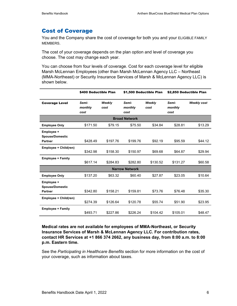### Cost of Coverage

You and the Company share the cost of coverage for both you and your ELIGIBLE FAMILY MEMBERS.

The cost of your coverage depends on the plan option and level of coverage you choose. The cost may change each year.

You can choose from four levels of coverage. Cost for each coverage level for eligible Marsh McLennan Employees (other than Marsh McLennan Agency LLC – Northeast (MMA-Northeast) or Security Insurance Services of Marsh & McLennan Agency LLC) is shown below.

|                                                        | \$400 Deductible Plan<br>\$1,500 Deductible Plan |                |                          | \$2,850 Deductible Plan |                          |                    |
|--------------------------------------------------------|--------------------------------------------------|----------------|--------------------------|-------------------------|--------------------------|--------------------|
| <b>Coverage Level</b>                                  | Semi-<br>monthly<br>cost                         | Weekly<br>cost | Semi-<br>monthly<br>cost | Weekly<br>cost          | Semi-<br>monthly<br>cost | <b>Weekly cost</b> |
|                                                        |                                                  |                | <b>Broad Network</b>     |                         |                          |                    |
| <b>Employee Only</b>                                   | \$171.50                                         | \$79.15        | \$75.50                  | \$34.84                 | \$28.81                  | \$13.29            |
| Employee +<br><b>Spouse/Domestic</b><br><b>Partner</b> | \$428.49                                         | \$197.76       | \$199.76                 | \$92.19                 | \$95.59                  | \$44.12            |
| Employee + Child(ren)                                  | \$342.98                                         | \$158.30       | \$150.97                 | \$69.68                 | \$64.87                  | \$29.94            |
| <b>Employee + Family</b>                               | \$617.14                                         | \$284.83       | \$282.80                 | \$130.52                | \$131.27                 | \$60.58            |
|                                                        |                                                  |                | <b>Narrow Network</b>    |                         |                          |                    |
| <b>Employee Only</b>                                   | \$137.20                                         | \$63.32        | \$60.40                  | \$27.87                 | \$23.05                  | \$10.64            |
| Employee +<br><b>Spouse/Domestic</b><br><b>Partner</b> | \$342.80                                         | \$158.21       | \$159.81                 | \$73.76                 | \$76.48                  | \$35.30            |
| Employee + Child(ren)                                  | \$274.39                                         | \$126.64       | \$120.78                 | \$55.74                 | \$51.90                  | \$23.95            |
| <b>Employee + Family</b>                               | \$493.71                                         | \$227.86       | \$226.24                 | \$104.42                | \$105.01                 | \$48.47            |

**Medical rates are not available for employees of MMA-Northeast, or Security Insurance Services of Marsh & McLennan Agency LLC. For contribution rates, contact HR Services at +1 866 374 2662, any business day, from 8:00 a.m. to 8:00 p.m. Eastern time.** 

See the *Participating in Healthcare Benefits* section for more information on the cost of your coverage, such as information about taxes.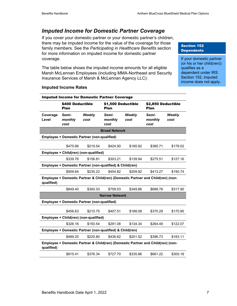### *Imputed Income for Domestic Partner Coverage*

If you cover your domestic partner or your domestic partner's children, there may be imputed income for the value of the coverage for those family members. See the *Participating in Healthcare Benefits* section for more information on imputed income for domestic partner coverage.

The table below shows the imputed income amounts for all eligible Marsh McLennan Employees (including MMA-Northeast and Security Insurance Services of Marsh & McLennan Agency LLC):

#### Section 152 **Dependents**

If your domestic partner (or his or her child(ren)) qualifies as a dependent under IRS Section 152, imputed income does not apply.

| <b>Imputed Income for Domestic Partner Coverage</b>      |                                 |                                                          |                          |                                                                                 |                          |                    |  |
|----------------------------------------------------------|---------------------------------|----------------------------------------------------------|--------------------------|---------------------------------------------------------------------------------|--------------------------|--------------------|--|
|                                                          | \$400 Deductible<br><b>Plan</b> |                                                          | Plan                     | \$1,500 Deductible                                                              |                          | \$2,850 Deductible |  |
| Coverage<br>Level                                        | Semi-<br>monthly<br>cost        | Weekly<br>cost                                           | Semi-<br>monthly<br>cost | Weekly<br>cost                                                                  | Semi-<br>monthly<br>cost | Weekly<br>cost     |  |
|                                                          |                                 |                                                          | <b>Broad Network</b>     |                                                                                 |                          |                    |  |
|                                                          |                                 | Employee + Domestic Partner (non-qualified)              |                          |                                                                                 |                          |                    |  |
|                                                          | \$475.66                        | \$219.54                                                 | \$424.50                 | \$195.92                                                                        | \$385.71                 | \$178.02           |  |
|                                                          |                                 | Employee + Child(ren) (non-qualified)                    |                          |                                                                                 |                          |                    |  |
|                                                          | \$339.76                        | \$156.81                                                 | \$303.21                 | \$139.94                                                                        | \$275.51                 | \$127.16           |  |
|                                                          |                                 | Employee + Domestic Partner (non-qualified) & Child(ren) |                          |                                                                                 |                          |                    |  |
|                                                          | \$509.64                        | \$235.22                                                 | \$454.82                 | \$209.92                                                                        | \$413.27                 | \$190.74           |  |
| qualified)                                               |                                 |                                                          |                          | Employee + Domestic Partner & Child(ren) (Domestic Partner and Child(ren) (non- |                          |                    |  |
|                                                          | \$849.40                        | \$392.03                                                 | \$758.03                 | \$349.86                                                                        | \$688.78                 | \$317.90           |  |
| <b>Narrow Network</b>                                    |                                 |                                                          |                          |                                                                                 |                          |                    |  |
|                                                          |                                 | <b>Employee + Domestic Partner (non-qualified)</b>       |                          |                                                                                 |                          |                    |  |
|                                                          | \$456.63                        | \$210.75                                                 | \$407.51                 | \$188.08                                                                        | \$370.29                 | \$170.90           |  |
|                                                          |                                 | Employee + Child(ren) (non-qualified)                    |                          |                                                                                 |                          |                    |  |
|                                                          | \$326.16                        | \$150.54                                                 | \$291.08                 | \$134.34                                                                        | \$264.49                 | \$122.07           |  |
| Employee + Domestic Partner (non-qualified) & Child(ren) |                                 |                                                          |                          |                                                                                 |                          |                    |  |
|                                                          | \$489.25                        | \$225.80                                                 | \$436.62                 | \$201.52                                                                        | \$396.73                 | \$183.11           |  |
| qualified)                                               |                                 |                                                          |                          | Employee + Domestic Partner & Child(ren) (Domestic Partner and Child(ren) (non- |                          |                    |  |
|                                                          | \$815.41                        | \$376.34                                                 | \$727.70                 | \$335.86                                                                        | \$661.22                 | \$305.18           |  |

#### **Imputed Income Rates**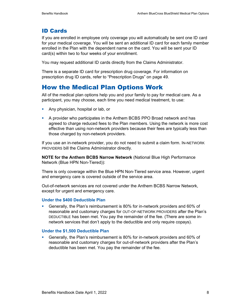## ID Cards

If you are enrolled in employee only coverage you will automatically be sent one ID card for your medical coverage. You will be sent an additional ID card for each family member enrolled in the Plan with the dependent name on the card. You will be sent your ID card(s) within two to four weeks of your enrollment.

You may request additional ID cards directly from the Claims Administrator.

There is a separate ID card for prescription drug coverage. For information on prescription drug ID cards, refer to "Prescription Drugs" on page 49.

# How the Medical Plan Options Work

All of the medical plan options help you and your family to pay for medical care. As a participant, you may choose, each time you need medical treatment, to use:

- **Any physician, hospital or lab, or**
- A provider who participates in the Anthem BCBS PPO Broad network and has agreed to charge reduced fees to the Plan members. Using the network is more cost effective than using non-network providers because their fees are typically less than those charged by non-network providers.

If you use an in-network provider, you do not need to submit a claim form. IN-NETWORK PROVIDERS bill the Claims Administrator directly.

**NOTE for the Anthem BCBS Narrow Network** (National Blue High Performance Network (Blue HPN Non-Tiered)):

There is only coverage within the Blue HPN Non-Tiered service area. However, urgent and emergency care is covered outside of the service area.

Out-of-network services are not covered under the Anthem BCBS Narrow Network, except for urgent and emergency care.

#### **Under the \$400 Deductible Plan**

 Generally, the Plan's reimbursement is 80% for in-network providers and 60% of reasonable and customary charges for OUT-OF-NETWORK PROVIDERS after the Plan's DEDUCTIBLE has been met. You pay the remainder of the fee. (There are some innetwork services that don't apply to the deductible and only require copays).

#### **Under the \$1,500 Deductible Plan**

 Generally, the Plan's reimbursement is 80% for in-network providers and 60% of reasonable and customary charges for out-of-network providers after the Plan's deductible has been met. You pay the remainder of the fee.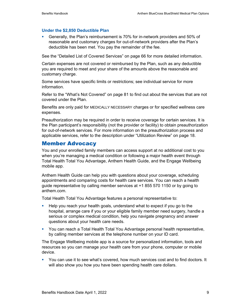#### **Under the \$2,850 Deductible Plan**

 Generally, the Plan's reimbursement is 70% for in-network providers and 50% of reasonable and customary charges for out-of-network providers after the Plan's deductible has been met. You pay the remainder of the fee.

See the "Detailed List of Covered Services" on page 66 for more detailed information.

Certain expenses are not covered or reimbursed by the Plan, such as any deductible you are required to meet and your share of the amounts above the reasonable and customary charge.

Some services have specific limits or restrictions; see individual service for more information.

Refer to the "What's Not Covered" on page 81 to find out about the services that are not covered under the Plan.

Benefits are only paid for MEDICALLY NECESSARY charges or for specified wellness care expenses.

Preauthorization may be required in order to receive coverage for certain services. It is the Plan participant's responsibility (not the provider or facility) to obtain preauthorization for out-of-network services. For more information on the preauthorization process and applicable services, refer to the description under "Utilization Review" on page 18.

### Member Advocacy

You and your enrolled family members can access support at no additional cost to you when you're managing a medical condition or following a major health event through Total Health Total You Advantage, Anthem Health Guide, and the Engage Wellbeing mobile app.

Anthem Health Guide can help you with questions about your coverage, scheduling appointments and comparing costs for health care services. You can reach a health guide representative by calling member services at +1 855 570 1150 or by going to anthem.com.

Total Health Total You Advantage features a personal representative to:

- **Help you reach your health goals, understand what to expect if you go to the** hospital, arrange care if you or your eligible family member need surgery, handle a serious or complex medical condition, help you navigate pregnancy and answer questions about your health care needs.
- You can reach a Total Health Total You Advantage personal health representative, by calling member services at the telephone number on your ID card.

The Engage Wellbeing mobile app is a source for personalized information, tools and resources so you can manage your health care from your phone, computer or mobile device.

 You can use it to see what's covered, how much services cost and to find doctors. It will also show you how you have been spending health care dollars.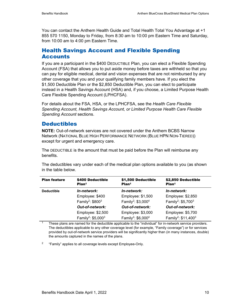You can contact the Anthem Health Guide and Total Health Total You Advantage at +1 855 570 1150, Monday to Friday, from 8:30 am to 10:00 pm Eastern Time and Saturday, from 10:00 am to 4:00 pm Eastern Time.

### Health Savings Account and Flexible Spending **Accounts**

If you are a participant in the \$400 DEDUCTIBLE Plan, you can elect a Flexible Spending Account (FSA) that allows you to put aside money before taxes are withheld so that you can pay for eligible medical, dental and vision expenses that are not reimbursed by any other coverage that you and your qualifying family members have. If you elect the \$1,500 Deductible Plan or the \$2,850 Deductible Plan, you can elect to participate instead in a Health Savings Account (HSA) and, if you choose, a Limited Purpose Health Care Flexible Spending Account (LPHCFSA).

For details about the FSA, HSA, or the LPHCFSA, see the *Health Care Flexible Spending Account, Health Savings Account, or Limited Purpose Health Care Flexible Spending Account* sections.

### **Deductibles**

**NOTE:** Out-of-network services are not covered under the Anthem BCBS Narrow Network (NATIONAL BLUE HIGH PERFORMANCE NETWORK (BLUE HPN NON-TIERED)) except for urgent and emergency care.

The DEDUCTIBLE is the amount that must be paid before the Plan will reimburse any benefits.

The deductibles vary under each of the medical plan options available to you (as shown in the table below.

| <b>Plan feature</b> | \$400 Deductible<br>Plan <sup>1</sup> | \$1,500 Deductible<br>Plan <sup>1</sup>    | \$2,850 Deductible<br>Plan <sup>1</sup>    |
|---------------------|---------------------------------------|--------------------------------------------|--------------------------------------------|
| <b>Deductible</b>   | In-network:                           | In-network:                                | In-network:                                |
|                     | Employee: \$400                       | Employee: \$1,500                          | Employee: \$2,850                          |
|                     | Family <sup>2</sup> : $$800^3$        | Family <sup>2</sup> : \$3,000 <sup>4</sup> | Family <sup>2</sup> : \$5,700 <sup>3</sup> |
|                     | <b>Out-of-network:</b>                | <b>Out-of-network:</b>                     | <b>Out-of-network:</b>                     |
|                     | Employee: \$2,500                     | Employee: \$3,000                          | Employee: \$5,700                          |
|                     | Family <sup>2</sup> : $$5,000^3$      | Family <sup>2</sup> : \$6,000 <sup>4</sup> | Family <sup>2</sup> : $$11,400^3$          |

These plans are named for the deductible applicable to the "individual" for in-network service providers. The deductibles applicable to any other coverage level (for example, "Family coverage") or for services provided by out-of-network service providers will be significantly higher than (in many instances, double) the amounts captured in the names of the plans.

<sup>2</sup> "Family" applies to all coverage levels except Employee-Only.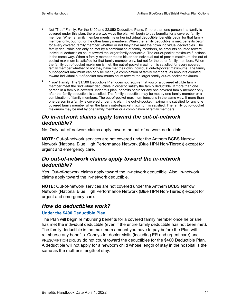- $3$  Not "True" Family: For the \$400 and \$2,850 Deductible Plans, if more than one person in a family is covered under this plan, there are two ways the plan will begin to pay benefits for a covered family member. When a family member meets his or her individual deductible, benefits begin for that family member only, but not for the other family members. When the family deductible is met, benefits begin for every covered family member whether or not they have met their own individual deductibles. The family deductible can only be met by a combination of family members, as amounts counted toward individual deductibles count toward the larger family deductible. The out-of-pocket maximum functions in the same way. When a family member meets his or her individual out-of-pocket maximum, the out-ofpocket maximum is satisfied for that family member only, but not for the other family members. When the family out-of-pocket maximum is met, the out-of-pocket maximum is satisfied for every covered family member whether or not they have met their own individual out-of-pocket maximums. The family out-of-pocket maximum can only be met by a combination of family members, as amounts counted toward individual out-of-pocket maximums count toward the larger family out-of-pocket maximum.
- <sup>4</sup> "True" Family: The \$1,500 Deductible Plan does not require that you or a covered eligible family member meet the "individual" deductible in order to satisfy the family deductible. If more than one person in a family is covered under this plan, benefits begin for any one covered family member only after the family deductible is satisfied. The family deductible may be met by one family member or a combination of family members. The out-of-pocket maximum functions in the same way. If more than one person in a family is covered under this plan, the out-of-pocket maximum is satisfied for any one covered family member when the family out-of-pocket maximum is satisfied. The family out-of-pocket maximum may be met by one family member or a combination of family members.

### *Do in-network claims apply toward the out-of-network deductible?*

No. Only out-of-network claims apply toward the out-of-network deductible.

**NOTE:** Out-of-network services are not covered under the Anthem BCBS Narrow Network (National Blue High Performance Network (Blue HPN Non-Tiered)) except for urgent and emergency care.

### *Do out-of-network claims apply toward the in-network deductible?*

Yes. Out-of-network claims apply toward the in-network deductible. Also, in-network claims apply toward the in-network deductible.

**NOTE:** Out-of-network services are not covered under the Anthem BCBS Narrow Network (National Blue High Performance Network (Blue HPN Non-Tiered)) except for urgent and emergency care.

### *How do deductibles work?*

#### **Under the \$400 Deductible Plan**

The Plan will begin reimbursing benefits for a covered family member once he or she has met the individual deductible (even if the entire family deductible has not been met). The family deductible is the maximum amount you have to pay before the Plan will reimburse any benefits. Copays for doctor visits (including ER and urgent care) and PRESCRIPTION DRUGS do not count toward the deductibles for the \$400 Deductible Plan. A deductible will not apply for a newborn child whose length of stay in the hospital is the same as the mother's length of stay.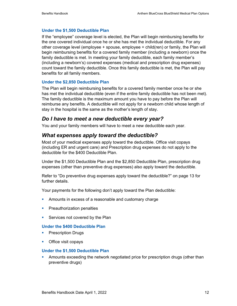#### **Under the \$1,500 Deductible Plan**

If the "employee" coverage level is elected, the Plan will begin reimbursing benefits for the one covered individual once he or she has met the individual deductible. For any other coverage level (employee + spouse, employee + child(ren) or family, the Plan will begin reimbursing benefits for a covered family member (including a newborn) once the family deductible is met. In meeting your family deductible, each family member's (including a newborn's) covered expenses (medical and prescription drug expenses) count toward the family deductible. Once this family deductible is met, the Plan will pay benefits for all family members.

#### **Under the \$2,850 Deductible Plan**

The Plan will begin reimbursing benefits for a covered family member once he or she has met the individual deductible (even if the entire family deductible has not been met). The family deductible is the maximum amount you have to pay before the Plan will reimburse any benefits. A deductible will not apply for a newborn child whose length of stay in the hospital is the same as the mother's length of stay.

### *Do I have to meet a new deductible every year?*

You and your family members will have to meet a new deductible each year.

### *What expenses apply toward the deductible?*

Most of your medical expenses apply toward the deductible. Office visit copays (including ER and urgent care) and Prescription drug expenses do not apply to the deductible for the \$400 Deductible Plan.

Under the \$1,500 Deductible Plan and the \$2,850 Deductible Plan, prescription drug expenses (other than preventive drug expenses) also apply toward the deductible.

Refer to "Do preventive drug expenses apply toward the deductible?" on page 13 for further details.

Your payments for the following don't apply toward the Plan deductible:

- **Amounts in excess of a reasonable and customary charge**
- **Preauthorization penalties**
- **Services not covered by the Plan**

#### **Under the \$400 Deductible Plan**

- **Prescription Drugs**
- **•** Office visit copays

#### **Under the \$1,500 Deductible Plan**

**Amounts exceeding the network negotiated price for prescription drugs (other than** preventive drugs)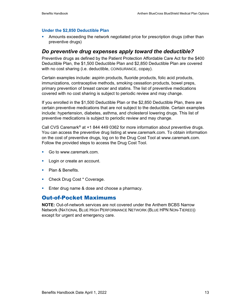#### **Under the \$2,850 Deductible Plan**

**• Amounts exceeding the network negotiated price for prescription drugs (other than** preventive drugs)

### *Do preventive drug expenses apply toward the deductible?*

Preventive drugs as defined by the Patient Protection Affordable Care Act for the \$400 Deductible Plan, the \$1,500 Deductible Plan and \$2,850 Deductible Plan are covered with no cost sharing (i.e. deductible, COINSURANCE, copay).

Certain examples include: aspirin products, fluoride products, folic acid products, immunizations, contraceptive methods, smoking cessation products, bowel preps, primary prevention of breast cancer and statins. The list of preventive medications covered with no cost sharing is subject to periodic review and may change.

If you enrolled in the \$1,500 Deductible Plan or the \$2,850 Deductible Plan, there are certain preventive medications that are not subject to the deductible. Certain examples include: hypertension, diabetes, asthma, and cholesterol lowering drugs. This list of preventive medications is subject to periodic review and may change.

Call CVS Caremark® at +1 844 449 0362 for more information about preventive drugs. You can access the preventive drug listing at www.caremark.com. To obtain information on the cost of preventive drugs, log on to the Drug Cost Tool at www.caremark.com. Follow the provided steps to access the Drug Cost Tool.

- Go to www.caremark.com.
- **Login or create an account.**
- Plan & Benefits.
- Check Drug Cost \* Coverage.
- **Enter drug name & dose and choose a pharmacy.**

### Out-of-Pocket Maximums

**NOTE:** Out-of-network services are not covered under the Anthem BCBS Narrow Network (NATIONAL BLUE HIGH PERFORMANCE NETWORK (BLUE HPN NON-TIERED)) except for urgent and emergency care.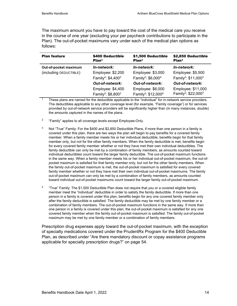The maximum amount you have to pay toward the cost of the medical care you receive in the course of one year (excluding your per paycheck contributions to participate in the Plan). The out-of-pocket maximums vary under each of the medical plan options as follows:

| <b>Plan feature</b>    | \$400 Deductible<br>Plan <sup>1</sup>                           | \$1,500 Deductible<br>Plan <sup>1</sup>                          | \$2,850 Deductible<br>Plan <sup>1</sup>                           |
|------------------------|-----------------------------------------------------------------|------------------------------------------------------------------|-------------------------------------------------------------------|
| Out-of-pocket maximum  | In-network:                                                     | In-network:                                                      | In-network:                                                       |
| (including DEDUCTIBLE) | Employee: \$2,200                                               | Employee: \$3,000                                                | Employee: \$5,500                                                 |
|                        | Family <sup>2</sup> : $$4,400^3$                                | Family <sup>2</sup> : $$6,0004$                                  | Family <sup>2</sup> : \$11,000 <sup>3</sup>                       |
|                        | <b>Out-of-network:</b>                                          | <b>Out-of-network:</b>                                           | <b>Out-of-network:</b>                                            |
|                        | Employee: \$4,400<br>Family <sup>2</sup> : \$8,800 <sup>3</sup> | Employee: \$6,000<br>Family <sup>2</sup> : \$12,000 <sup>4</sup> | Employee: \$11,000<br>Family <sup>2</sup> : \$22,000 <sup>3</sup> |

 $\frac{1}{1}$  These plans are named for the deductible applicable to the "individual" for in-network service providers. The deductibles applicable to any other coverage level (for example, "Family coverage") or for services provided by out-of-network service providers will be significantly higher than (in many instances, double) the amounts captured in the names of the plans.

- <sup>2</sup> "Family" applies to all coverage levels except Employee-Only.
- <sup>3</sup> Not "True" Family: For the \$400 and \$2,850 Deductible Plans, if more than one person in a family is covered under this plan, there are two ways the plan will begin to pay benefits for a covered family member. When a family member meets his or her individual deductible, benefits begin for that family member only, but not for the other family members. When the family deductible is met, benefits begin for every covered family member whether or not they have met their own individual deductibles. The family deductible can only be met by a combination of family members, as amounts counted toward individual deductibles count toward the larger family deductible. The out-of-pocket maximum functions in the same way. When a family member meets his or her individual out-of-pocket maximum, the out-ofpocket maximum is satisfied for that family member only, but not for the other family members. When the family out-of-pocket maximum is met, the out-of-pocket maximum is satisfied for every covered family member whether or not they have met their own individual out-of-pocket maximums. The family out-of-pocket maximum can only be met by a combination of family members, as amounts counted toward individual out-of-pocket maximums count toward the larger family out-of-pocket maximum.
- <sup>4</sup> "True" Family: The \$1,500 Deductible Plan does not require that you or a covered eligible family member meet the "individual" deductible in order to satisfy the family deductible. If more than one person in a family is covered under this plan, benefits begin for any one covered family member only after the family deductible is satisfied. The family deductible may be met by one family member or a combination of family members. The out-of-pocket maximum functions in the same way. If more than one person in a family is covered under this plan, the out-of-pocket maximum is satisfied for any one covered family member when the family out-of-pocket maximum is satisfied. The family out-of-pocket maximum may be met by one family member or a combination of family members.

Prescription drug expenses apply toward the out-of-pocket maximum, with the exception of specialty medications covered under the PrudentRx Program for the \$400 Deductible Plan, as described under "Are there mandatory discount or copay assistance programs applicable for specialty prescription drugs?" on page 54.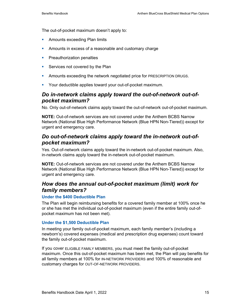The out-of-pocket maximum doesn't apply to:

- **Amounts exceeding Plan limits**
- **Amounts in excess of a reasonable and customary charge**
- **Preauthorization penalties**
- **Services not covered by the Plan**
- **Amounts exceeding the network negotiated price for PRESCRIPTION DRUGS.**
- **Your deductible applies toward your out-of-pocket maximum.**

### *Do in-network claims apply toward the out-of-network out-ofpocket maximum?*

No. Only out-of-network claims apply toward the out-of-network out-of-pocket maximum.

**NOTE:** Out-of-network services are not covered under the Anthem BCBS Narrow Network (National Blue High Performance Network (Blue HPN Non-Tiered)) except for urgent and emergency care.

### *Do out-of-network claims apply toward the in-network out-ofpocket maximum?*

Yes. Out-of-network claims apply toward the in-network out-of-pocket maximum. Also, in-network claims apply toward the in-network out-of-pocket maximum.

**NOTE:** Out-of-network services are not covered under the Anthem BCBS Narrow Network (National Blue High Performance Network (Blue HPN Non-Tiered)) except for urgent and emergency care.

### *How does the annual out-of-pocket maximum (limit) work for family members?*

#### **Under the \$400 Deductible Plan**

The Plan will begin reimbursing benefits for a covered family member at 100% once he or she has met the individual out-of-pocket maximum (even if the entire family out-ofpocket maximum has not been met).

#### **Under the \$1,500 Deductible Plan**

In meeting your family out-of-pocket maximum, each family member's (including a newborn's) covered expenses (medical and prescription drug expenses) count toward the family out-of-pocket maximum.

If you cover ELIGIBLE FAMILY MEMBERS, you must meet the family out-of-pocket maximum. Once this out-of-pocket maximum has been met, the Plan will pay benefits for all family members at 100% for IN-NETWORK PROVIDERS and 100% of reasonable and customary charges for OUT-OF-NETWORK PROVIDERS.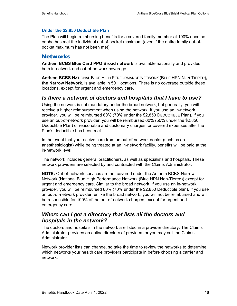#### **Under the \$2,850 Deductible Plan**

The Plan will begin reimbursing benefits for a covered family member at 100% once he or she has met the individual out-of-pocket maximum (even if the entire family out-ofpocket maximum has not been met).

#### **Networks**

**Anthem BCBS Blue Card PPO Broad network** is available nationally and provides both in-network and out-of-network coverage.

**Anthem BCBS** NATIONAL BLUE HIGH PERFORMANCE NETWORK (BLUE HPN NON-TIERED)**, the Narrow Network,** is available in 50+ locations. There is no coverage outside these locations, except for urgent and emergency care.

### *Is there a network of doctors and hospitals that I have to use?*

Using the network is not mandatory under the broad network, but generally, you will receive a higher reimbursement when using the network. If you use an in-network provider, you will be reimbursed 80% (70% under the \$2,850 DEDUCTIBLE Plan). If you use an out-of-network provider, you will be reimbursed 60% (50% under the \$2,850 Deductible Plan) of reasonable and customary charges for covered expenses after the Plan's deductible has been met.

In the event that you receive care from an out-of-network doctor (such as an anesthesiologist) while being treated at an in-network facility, benefits will be paid at the in-network level.

The network includes general practitioners, as well as specialists and hospitals. These network providers are selected by and contracted with the Claims Administrator.

**NOTE:** Out-of-network services are not covered under the Anthem BCBS Narrow Network (National Blue High Performance Network (Blue HPN Non-Tiered)) except for urgent and emergency care. Similar to the broad network, if you use an in-network provider, you will be reimbursed 80% (70% under the \$2,850 Deductible plan). If you use an out-of-network provider, unlike the broad network, you will not be reimbursed and will be responsible for 100% of the out-of-network charges, except for urgent and emergency care.

### *Where can I get a directory that lists all the doctors and hospitals in the network?*

The doctors and hospitals in the network are listed in a provider directory. The Claims Administrator provides an online directory of providers or you may call the Claims **Administrator** 

Network provider lists can change, so take the time to review the networks to determine which networks your health care providers participate in before choosing a carrier and network.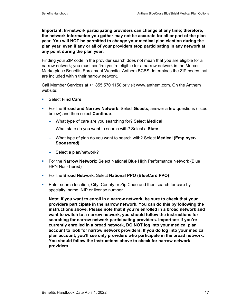**Important: In-network participating providers can change at any time; therefore, the network information you gather may not be accurate for all or part of the plan year. You will NOT be permitted to change your medical plan election during the plan year, even if any or all of your providers stop participating in any network at any point during the plan year.** 

Finding your ZIP code in the provider search does not mean that you are eligible for a narrow network; you must confirm you're eligible for a narrow network in the Mercer Marketplace Benefits Enrollment Website. Anthem BCBS determines the ZIP codes that are included within their narrow network.

Call Member Services at +1 855 570 1150 or visit www.anthem.com. On the Anthem website:

- Select **Find Care**.
- For the **Broad and Narrow Network**: Select **Guests**, answer a few questions (listed below) and then select **Continue**.
	- − What type of care are you searching for? Select **Medical**
	- − What state do you want to search with? Select a **State**
	- − What type of plan do you want to search with? Select **Medical (Employer-Sponsored)**
	- − Select a plan/network?
- For the **Narrow Network**: Select National Blue High Performance Network (Blue HPN Non-Tiered)
- For the **Broad Network**: Select **National PPO (BlueCard PPO)**
- **Enter search location, City, County or Zip Code and then search for care by** specialty, name, NIP or license number.

**Note: If you want to enroll in a narrow network, be sure to check that your providers participate in the narrow network. You can do this by following the instructions above. Please note that if you're enrolled in a broad network and want to switch to a narrow network, you should follow the instructions for searching for narrow network participating providers. Important: If you're currently enrolled in a broad network, DO NOT log into your medical plan account to look for narrow network providers. If you do log into your medical plan account, you'll see only providers who participate in the broad network. You should follow the instructions above to check for narrow network providers.**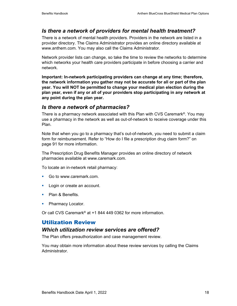### *Is there a network of providers for mental health treatment?*

There is a network of mental health providers. Providers in the network are listed in a provider directory. The Claims Administrator provides an online directory available at www.anthem.com. You may also call the Claims Administrator.

Network provider lists can change, so take the time to review the networks to determine which networks your health care providers participate in before choosing a carrier and network.

**Important: In-network participating providers can change at any time; therefore, the network information you gather may not be accurate for all or part of the plan year. You will NOT be permitted to change your medical plan election during the plan year, even if any or all of your providers stop participating in any network at any point during the plan year.**

### *Is there a network of pharmacies?*

There is a pharmacy network associated with this Plan with CVS Caremark®. You may use a pharmacy in the network as well as out-of-network to receive coverage under this Plan.

Note that when you go to a pharmacy that's out-of-network, you need to submit a claim form for reimbursement. Refer to "How do I file a prescription drug claim form?" on page 91 for more information.

The Prescription Drug Benefits Manager provides an online directory of network pharmacies available at www.caremark.com.

To locate an in-network retail pharmacy:

- Go to www.caremark.com.
- **Login or create an account.**
- Plan & Benefits.
- Pharmacy Locator.

Or call CVS Caremark® at +1 844 449 0362 for more information.

### Utilization Review

#### *Which utilization review services are offered?*

The Plan offers preauthorization and case management review.

You may obtain more information about these review services by calling the Claims Administrator.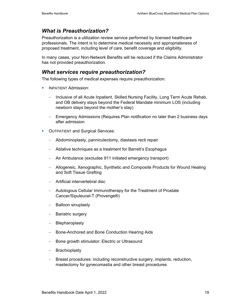### *What is Preauthorization?*

Preauthorization is a utilization review service performed by licensed healthcare professionals. The intent is to determine medical necessity and appropriateness of proposed treatment, including level of care, benefit coverage and eligibility.

In many cases, your Non-Network Benefits will be reduced if the Claims Administrator has not provided preauthorization.

### *What services require preauthorization?*

The following types of medical expenses require preauthorization:

- **INPATIFNT Admission:** 
	- − Inclusive of all Acute Inpatient, Skilled Nursing Facility, Long Term Acute Rehab, and OB delivery stays beyond the Federal Mandate minimum LOS (including newborn stays beyond the mother's stay)
	- − Emergency Admissions (Requires Plan notification no later than 2 business days after admission
- **OUTPATIENT and Surgical Services:** 
	- − Abdominoplasty, panniculectomy, diastasis recti repair
	- − Ablative techniques as a treatment for Barrett's Esophagus
	- − Air Ambulance (excludes 911 initiated emergency transport)
	- − Allogeneic, Xenographic, Synthetic and Composite Products for Wound Healing and Soft Tissue Grafting
	- − Artificial intervertebral disc
	- − Autologous Cellular Immunotherapy for the Treatment of Prostate Cancer/Sipuleucel-T (Provenge®)
	- − Balloon sinuplasty
	- − Bariatric surgery
	- − Blepharoplasty
	- − Bone-Anchored and Bone Conduction Hearing Aids
	- − Bone growth stimulator: Electric or Ultrasound
	- − Brachioplasty
	- − Breast procedures: including reconstructive surgery, implants, reduction, mastectomy for gynecomastia and other breast procedures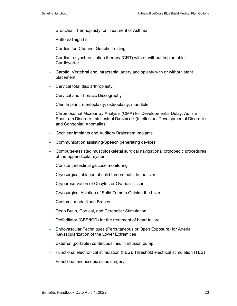- − Bronchial Thermoplasty for Treatment of Asthma
- − Buttock/Thigh Lift
- − Cardiac Ion Channel Genetic Testing
- − Cardiac resynchronization therapy (CRT) with or without Implantable **Cardioverter**
- − Carotid, Vertebral and intracranial artery angioplasty with or without stent placement
- − Cervical total disc arthroplasty
- − Cervical and Thoracic Discography
- − Chin Implant, mentoplasty, osteoplasty, mandible
- − Chromosomal Microarray Analysis (CMA) for Developmental Delay, Autism Spectrum Disorder, Intellectual DISABILITY (Intellectual Developmental Disorder) and Congenital Anomalies
- − Cochlear Implants and Auditory Brainstem Implants
- − Communication assisting/Speech generating devices
- − Computer-assisted musculoskeletal surgical navigational orthopedic procedures of the appendicular system
- − Constant intestinal glucose monitoring
- − Cryosurgical ablation of solid tumors outside the liver
- − Cryopreservation of Oocytes or Ovarian Tissue
- − Cryosurgical Ablation of Solid Tumors Outside the Liver
- − Custom –made Knee Braces
- − Deep Brain, Cortical, and Cerebellar Stimulation
- − Defibrillator (CER/ICD) for the treatment of heart failure
- − Endovascular Techniques (Percutaneous or Open Exposure) for Arterial Revascularization of the Lower Extremities
- − External (portable) continuous insulin infusion pump
- − Functional electronical stimulation (FES); Threshold electrical stimulation (TES)
- − Functional endoscopic sinus surgery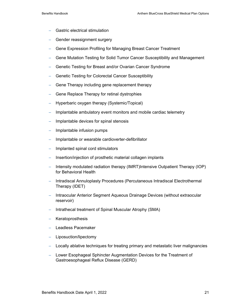- − Gastric electrical stimulation
- − Gender reassignment surgery
- Gene Expression Profiling for Managing Breast Cancer Treatment
- − Gene Mutation Testing for Solid Tumor Cancer Susceptibility and Management
- − Genetic Testing for Breast and/or Ovarian Cancer Syndrome
- − Genetic Testing for Colorectal Cancer Susceptibility
- Gene Therapy including gene replacement therapy
- Gene Replace Therapy for retinal dystrophies
- − Hyperbaric oxygen therapy (Systemic/Topical)
- Implantable ambulatory event monitors and mobile cardiac telemetry
- − Implantable devices for spinal stenosis
- − Implantable infusion pumps
- − Implantable or wearable cardioverter-defibrillator
- − Implanted spinal cord stimulators
- Insertion/injection of prosthetic material collagen implants
- − Intensity modulated radiation therapy (IMRT)Intensive Outpatient Therapy (IOP) for Behavioral Health
- − Intradiscal Annuloplasty Procedures (Percutaneous Intradiscal Electrothermal Therapy (IDET)
- − Intraocular Anterior Segment Aqueous Drainage Devices (without extraocular reservoir)
- − Intrathecal treatment of Spinal Muscular Atrophy (SMA)
- − Keratoprosthesis
- − Leadless Pacemaker
- − Liposuction/lipectomy
- − Locally ablative techniques for treating primary and metastatic liver malignancies
- − Lower Esophageal Sphincter Augmentation Devices for the Treatment of Gastroesophageal Reflux Disease (GERD)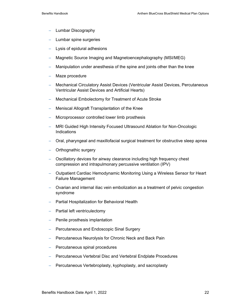- − Lumbar Discography
- − Lumbar spine surgeries
- − Lysis of epidural adhesions
- − Magnetic Source Imaging and Magnetoencephalography (MSI/MEG)
- − Manipulation under anesthesia of the spine and joints other than the knee
- − Maze procedure
- − Mechanical Circulatory Assist Devices (Ventricular Assist Devices, Percutaneous Ventricular Assist Devices and Artificial Hearts)
- − Mechanical Embolectomy for Treatment of Acute Stroke
- − Meniscal Allograft Transplantation of the Knee
- − Microprocessor controlled lower limb prosthesis
- − MRI Guided High Intensity Focused Ultrasound Ablation for Non-Oncologic **Indications**
- − Oral, pharyngeal and maxillofacial surgical treatment for obstructive sleep apnea
- − Orthognathic surgery
- − Oscillatory devices for airway clearance including high frequency chest compression and intrapulmonary percussive ventilation (IPV)
- − Outpatient Cardiac Hemodynamic Monitoring Using a Wireless Sensor for Heart Failure Management
- − Ovarian and internal iliac vein embolization as a treatment of pelvic congestion syndrome
- − Partial Hospitalization for Behavioral Health
- − Partial left ventriculectomy
- − Penile prosthesis implantation
- − Percutaneous and Endoscopic Sinal Surgery
- − Percutaneous Neurolysis for Chronic Neck and Back Pain
- − Percutaneous spinal procedures
- − Percutaneous Vertebral Disc and Vertebral Endplate Procedures
- − Percutaneous Vertebroplasty, kyphoplasty, and sacroplasty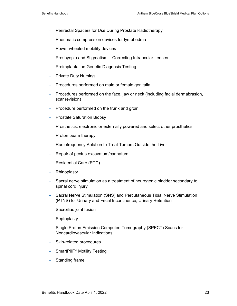- − Perirectal Spacers for Use During Prostate Radiotherapy
- − Pneumatic compression devices for lymphedma
- − Power wheeled mobility devices
- − Presbyopia and Stigmatism Correcting Intraocular Lenses
- − Preimplantation Genetic Diagnosis Testing
- − Private Duty Nursing
- − Procedures performed on male or female genitalia
- − Procedures performed on the face, jaw or neck (including facial dermabrasion, scar revision)
- − Procedure performed on the trunk and groin
- − Prostate Saturation Biopsy
- − Prosthetics: electronic or externally powered and select other prosthetics
- − Proton beam therapy
- − Radiofrequency Ablation to Treat Tumors Outside the Liver
- − Repair of pectus excavatum/carinatum
- − Residential Care (RTC)
- − Rhinoplasty
- − Sacral nerve stimulation as a treatment of neurogenic bladder secondary to spinal cord injury
- − Sacral Nerve Stimulation (SNS) and Percutaneous Tibial Nerve Stimulation (PTNS) for Urinary and Fecal Incontinence; Urinary Retention
- − Sacroiliac joint fusion
- − Septoplasty
- − Single Proton Emission Computed Tomography (SPECT) Scans for Noncardiovascular Indications
- − Skin-related procedures
- − SmartPill™ Motility Testing
- − Standing frame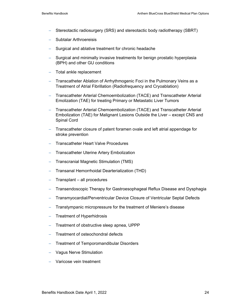- Stereotactic radiosurgery (SRS) and stereotactic body radiotherapy (SBRT)
- − Subtalar Arthroereisis
- Surgical and ablative treatment for chronic headache
- − Surgical and minimally invasive treatments for benign prostatic hyperplasia (BPH) and other GU conditions
- − Total ankle replacement
- − Transcatheter Ablation of Arrhythmogenic Foci in the Pulmonary Veins as a Treatment of Atrial Fibrillation (Radiofrequency and Cryoablation)
- − Transcatheter Arterial Chemoembolization (TACE) and Transcatheter Arterial Emolization (TAE) for treating Primary or Metastatic Liver Tumors
- − Transcatheter Arterial Chemoembolization (TACE) and Transcatheter Arterial Embolization (TAE) for Malignant Lesions Outside the Liver – except CNS and Spinal Cord
- − Transcatheter closure of patent foramen ovale and left atrial appendage for stroke prevention
- − Transcatheter Heart Valve Procedures
- − Transcatheter Uterine Artery Embolization
- − Transcranial Magnetic Stimulation (TMS)
- − Transanal Hemorrhoidal Dearterialization (THD)
- − Transplant all procedures
- − Transendoscopic Therapy for Gastroesophageal Reflux Disease and Dysphagia
- − Transmyocardial/Perventricular Device Closure of Ventricular Septal Defects
- Transtympanic micropressure for the treatment of Meniere's disease
- − Treatment of Hyperhidrosis
- Treatment of obstructive sleep apnea, UPPP
- Treatment of osteochondral defects
- Treatment of Temporomandibular Disorders
- − Vagus Nerve Stimulation
- − Varicose vein treatment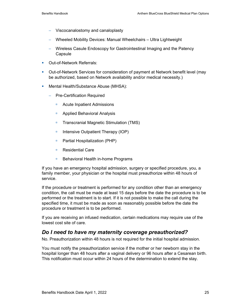- − Viscocanalostomy and canaloplasty
- − Wheeled Mobility Devices: Manual Wheelchairs Ultra Lightweight
- − Wireless Casule Endoscopy for Gastrointestinal Imaging and the Patency **Capsule**
- **Dut-of-Network Referrals:**
- Out-of-Network Services for consideration of payment at Network benefit level (may be authorized, based on Network availability and/or medical necessity.)
- **Mental Health/Substance Abuse (MHSA):** 
	- − Pre-Certification Required
		- **EXECUTE:** Acute Inpatient Admissions
		- **Applied Behavioral Analysis**
		- Transcranial Magnetic Stimulation (TMS)
		- $\blacksquare$  Intensive Outpatient Therapy (IOP)
		- Partial Hospitalization (PHP)
		- Residential Care
		- Behavioral Health in-home Programs

If you have an emergency hospital admission, surgery or specified procedure, you, a family member, your physician or the hospital must preauthorize within 48 hours of service.

If the procedure or treatment is performed for any condition other than an emergency condition, the call must be made at least 15 days before the date the procedure is to be performed or the treatment is to start. If it is not possible to make the call during the specified time, it must be made as soon as reasonably possible before the date the procedure or treatment is to be performed.

If you are receiving an infused medication, certain medications may require use of the lowest cost site of care.

### *Do I need to have my maternity coverage preauthorized?*

No. Preauthorization within 48 hours is not required for the initial hospital admission.

You must notify the preauthorization service if the mother or her newborn stay in the hospital longer than 48 hours after a vaginal delivery or 96 hours after a Cesarean birth. This notification must occur within 24 hours of the determination to extend the stay.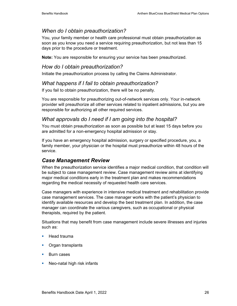### *When do I obtain preauthorization?*

You, your family member or health care professional must obtain preauthorization as soon as you know you need a service requiring preauthorization, but not less than 15 days prior to the procedure or treatment.

**Note:** You are responsible for ensuring your service has been preauthorized.

### *How do I obtain preauthorization?*

Initiate the preauthorization process by calling the Claims Administrator.

### *What happens if I fail to obtain preauthorization?*

If you fail to obtain preauthorization, there will be no penalty.

You are responsible for preauthorizing out-of-network services only. Your in-network provider will preauthorize all other services related to inpatient admissions, but you are responsible for authorizing all other required services.

### *What approvals do I need if I am going into the hospital?*

You must obtain preauthorization as soon as possible but at least 15 days before you are admitted for a non-emergency hospital admission or stay.

If you have an emergency hospital admission, surgery or specified procedure, you, a family member, your physician or the hospital must preauthorize within 48 hours of the service.

### *Case Management Review*

When the preauthorization service identifies a major medical condition, that condition will be subject to case management review. Case management review aims at identifying major medical conditions early in the treatment plan and makes recommendations regarding the medical necessity of requested health care services.

Case managers with experience in intensive medical treatment and rehabilitation provide case management services. The case manager works with the patient's physician to identify available resources and develop the best treatment plan. In addition, the case manager can coordinate the various caregivers, such as occupational or physical therapists, required by the patient.

Situations that may benefit from case management include severe illnesses and injuries such as:

- $H$ ead trauma
- Organ transplants
- Burn cases
- **Neo-natal high risk infants**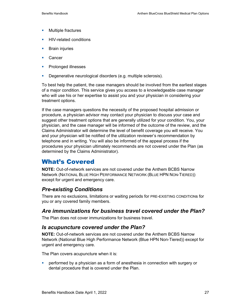- **Multiple fractures**
- **HIV-related conditions**
- **Brain injuries**
- **Cancer**
- **Prolonged illnesses**
- **Degenerative neurological disorders (e.g. multiple sclerosis).**

To best help the patient, the case managers should be involved from the earliest stages of a major condition. This service gives you access to a knowledgeable case manager who will use his or her expertise to assist you and your physician in considering your treatment options.

If the case managers questions the necessity of the proposed hospital admission or procedure, a physician advisor may contact your physician to discuss your case and suggest other treatment options that are generally utilized for your condition. You, your physician, and the case manager will be informed of the outcome of the review, and the Claims Administrator will determine the level of benefit coverage you will receive. You and your physician will be notified of the utilization reviewer's recommendation by telephone and in writing. You will also be informed of the appeal process if the procedures your physician ultimately recommends are not covered under the Plan (as determined by the Claims Administrator).

# What's Covered

**NOTE:** Out-of-network services are not covered under the Anthem BCBS Narrow Network (NATIONAL BLUE HIGH PERFORMANCE NETWORK (BLUE HPN NON-TIERED)) except for urgent and emergency care.

### *Pre-existing Conditions*

There are no exclusions, limitations or waiting periods for PRE-EXISTING CONDITIONs for you or any covered family members.

### *Are immunizations for business travel covered under the Plan?*

The Plan does not cover immunizations for business travel.

### *Is acupuncture covered under the Plan?*

**NOTE:** Out-of-network services are not covered under the Anthem BCBS Narrow Network (National Blue High Performance Network (Blue HPN Non-Tiered)) except for urgent and emergency care.

The Plan covers acupuncture when it is:

 performed by a physician as a form of anesthesia in connection with surgery or dental procedure that is covered under the Plan.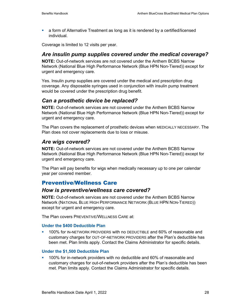a form of Alternative Treatment as long as it is rendered by a certified/licensed individual.

Coverage is limited to 12 visits per year.

### *Are insulin pump supplies covered under the medical coverage?*

**NOTE:** Out-of-network services are not covered under the Anthem BCBS Narrow Network (National Blue High Performance Network (Blue HPN Non-Tiered)) except for urgent and emergency care.

Yes. Insulin pump supplies are covered under the medical and prescription drug coverage. Any disposable syringes used in conjunction with insulin pump treatment would be covered under the prescription drug benefit.

### *Can a prosthetic device be replaced?*

**NOTE:** Out-of-network services are not covered under the Anthem BCBS Narrow Network (National Blue High Performance Network (Blue HPN Non-Tiered)) except for urgent and emergency care.

The Plan covers the replacement of prosthetic devices when MEDICALLY NECESSARY. The Plan does not cover replacements due to loss or misuse.

### *Are wigs covered?*

**NOTE:** Out-of-network services are not covered under the Anthem BCBS Narrow Network (National Blue High Performance Network (Blue HPN Non-Tiered)) except for urgent and emergency care.

The Plan will pay benefits for wigs when medically necessary up to one per calendar year per covered member.

## Preventive/Wellness Care

### *How is preventive/wellness care covered?*

**NOTE:** Out-of-network services are not covered under the Anthem BCBS Narrow Network (NATIONAL BLUE HIGH PERFORMANCE NETWORK (BLUE HPN NON-TIERED)) except for urgent and emergency care.

The Plan covers PREVENTIVE/WELLNESS CARE at:

#### **Under the \$400 Deductible Plan**

 100% for IN-NETWORK PROVIDERS with no DEDUCTIBLE and 60% of reasonable and customary charges for OUT-OF-NETWORK PROVIDERS after the Plan's deductible has been met. Plan limits apply. Contact the Claims Administrator for specific details.

#### **Under the \$1,500 Deductible Plan**

 100% for in-network providers with no deductible and 60% of reasonable and customary charges for out-of-network providers after the Plan's deductible has been met. Plan limits apply. Contact the Claims Administrator for specific details.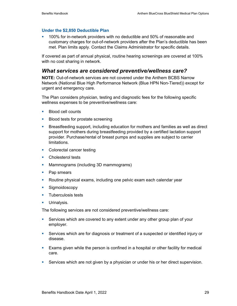#### **Under the \$2,850 Deductible Plan**

 100% for in-network providers with no deductible and 50% of reasonable and customary charges for out-of-network providers after the Plan's deductible has been met. Plan limits apply. Contact the Claims Administrator for specific details.

If covered as part of annual physical, routine hearing screenings are covered at 100% with no cost sharing in network.

#### *What services are considered preventive/wellness care?*

**NOTE:** Out-of-network services are not covered under the Anthem BCBS Narrow Network (National Blue High Performance Network (Blue HPN Non-Tiered)) except for urgent and emergency care.

The Plan considers physician, testing and diagnostic fees for the following specific wellness expenses to be preventive/wellness care:

- **Blood cell counts**
- **Blood tests for prostate screening**
- **Breastfeeding support, including education for mothers and families as well as direct** support for mothers during breastfeeding provided by a certified lactation support provider. Purchase/rental of breast pumps and supplies are subject to carrier limitations.
- Colorectal cancer testing
- **Cholesterol tests**
- **Mammograms (including 3D mammograms)**
- Pap smears
- Routine physical exams, including one pelvic exam each calendar year
- **Sigmoidoscopy**
- **Tuberculosis tests**
- **Urinalysis.**

The following services are not considered preventive/wellness care:

- Services which are covered to any extent under any other group plan of your employer.
- Services which are for diagnosis or treatment of a suspected or identified injury or disease.
- Exams given while the person is confined in a hospital or other facility for medical care.
- Services which are not given by a physician or under his or her direct supervision.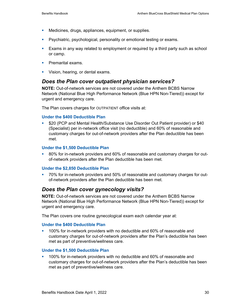- **Medicines, drugs, appliances, equipment, or supplies.**
- **Pasychiatric, psychological, personality or emotional testing or exams.**
- Exams in any way related to employment or required by a third party such as school or camp.
- **Premarital exams.**
- **Vision, hearing, or dental exams.**

### *Does the Plan cover outpatient physician services?*

**NOTE:** Out-of-network services are not covered under the Anthem BCBS Narrow Network (National Blue High Performance Network (Blue HPN Non-Tiered)) except for urgent and emergency care.

The Plan covers charges for OUTPATIENT office visits at:

#### **Under the \$400 Deductible Plan**

 \$20 (PCP and Mental Health/Substance Use Disorder Out Patient provider) or \$40 (Specialist) per in-network office visit (no deductible) and 60% of reasonable and customary charges for out-of-network providers after the Plan deductible has been met.

#### **Under the \$1,500 Deductible Plan**

 80% for in-network providers and 60% of reasonable and customary charges for outof-network providers after the Plan deductible has been met.

#### **Under the \$2,850 Deductible Plan**

 70% for in-network providers and 50% of reasonable and customary charges for outof-network providers after the Plan deductible has been met.

#### *Does the Plan cover gynecology visits?*

**NOTE:** Out-of-network services are not covered under the Anthem BCBS Narrow Network (National Blue High Performance Network (Blue HPN Non-Tiered)) except for urgent and emergency care.

The Plan covers one routine gynecological exam each calendar year at:

#### **Under the \$400 Deductible Plan**

 100% for in-network providers with no deductible and 60% of reasonable and customary charges for out-of-network providers after the Plan's deductible has been met as part of preventive/wellness care.

#### **Under the \$1,500 Deductible Plan**

 100% for in-network providers with no deductible and 60% of reasonable and customary charges for out-of-network providers after the Plan's deductible has been met as part of preventive/wellness care.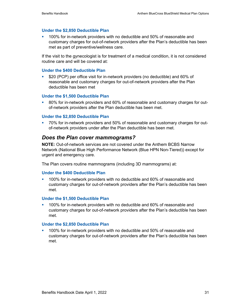#### **Under the \$2,850 Deductible Plan**

**100% for in-network providers with no deductible and 50% of reasonable and** customary charges for out-of-network providers after the Plan's deductible has been met as part of preventive/wellness care.

If the visit to the gynecologist is for treatment of a medical condition, it is not considered routine care and will be covered at:

#### **Under the \$400 Deductible Plan**

 \$20 (PCP) per office visit for in-network providers (no deductible) and 60% of reasonable and customary charges for out-of-network providers after the Plan deductible has been met

#### **Under the \$1,500 Deductible Plan**

 80% for in-network providers and 60% of reasonable and customary charges for outof-network providers after the Plan deductible has been met.

#### **Under the \$2,850 Deductible Plan**

 70% for in-network providers and 50% of reasonable and customary charges for outof-network providers under after the Plan deductible has been met.

#### *Does the Plan cover mammograms?*

**NOTE:** Out-of-network services are not covered under the Anthem BCBS Narrow Network (National Blue High Performance Network (Blue HPN Non-Tiered)) except for urgent and emergency care.

The Plan covers routine mammograms (including 3D mammograms) at:

#### **Under the \$400 Deductible Plan**

 100% for in-network providers with no deductible and 60% of reasonable and customary charges for out-of-network providers after the Plan's deductible has been met.

#### **Under the \$1,500 Deductible Plan**

 100% for in-network providers with no deductible and 60% of reasonable and customary charges for out-of-network providers after the Plan's deductible has been met.

#### **Under the \$2,850 Deductible Plan**

 100% for in-network providers with no deductible and 50% of reasonable and customary charges for out-of-network providers after the Plan's deductible has been met.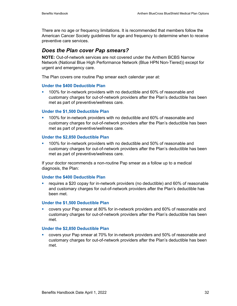There are no age or frequency limitations. It is recommended that members follow the American Cancer Society guidelines for age and frequency to determine when to receive preventive care services.

### *Does the Plan cover Pap smears?*

**NOTE:** Out-of-network services are not covered under the Anthem BCBS Narrow Network (National Blue High Performance Network (Blue HPN Non-Tiered)) except for urgent and emergency care.

The Plan covers one routine Pap smear each calendar year at:

### **Under the \$400 Deductible Plan**

 100% for in-network providers with no deductible and 60% of reasonable and customary charges for out-of-network providers after the Plan's deductible has been met as part of preventive/wellness care.

### **Under the \$1,500 Deductible Plan**

 100% for in-network providers with no deductible and 60% of reasonable and customary charges for out-of-network providers after the Plan's deductible has been met as part of preventive/wellness care.

#### **Under the \$2,850 Deductible Plan**

 100% for in-network providers with no deductible and 50% of reasonable and customary charges for out-of-network providers after the Plan's deductible has been met as part of preventive/wellness care.

If your doctor recommends a non-routine Pap smear as a follow up to a medical diagnosis, the Plan:

#### **Under the \$400 Deductible Plan**

 requires a \$20 copay for in-network providers (no deductible) and 60% of reasonable and customary charges for out-of-network providers after the Plan's deductible has been met.

#### **Under the \$1,500 Deductible Plan**

 covers your Pap smear at 80% for in-network providers and 60% of reasonable and customary charges for out-of-network providers after the Plan's deductible has been met.

#### **Under the \$2,850 Deductible Plan**

 covers your Pap smear at 70% for in-network providers and 50% of reasonable and customary charges for out-of-network providers after the Plan's deductible has been met.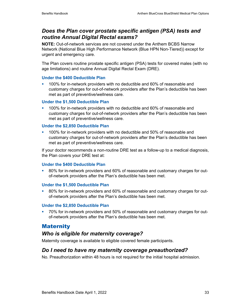# *Does the Plan cover prostate specific antigen (PSA) tests and routine Annual Digital Rectal exams?*

**NOTE:** Out-of-network services are not covered under the Anthem BCBS Narrow Network (National Blue High Performance Network (Blue HPN Non-Tiered)) except for urgent and emergency care.

The Plan covers routine prostate specific antigen (PSA) tests for covered males (with no age limitations) and routine Annual Digital Rectal Exam (DRE).

### **Under the \$400 Deductible Plan**

 100% for in-network providers with no deductible and 60% of reasonable and customary charges for out-of-network providers after the Plan's deductible has been met as part of preventive/wellness care.

### **Under the \$1,500 Deductible Plan**

 100% for in-network providers with no deductible and 60% of reasonable and customary charges for out-of-network providers after the Plan's deductible has been met as part of preventive/wellness care.

### **Under the \$2,850 Deductible Plan**

 100% for in-network providers with no deductible and 50% of reasonable and customary charges for out-of-network providers after the Plan's deductible has been met as part of preventive/wellness care.

If your doctor recommends a non-routine DRE test as a follow-up to a medical diagnosis, the Plan covers your DRE test at:

#### **Under the \$400 Deductible Plan**

 80% for in-network providers and 60% of reasonable and customary charges for outof-network providers after the Plan's deductible has been met.

#### **Under the \$1,500 Deductible Plan**

<sup>80%</sup> for in-network providers and 60% of reasonable and customary charges for outof-network providers after the Plan's deductible has been met.

#### **Under the \$2,850 Deductible Plan**

 70% for in-network providers and 50% of reasonable and customary charges for outof-network providers after the Plan's deductible has been met.

### **Maternity**

# *Who is eligible for maternity coverage?*

Maternity coverage is available to eligible covered female participants.

### *Do I need to have my maternity coverage preauthorized?*

No. Preauthorization within 48 hours is not required for the initial hospital admission.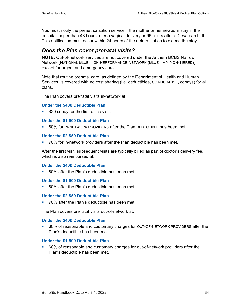You must notify the preauthorization service if the mother or her newborn stay in the hospital longer than 48 hours after a vaginal delivery or 96 hours after a Cesarean birth. This notification must occur within 24 hours of the determination to extend the stay.

## *Does the Plan cover prenatal visits?*

**NOTE:** Out-of-network services are not covered under the Anthem BCBS Narrow Network (NATIONAL BLUE HIGH PERFORMANCE NETWORK (BLUE HPN NON-TIERED)) except for urgent and emergency care.

Note that routine prenatal care, as defined by the Department of Health and Human Services, is covered with no cost sharing (i.e. deductibles, COINSURANCE, copays) for all plans.

The Plan covers prenatal visits in-network at:

#### **Under the \$400 Deductible Plan**

**S20 copay for the first office visit.** 

#### **Under the \$1,500 Deductible Plan**

80% for IN-NETWORK PROVIDERS after the Plan DEDUCTIBLE has been met.

#### **Under the \$2,850 Deductible Plan**

**70% for in-network providers after the Plan deductible has been met.** 

After the first visit, subsequent visits are typically billed as part of doctor's delivery fee, which is also reimbursed at:

#### **Under the \$400 Deductible Plan**

**80%** after the Plan's deductible has been met.

#### **Under the \$1,500 Deductible Plan**

**80% after the Plan's deductible has been met.** 

#### **Under the \$2,850 Deductible Plan**

■ 70% after the Plan's deductible has been met.

The Plan covers prenatal visits out-of-network at:

#### **Under the \$400 Deductible Plan**

 60% of reasonable and customary charges for OUT-OF-NETWORK PROVIDERS after the Plan's deductible has been met.

#### **Under the \$1,500 Deductible Plan**

 60% of reasonable and customary charges for out-of-network providers after the Plan's deductible has been met.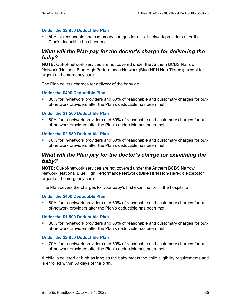#### **Under the \$2,850 Deductible Plan**

 50% of reasonable and customary charges for out-of-network providers after the Plan's deductible has been met.

## *What will the Plan pay for the doctor's charge for delivering the baby?*

**NOTE:** Out-of-network services are not covered under the Anthem BCBS Narrow Network (National Blue High Performance Network (Blue HPN Non-Tiered)) except for urgent and emergency care.

The Plan covers charges for delivery of the baby at:

#### **Under the \$400 Deductible Plan**

 80% for in-network providers and 60% of reasonable and customary charges for outof-network providers after the Plan's deductible has been met.

#### **Under the \$1,500 Deductible Plan**

 80% for in-network providers and 60% of reasonable and customary charges for outof-network providers after the Plan's deductible has been met.

#### **Under the \$2,850 Deductible Plan**

<sup>2</sup> 70% for in-network providers and 50% of reasonable and customary charges for outof-network providers after the Plan's deductible has been met.

### *What will the Plan pay for the doctor's charge for examining the baby?*

**NOTE:** Out-of-network services are not covered under the Anthem BCBS Narrow Network (National Blue High Performance Network (Blue HPN Non-Tiered)) except for urgent and emergency care.

The Plan covers the charges for your baby's first examination in the hospital at:

#### **Under the \$400 Deductible Plan**

 80% for in-network providers and 60% of reasonable and customary charges for outof-network providers after the Plan's deductible has been met.

#### **Under the \$1,500 Deductible Plan**

 80% for in-network providers and 60% of reasonable and customary charges for outof-network providers after the Plan's deductible has been met.

#### **Under the \$2,850 Deductible Plan**

 70% for in-network providers and 50% of reasonable and customary charges for outof-network providers after the Plan's deductible has been met.

A child is covered at birth as long as the baby meets the child eligibility requirements and is enrolled within 60 days of the birth.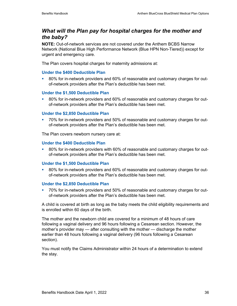# *What will the Plan pay for hospital charges for the mother and the baby?*

**NOTE:** Out-of-network services are not covered under the Anthem BCBS Narrow Network (National Blue High Performance Network (Blue HPN Non-Tiered)) except for urgent and emergency care.

The Plan covers hospital charges for maternity admissions at:

### **Under the \$400 Deductible Plan**

 80% for in-network providers and 60% of reasonable and customary charges for outof-network providers after the Plan's deductible has been met.

### **Under the \$1,500 Deductible Plan**

 80% for in-network providers and 60% of reasonable and customary charges for outof-network providers after the Plan's deductible has been met.

#### **Under the \$2,850 Deductible Plan**

 70% for in-network providers and 50% of reasonable and customary charges for outof-network providers after the Plan's deductible has been met.

The Plan covers newborn nursery care at:

#### **Under the \$400 Deductible Plan**

 80% for in-network providers with 60% of reasonable and customary charges for outof-network providers after the Plan's deductible has been met.

#### **Under the \$1,500 Deductible Plan**

<sup>80%</sup> for in-network providers and 60% of reasonable and customary charges for outof-network providers after the Plan's deductible has been met.

#### **Under the \$2,850 Deductible Plan**

 70% for in-network providers and 50% of reasonable and customary charges for outof-network providers after the Plan's deductible has been met.

A child is covered at birth as long as the baby meets the child eligibility requirements and is enrolled within 60 days of the birth.

The mother and the newborn child are covered for a minimum of 48 hours of care following a vaginal delivery and 96 hours following a Cesarean section. However, the mother's provider may — after consulting with the mother — discharge the mother earlier than 48 hours following a vaginal delivery (96 hours following a Cesarean section).

You must notify the Claims Administrator within 24 hours of a determination to extend the stay.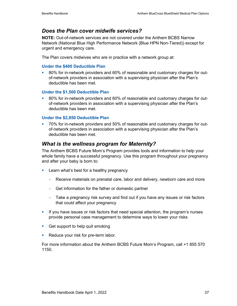### *Does the Plan cover midwife services?*

**NOTE:** Out-of-network services are not covered under the Anthem BCBS Narrow Network (National Blue High Performance Network (Blue HPN Non-Tiered)) except for urgent and emergency care.

The Plan covers midwives who are in practice with a network group at:

#### **Under the \$400 Deductible Plan**

 80% for in-network providers and 60% of reasonable and customary charges for outof-network providers in association with a supervising physician after the Plan's deductible has been met.

#### **Under the \$1,500 Deductible Plan**

 80% for in-network providers and 60% of reasonable and customary charges for outof-network providers in association with a supervising physician after the Plan's deductible has been met.

### **Under the \$2,850 Deductible Plan**

 70% for in-network providers and 50% of reasonable and customary charges for outof-network providers in association with a supervising physician after the Plan's deductible has been met.

### *What is the wellness program for Maternity?*

The Anthem BCBS Future Mom's Program provides tools and information to help your whole family have a successful pregnancy. Use this program throughout your pregnancy and after your baby is born to:

- **Learn what's best for a healthy pregnancy** 
	- − Receive materials on prenatal care, labor and delivery, newborn care and more
	- − Get information for the father or domestic partner
	- − Take a pregnancy risk survey and find out if you have any issues or risk factors that could affect your pregnancy
- If you have issues or risk factors that need special attention, the program's nurses provide personal case management to determine ways to lower your risks
- Get support to help quit smoking
- Reduce your risk for pre-term labor.

For more information about the Anthem BCBS Future Mom's Program, call +1 855 570 1150.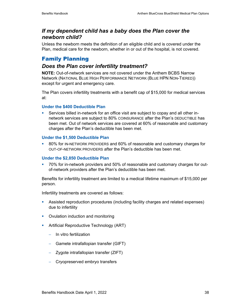## *If my dependent child has a baby does the Plan cover the newborn child?*

Unless the newborn meets the definition of an eligible child and is covered under the Plan, medical care for the newborn, whether in or out of the hospital, is not covered.

# Family Planning

# *Does the Plan cover infertility treatment?*

**NOTE:** Out-of-network services are not covered under the Anthem BCBS Narrow Network (NATIONAL BLUE HIGH PERFORMANCE NETWORK (BLUE HPN NON-TIERED)) except for urgent and emergency care.

The Plan covers infertility treatments with a benefit cap of \$15,000 for medical services at:

### **Under the \$400 Deductible Plan**

 Services billed in-network for an office visit are subject to copay and all other innetwork services are subject to 80% COINSURANCE after the Plan's DEDUCTIBLE has been met. Out of network services are covered at 60% of reasonable and customary charges after the Plan's deductible has been met.

### **Under the \$1,500 Deductible Plan**

 80% for IN-NETWORK PROVIDERS and 60% of reasonable and customary charges for OUT-OF-NETWORK PROVIDERS after the Plan's deductible has been met.

### **Under the \$2,850 Deductible Plan**

 70% for in-network providers and 50% of reasonable and customary charges for outof-network providers after the Plan's deductible has been met.

Benefits for infertility treatment are limited to a medical lifetime maximum of \$15,000 per person.

Infertility treatments are covered as follows:

- Assisted reproduction procedures (including facility charges and related expenses) due to infertility
- Ovulation induction and monitoring
- **Artificial Reproductive Technology (ART)** 
	- − In vitro fertilization
	- − Gamete intrafallopian transfer (GIFT)
	- − Zygote intrafallopian transfer (ZIFT)
	- − Cryopreserved embryo transfers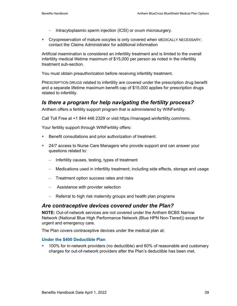- − Intracytoplasmic sperm injection (ICSI) or ovum microsurgery.
- **Cryopreservation of mature oocytes is only covered when MEDICALLY NECESSARY;** contact the Claims Administrator for additional information

Artificial insemination is considered an infertility treatment and is limited to the overall infertility medical lifetime maximum of \$15,000 per person as noted in the infertility treatment sub-section.

You must obtain preauthorization before receiving infertility treatment.

PRESCRIPTION DRUGS related to infertility are covered under the prescription drug benefit and a separate lifetime maximum benefit cap of \$15,000 applies for prescription drugs related to infertility.

### *Is there a program for help navigating the fertility process?*

Anthem offers a fertility support program that is administered by WINFertility.

Call Toll Free at +1 844 446 2329 or visit https://managed.winfertility.com/mmc.

Your fertility support through WINFertility offers:

- **Benefit consultations and prior authorization of treatment.**
- 24/7 access to Nurse Care Managers who provide support and can answer your questions related to:
	- − Infertility causes, testing, types of treatment
	- − Medications used in infertility treatment; including side effects, storage and usage
	- − Treatment option success rates and risks
	- − Assistance with provider selection
	- − Referral to high risk maternity groups and health plan programs

### *Are contraceptive devices covered under the Plan?*

**NOTE:** Out-of-network services are not covered under the Anthem BCBS Narrow Network (National Blue High Performance Network (Blue HPN Non-Tiered)) except for urgent and emergency care.

The Plan covers contraceptive devices under the medical plan at:

#### **Under the \$400 Deductible Plan**

 100% for in-network providers (no deductible) and 60% of reasonable and customary charges for out-of-network providers after the Plan's deductible has been met.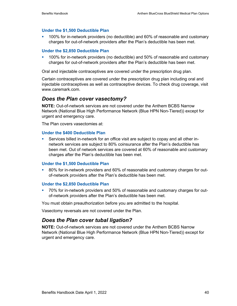#### **Under the \$1,500 Deductible Plan**

 100% for in-network providers (no deductible) and 60% of reasonable and customary charges for out-of-network providers after the Plan's deductible has been met.

#### **Under the \$2,850 Deductible Plan**

 100% for in-network providers (no deductible) and 50% of reasonable and customary charges for out-of-network providers after the Plan's deductible has been met.

Oral and injectable contraceptives are covered under the prescription drug plan.

Certain contraceptives are covered under the prescription drug plan including oral and injectable contraceptives as well as contraceptive devices. To check drug coverage, visit www.caremark.com.

### *Does the Plan cover vasectomy?*

**NOTE:** Out-of-network services are not covered under the Anthem BCBS Narrow Network (National Blue High Performance Network (Blue HPN Non-Tiered)) except for urgent and emergency care.

The Plan covers vasectomies at:

#### **Under the \$400 Deductible Plan**

 Services billed in-network for an office visit are subject to copay and all other innetwork services are subject to 80% coinsurance after the Plan's deductible has been met. Out of network services are covered at 60% of reasonable and customary charges after the Plan's deductible has been met.

#### **Under the \$1,500 Deductible Plan**

 80% for in-network providers and 60% of reasonable and customary charges for outof-network providers after the Plan's deductible has been met.

#### **Under the \$2,850 Deductible Plan**

 70% for in-network providers and 50% of reasonable and customary charges for outof-network providers after the Plan's deductible has been met.

You must obtain preauthorization before you are admitted to the hospital.

Vasectomy reversals are not covered under the Plan.

### *Does the Plan cover tubal ligation?*

**NOTE:** Out-of-network services are not covered under the Anthem BCBS Narrow Network (National Blue High Performance Network (Blue HPN Non-Tiered)) except for urgent and emergency care.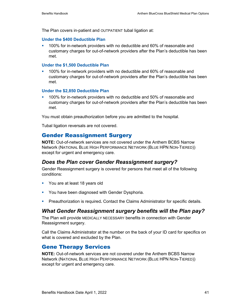The Plan covers in-patient and OUTPATIENT tubal ligation at:

### **Under the \$400 Deductible Plan**

 100% for in-network providers with no deductible and 60% of reasonable and customary charges for out-of-network providers after the Plan's deductible has been met.

### **Under the \$1,500 Deductible Plan**

 100% for in-network providers with no deductible and 60% of reasonable and customary charges for out-of-network providers after the Plan's deductible has been met.

### **Under the \$2,850 Deductible Plan**

 100% for in-network providers with no deductible and 50% of reasonable and customary charges for out-of-network providers after the Plan's deductible has been met.

You must obtain preauthorization before you are admitted to the hospital.

Tubal ligation reversals are not covered.

# Gender Reassignment Surgery

**NOTE:** Out-of-network services are not covered under the Anthem BCBS Narrow Network (NATIONAL BLUE HIGH PERFORMANCE NETWORK (BLUE HPN NON-TIERED)) except for urgent and emergency care.

# *Does the Plan cover Gender Reassignment surgery?*

Gender Reassignment surgery is covered for persons that meet all of the following conditions:

- **•** You are at least 18 years old
- **You have been diagnosed with Gender Dysphoria.**
- Preauthorization is required*.* Contact the Claims Administrator for specific details.

# *What Gender Reassignment surgery benefits will the Plan pay?*

The Plan will provide MEDICALLY NECESSARY benefits in connection with Gender Reassignment surgery.

Call the Claims Administrator at the number on the back of your ID card for specifics on what is covered and excluded by the Plan.

# Gene Therapy Services

**NOTE:** Out-of-network services are not covered under the Anthem BCBS Narrow Network (NATIONAL BLUE HIGH PERFORMANCE NETWORK (BLUE HPN NON-TIERED)) except for urgent and emergency care.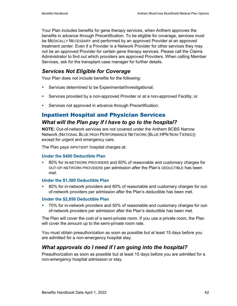Your Plan includes benefits for gene therapy services, when Anthem approves the benefits in advance through Precertification. To be eligible for coverage, services must be MEDICALLY NECESSARY and performed by an approved Provider at an approved treatment center. Even if a Provider is a Network Provider for other services they may not be an approved Provider for certain gene therapy services. Please call the Claims Administrator to find out which providers are approved Providers. When calling Member Services, ask for the transplant case manager for further details.

# *Services Not Eligible for Coverage*

Your Plan does not include benefits for the following:

- **Services determined to be Experimental/Investigational;**
- Services provided by a non-approved Provider or at a non-approved Facility; or
- **Services not approved in advance through Precertification.**

# Inpatient Hospital and Physician Services *What will the Plan pay if I have to go to the hospital?*

**NOTE:** Out-of-network services are not covered under the Anthem BCBS Narrow Network (NATIONAL BLUE HIGH PERFORMANCE NETWORK (BLUE HPN NON-TIERED)) except for urgent and emergency care.

The Plan pays INPATIENT hospital charges at:

#### **Under the \$400 Deductible Plan**

 80% for IN-NETWORK PROVIDERS and 60% of reasonable and customary charges for OUT-OF-NETWORK PROVIDERS per admission after the Plan's DEDUCTIBLE has been met.

#### **Under the \$1,500 Deductible Plan**

 80% for in-network providers and 60% of reasonable and customary charges for outof-network providers per admission after the Plan's deductible has been met.

#### **Under the \$2,850 Deductible Plan**

 70% for in-network providers and 50% of reasonable and customary charges for outof-network providers per admission after the Plan's deductible has been met.

The Plan will cover the cost of a semi-private room. If you use a private room, the Plan will cover the amount up to the semi-private room rate.

You must obtain preauthorization as soon as possible but at least 15 days before you are admitted for a non-emergency hospital stay.

# *What approvals do I need if I am going into the hospital?*

Preauthorization as soon as possible but at least 15 days before you are admitted for a non-emergency hospital admission or stay.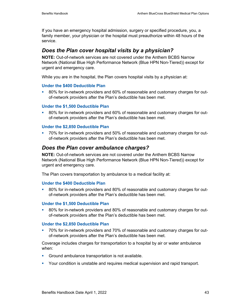If you have an emergency hospital admission, surgery or specified procedure, you, a family member, your physician or the hospital must preauthorize within 48 hours of the service.

### *Does the Plan cover hospital visits by a physician?*

**NOTE:** Out-of-network services are not covered under the Anthem BCBS Narrow Network (National Blue High Performance Network (Blue HPN Non-Tiered)) except for urgent and emergency care.

While you are in the hospital, the Plan covers hospital visits by a physician at:

### **Under the \$400 Deductible Plan**

 80% for in-network providers and 60% of reasonable and customary charges for outof-network providers after the Plan's deductible has been met.

### **Under the \$1,500 Deductible Plan**

<sup>80%</sup> for in-network providers and 60% of reasonable and customary charges for outof-network providers after the Plan's deductible has been met.

#### **Under the \$2,850 Deductible Plan**

 70% for in-network providers and 50% of reasonable and customary charges for outof-network providers after the Plan's deductible has been met.

### *Does the Plan cover ambulance charges?*

**NOTE:** Out-of-network services are not covered under the Anthem BCBS Narrow Network (National Blue High Performance Network (Blue HPN Non-Tiered)) except for urgent and emergency care.

The Plan covers transportation by ambulance to a medical facility at:

#### **Under the \$400 Deductible Plan**

 80% for in-network providers and 80% of reasonable and customary charges for outof-network providers after the Plan's deductible has been met.

#### **Under the \$1,500 Deductible Plan**

 80% for in-network providers and 80% of reasonable and customary charges for outof-network providers after the Plan's deductible has been met.

#### **Under the \$2,850 Deductible Plan**

 70% for in-network providers and 70% of reasonable and customary charges for outof-network providers after the Plan's deductible has been met.

Coverage includes charges for transportation to a hospital by air or water ambulance when:

- Ground ambulance transportation is not available.
- **Your condition is unstable and requires medical supervision and rapid transport.**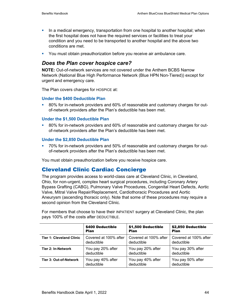- In a medical emergency, transportation from one hospital to another hospital; when the first hospital does not have the required services or facilities to treat your condition and you need to be transported to another hospital and the above two conditions are met.
- You must obtain preauthorization before you receive air ambulance care.

## *Does the Plan cover hospice care?*

**NOTE:** Out-of-network services are not covered under the Anthem BCBS Narrow Network (National Blue High Performance Network (Blue HPN Non-Tiered)) except for urgent and emergency care.

The Plan covers charges for HOSPICE at:

#### **Under the \$400 Deductible Plan**

 80% for in-network providers and 60% of reasonable and customary charges for outof-network providers after the Plan's deductible has been met.

#### **Under the \$1,500 Deductible Plan**

<sup>80%</sup> for in-network providers and 60% of reasonable and customary charges for outof-network providers after the Plan's deductible has been met.

#### **Under the \$2,850 Deductible Plan**

 70% for in-network providers and 50% of reasonable and customary charges for outof-network providers after the Plan's deductible has been met.

You must obtain preauthorization before you receive hospice care.

# Cleveland Clinic Cardiac Concierge

The program provides access to world-class care at Cleveland Clinic, in Cleveland, Ohio, for non-urgent, complex heart surgical procedures, including Coronary Artery Bypass Grafting (CABG), Pulmonary Valve Procedures, Congenital Heart Defects, Aortic Valve, Mitral Valve Repair/Replacement, Cardiothoracic Procedures and Aortic Aneurysm (ascending thoracic only). Note that some of these procedures may require a second opinion from the Cleveland Clinic.

For members that choose to have their INPATIENT surgery at Cleveland Clinic, the plan pays 100% of the costs after DEDUCTIBLE.

|                                 | \$400 Deductible      | \$1,500 Deductible    | \$2,850 Deductible    |
|---------------------------------|-----------------------|-----------------------|-----------------------|
|                                 | Plan                  | <b>Plan</b>           | <b>Plan</b>           |
| <b>Tier 1: Cleveland Clinic</b> | Covered at 100% after | Covered at 100% after | Covered at 100% after |
|                                 | deductible            | deductible            | deductible            |
| Tier 2: In-Network              | You pay 20% after     | You pay 20% after     | You pay 30% after     |
|                                 | deductible            | deductible            | deductible            |
| Tier 3: Out-of-Network          | You pay 40% after     | You pay 40% after     | You pay 50% after     |
|                                 | deductible            | deductible            | deductible            |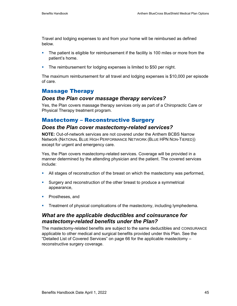Travel and lodging expenses to and from your home will be reimbursed as defined below.

- **The patient is eligible for reimbursement if the facility is 100 miles or more from the** patient's home.
- **The reimbursement for lodging expenses is limited to \$50 per night.**

The maximum reimbursement for all travel and lodging expenses is \$10,000 per episode of care.

# Massage Therapy

### *Does the Plan cover massage therapy services?*

Yes, the Plan covers massage therapy services only as part of a Chiropractic Care or Physical Therapy treatment program.

# Mastectomy – Reconstructive Surgery

### *Does the Plan cover mastectomy-related services?*

**NOTE:** Out-of-network services are not covered under the Anthem BCBS Narrow Network (NATIONAL BLUE HIGH PERFORMANCE NETWORK (BLUE HPN NON-TIERED)) except for urgent and emergency care.

Yes, the Plan covers mastectomy-related services. Coverage will be provided in a manner determined by the attending physician and the patient. The covered services include:

- All stages of reconstruction of the breast on which the mastectomy was performed,
- Surgery and reconstruction of the other breast to produce a symmetrical appearance,
- **Prostheses, and**
- **Treatment of physical complications of the mastectomy, including lymphedema.**

### *What are the applicable deductibles and coinsurance for mastectomy-related benefits under the Plan?*

The mastectomy-related benefits are subject to the same deductibles and COINSURANCE applicable to other medical and surgical benefits provided under this Plan. See the "Detailed List of Covered Services" on page 66 for the applicable mastectomy – reconstructive surgery coverage.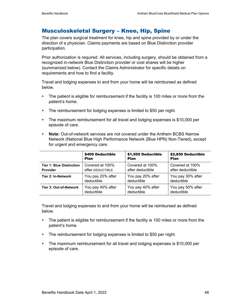## Musculoskeletal Surgery – Knee, Hip, Spine

The plan covers surgical treatment for knee, hip and spine provided by or under the direction of a physician. Claims payments are based on Blue Distinction provider participation.

Prior authorization is required. All services, including surgery, should be obtained from a recognized in-network Blue Distinction provider or cost shares will be higher (summarized below). Contact the Claims Administrator for specific details on requirements and how to find a facility.

Travel and lodging expenses to and from your home will be reimbursed as defined below.

- **The patient is eligible for reimbursement if the facility is 100 miles or more from the** patient's home.
- The reimbursement for lodging expenses is limited to \$50 per night.
- The maximum reimbursement for all travel and lodging expenses is \$10,000 per episode of care.
- **Note:** Out-of-network services are not covered under the Anthem BCBS Narrow Network (National Blue High Performance Network (Blue HPN) Non-Tiered), except for urgent and emergency care.

|                                 | \$400 Deductible  | \$1,500 Deductible | \$2,850 Deductible |
|---------------------------------|-------------------|--------------------|--------------------|
|                                 | <b>Plan</b>       | <b>Plan</b>        | <b>Plan</b>        |
| <b>Tier 1: Blue Distinction</b> | Covered at 100%   | Covered at 100%    | Covered at 100%    |
| <b>Provider</b>                 | after DEDUCTIBLE  | after deductible   | after deductible   |
| Tier 2: In-Network              | You pay 20% after | You pay 20% after  | You pay 30% after  |
|                                 | deductible        | deductible         | deductible         |
| Tier 3: Out-of-Network          | You pay 40% after | You pay 40% after  | You pay 50% after  |
|                                 | deductible        | deductible         | deductible         |

Travel and lodging expenses to and from your home will be reimbursed as defined below.

- **The patient is eligible for reimbursement if the facility is 100 miles or more from the** patient's home.
- The reimbursement for lodging expenses is limited to \$50 per night.
- The maximum reimbursement for all travel and lodging expenses is \$10,000 per episode of care.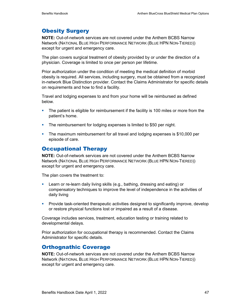# Obesity Surgery

**NOTE:** Out-of-network services are not covered under the Anthem BCBS Narrow Network (NATIONAL BLUE HIGH PERFORMANCE NETWORK (BLUE HPN NON-TIERED)) except for urgent and emergency care.

The plan covers surgical treatment of obesity provided by or under the direction of a physician. Coverage is limited to once per person per lifetime.

Prior authorization under the condition of meeting the medical definition of morbid obesity is required. All services, including surgery, must be obtained from a recognized in-network Blue Distinction provider. Contact the Claims Administrator for specific details on requirements and how to find a facility.

Travel and lodging expenses to and from your home will be reimbursed as defined below.

- **The patient is eligible for reimbursement if the facility is 100 miles or more from the** patient's home.
- **The reimbursement for lodging expenses is limited to \$50 per night.**
- The maximum reimbursement for all travel and lodging expenses is \$10,000 per episode of care.

# Occupational Therapy

**NOTE:** Out-of-network services are not covered under the Anthem BCBS Narrow Network (NATIONAL BLUE HIGH PERFORMANCE NETWORK (BLUE HPN NON-TIERED)) except for urgent and emergency care.

The plan covers the treatment to:

- Learn or re-learn daily living skills (e.g., bathing, dressing and eating) or compensatory techniques to improve the level of independence in the activities of daily living
- **Provide task-oriented therapeutic activities designed to significantly improve, develop** or restore physical functions lost or impaired as a result of a disease.

Coverage includes services, treatment, education testing or training related to developmental delays.

Prior authorization for occupational therapy is recommended. Contact the Claims Administrator for specific details.

# Orthognathic Coverage

**NOTE:** Out-of-network services are not covered under the Anthem BCBS Narrow Network (NATIONAL BLUE HIGH PERFORMANCE NETWORK (BLUE HPN NON-TIERED)) except for urgent and emergency care.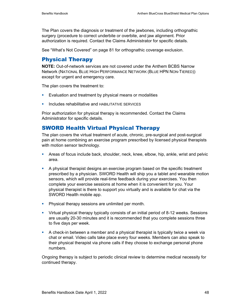The Plan covers the diagnosis or treatment of the jawbones, including orthognathic surgery (procedure to correct underbite or overbite, and jaw alignment. Prior authorization is required. Contact the Claims Administrator for specific details.

See "What's Not Covered" on page 81 for orthognathic coverage exclusion.

# Physical Therapy

**NOTE:** Out-of-network services are not covered under the Anthem BCBS Narrow Network (NATIONAL BLUE HIGH PERFORMANCE NETWORK (BLUE HPN NON-TIERED)) except for urgent and emergency care.

The plan covers the treatment to:

- **Evaluation and treatment by physical means or modalities**
- **Includes rehabilitative and HABILITATIVE SERVICES**

Prior authorization for physical therapy is recommended. Contact the Claims Administrator for specific details.

# SWORD Health Virtual Physical Therapy

The plan covers the virtual treatment of acute, chronic, pre-surgical and post-surgical pain at home combining an exercise program prescribed by licensed physical therapists with motion sensor technology.

- Areas of focus include back, shoulder, neck, knee, elbow, hip, ankle, wrist and pelvic area.
- A physical therapist designs an exercise program based on the specific treatment prescribed by a physician. SWORD Health will ship you a tablet and wearable motion sensors, which will provide real-time feedback during your exercises. You then complete your exercise sessions at home when it is convenient for you. Your physical therapist is there to support you virtually and is available for chat via the SWORD Health mobile app.
- **Physical therapy sessions are unlimited per month.**
- Virtual physical therapy typically consists of an initial period of 8-12 weeks. Sessions are usually 20-30 minutes and it is recommended that you complete sessions three to five days per week.
- A check-in between a member and a physical therapist is typically twice a week via chat or email. Video calls take place every four weeks. Members can also speak to their physical therapist via phone calls if they choose to exchange personal phone numbers.

Ongoing therapy is subject to periodic clinical review to determine medical necessity for continued therapy.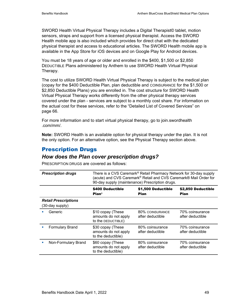SWORD Health Virtual Physical Therapy includes a Digital Therapist© tablet, motion sensors, straps and support from a licensed physical therapist. Access the SWORD Health mobile app is also included which provides for direct chat with the dedicated physical therapist and access to educational articles. The SWORD Health mobile app is available in the App Store for iOS devices and on Google Play for Android devices.

You must be 18 years of age or older and enrolled in the \$400, \$1,500 or \$2,850 DEDUCTIBLE Plans administered by Anthem to use SWORD Health Virtual Physical Therapy.

The cost to utilize SWORD Health Virtual Physical Therapy is subject to the medical plan (copay for the \$400 Deductible Plan, plan deductible and COINSURANCE for the \$1,500 or \$2,850 Deductible Plans) you are enrolled in. The cost structure for SWORD Health Virtual Physical Therapy works differently from the other physical therapy services covered under the plan - services are subject to a monthly cost share. For information on the actual cost for these services, refer to the "Detailed List of Covered Services" on page 66.

For more information and to start virtual physical therapy, go to join.swordhealth .com/mm/.

**Note:** SWORD Health is an available option for physical therapy under the plan. It is not the only option. For an alternative option, see the Physical Therapy section above.

# Prescription Drugs

# *How does the Plan cover prescription drugs?*

| <b>Prescription drugs</b>                      | There is a CVS Caremark <sup>®</sup> Retail Pharmacy Network for 30-day supply<br>(acute) and CVS Caremark® Retail and CVS Caremark® Mail Order for<br>90-day supply (maintenance) Prescription drugs. |                                     |                                     |
|------------------------------------------------|--------------------------------------------------------------------------------------------------------------------------------------------------------------------------------------------------------|-------------------------------------|-------------------------------------|
|                                                | \$400 Deductible<br>Plan <sup>1</sup>                                                                                                                                                                  | \$1,500 Deductible<br>Plan          | \$2,850 Deductible<br>Plan          |
| <b>Retail Prescriptions</b><br>(30-day supply) |                                                                                                                                                                                                        |                                     |                                     |
| Generic                                        | \$10 copay (These<br>amounts do not apply<br>to the DEDUCTIBLE)                                                                                                                                        | 80% COINSURANCE<br>after deductible | 70% coinsurance<br>after deductible |
| <b>Formulary Brand</b>                         | \$30 copay (These<br>amounts do not apply<br>to the deductible)                                                                                                                                        | 80% coinsurance<br>after deductible | 70% coinsurance<br>after deductible |
| Non-Formulary Brand                            | \$60 copay (These<br>amounts do not apply<br>to the deductible)                                                                                                                                        | 80% coinsurance<br>after deductible | 70% coinsurance<br>after deductible |

PRESCRIPTION DRUGS are covered as follows: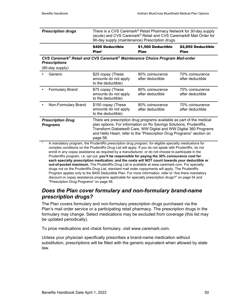| <b>Prescription drugs</b> | There is a CVS Caremark <sup>®</sup> Retail Pharmacy Network for 30-day supply<br>(acute) and CVS Caremark <sup>®</sup> Retail and CVS Caremark® Mail Order for |
|---------------------------|-----------------------------------------------------------------------------------------------------------------------------------------------------------------|
|                           | 90-day supply (maintenance) Prescription drugs.                                                                                                                 |

| \$400 Deductible  | \$1,500 Deductible | \$2,850 Deductible |
|-------------------|--------------------|--------------------|
| Plan <sup>1</sup> | Plan               | Plan               |

*CVS Caremark® Retail and CVS Caremark® Maintenance Choice Program Mail-order Prescriptions* 

(90-day supply)

|   | Generic                                     | \$25 copay (These<br>amounts do not apply<br>to the deductible)  | 80% coinsurance<br>after deductible                                                                                                                                                                                                                                                     | 70% coinsurance<br>after deductible |
|---|---------------------------------------------|------------------------------------------------------------------|-----------------------------------------------------------------------------------------------------------------------------------------------------------------------------------------------------------------------------------------------------------------------------------------|-------------------------------------|
|   | <b>Formulary Brand</b>                      | \$75 copay (These<br>amounts do not apply<br>to the deductible)  | 80% coinsurance<br>after deductible                                                                                                                                                                                                                                                     | 70% coinsurance<br>after deductible |
| ٠ | Non-Formulary Brand                         | \$150 copay (These<br>amounts do not apply<br>to the deductible) | 80% coinsurance<br>after deductible                                                                                                                                                                                                                                                     | 70% coinsurance<br>after deductible |
|   | <b>Prescription Drug</b><br><b>Programs</b> | page 58.                                                         | There are prescription drug programs available as part of the medical<br>plan options. For information on Rx Savings Solutions, PrudentRx,<br>Transform Diabetes® Care, WW Digital and WW Digital 360 Programs<br>and Hello Heart, refer to the "Prescription Drug Programs" section on |                                     |

1 A mandatory program, the PrudentRx prescription drug program, for eligible specialty medications for complex conditions on the PrudentRx Drug List will apply. If you do not speak with PrudentRx, do not enroll in any copay assistance as required by a manufacturer, or do not choose to participate in the PrudentRx program, i.e. opt out, **you'll be responsible for paying the 30% coinsurance cost for each specialty prescription medication, and the costs will NOT count towards your deductible or out-of-pocket maximum.** The PrudentRx Drug List is available at www.caremark.com. For specialty drugs not on the PrudentRx Drug List, standard mail order copayments will apply. The PrudentRx Program applies only to the \$400 Deductible Plan. For more information, refer to "Are there mandatory discount or copay assistance programs applicable for specialty prescription drugs?" on page 54 and "Prescription Drug Programs" on page 58.

# *Does the Plan cover formulary and non-formulary brand-name prescription drugs?*

The Plan covers formulary and non-formulary prescription drugs purchased via the Plan's mail order service or a participating retail pharmacy. The prescription drugs in the formulary may change. Select medications may be excluded from coverage (this list may be updated periodically).

To price medications and check formulary, visit www.caremark.com.

Unless your physician specifically prescribes a brand-name medication without substitution, prescriptions will be filled with the generic equivalent when allowed by state law.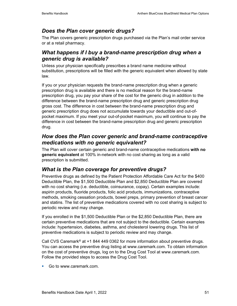# *Does the Plan cover generic drugs?*

The Plan covers generic prescription drugs purchased via the Plan's mail order service or at a retail pharmacy.

# *What happens if I buy a brand-name prescription drug when a generic drug is available?*

Unless your physician specifically prescribes a brand name medicine without substitution, prescriptions will be filled with the generic equivalent when allowed by state law.

If you or your physician requests the brand-name prescription drug when a generic prescription drug is available and there is no medical reason for the brand-name prescription drug, you pay your share of the cost for the generic drug in addition to the difference between the brand-name prescription drug and generic prescription drug gross cost. The difference in cost between the brand-name prescription drug and generic prescription drug does not accumulate towards your deductible and out-ofpocket maximum. If you meet your out-of-pocket maximum, you will continue to pay the difference in cost between the brand-name prescription drug and generic prescription drug.

## *How does the Plan cover generic and brand-name contraceptive medications with no generic equivalent?*

The Plan will cover certain generic and brand-name contraceptive medications **with no generic equivalent** at 100% in-network with no cost sharing as long as a valid prescription is submitted.

# *What is the Plan coverage for preventive drugs?*

Preventive drugs as defined by the Patient Protection Affordable Care Act for the \$400 Deductible Plan, the \$1,500 Deductible Plan and \$2,850 Deductible Plan are covered with no cost sharing (i.e. deductible, coinsurance, copay). Certain examples include: aspirin products, fluoride products, folic acid products, immunizations, contraceptive methods, smoking cessation products, bowel preps, primary prevention of breast cancer and statins. The list of preventive medications covered with no cost sharing is subject to periodic review and may change.

If you enrolled in the \$1,500 Deductible Plan or the \$2,850 Deductible Plan, there are certain preventive medications that are not subject to the deductible. Certain examples include: hypertension, diabetes, asthma, and cholesterol lowering drugs. This list of preventive medications is subject to periodic review and may change.

Call CVS Caremark® at +1 844 449 0362 for more information about preventive drugs. You can access the preventive drug listing at www.caremark.com. To obtain information on the cost of preventive drugs, log on to the Drug Cost Tool at www.caremark.com. Follow the provided steps to access the Drug Cost Tool.

Go to www.caremark.com.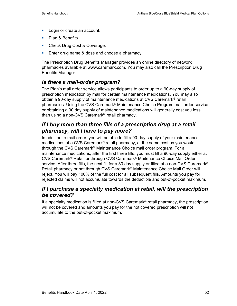- **Login or create an account.**
- Plan & Benefits.
- **Check Drug Cost & Coverage.**
- **Enter drug name & dose and choose a pharmacy.**

The Prescription Drug Benefits Manager provides an online directory of network pharmacies available at www.caremark.com. You may also call the Prescription Drug Benefits Manager.

### *Is there a mail-order program?*

The Plan's mail order service allows participants to order up to a 90-day supply of prescription medication by mail for certain maintenance medications. You may also obtain a 90-day supply of maintenance medications at CVS Caremark® retail pharmacies. Using the CVS Caremark® Maintenance Choice Program mail order service or obtaining a 90 day supply of maintenance medications will generally cost you less than using a non-CVS Caremark® retail pharmacy.

# *If I buy more than three fills of a prescription drug at a retail pharmacy, will I have to pay more?*

In addition to mail order, you will be able to fill a 90-day supply of your maintenance medications at a CVS Caremark® retail pharmacy, at the same cost as you would through the CVS Caremark® Maintenance Choice mail order program. For all maintenance medications, after the first three fills, you must fill a 90-day supply either at CVS Caremark® Retail or through CVS Caremark® Maitenance Choice Mail Order service. After three fills, the next fill for a 30 day supply or filled at a non-CVS Caremark® Retail pharmacy or not through CVS Caremark® Maintenance Choice Mail Order will reject. You will pay 100% of the full cost for all subsequent fills. Amounts you pay for rejected claims will not accumulate towards the deductible and out-of-pocket maximum.

### *If I purchase a specialty medication at retail, will the prescription be covered?*

If a specialty medication is filled at non-CVS Caremark® retail pharmacy, the prescription will not be covered and amounts you pay for the not covered prescription will not accumulate to the out-of-pocket maximum.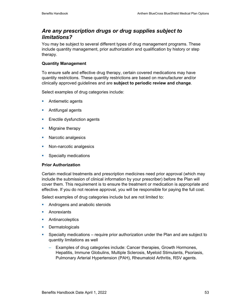## *Are any prescription drugs or drug supplies subject to limitations?*

You may be subject to several different types of drug management programs. These include quantity management, prior authorization and qualification by history or step therapy.

### **Quantity Management**

To ensure safe and effective drug therapy, certain covered medications may have quantity restrictions. These quantity restrictions are based on manufacturer and/or clinically approved guidelines and are **subject to periodic review and change**.

Select examples of drug categories include:

- **Antiemetic agents**
- **Antifungal agents**
- **Exectile dysfunction agents**
- **Migraine therapy**
- **Narcotic analgesics**
- Non-narcotic analgesics
- **Specialty medications**

#### **Prior Authorization**

Certain medical treatments and prescription medicines need prior approval (which may include the submission of clinical information by your prescriber) before the Plan will cover them. This requirement is to ensure the treatment or medication is appropriate and effective. If you do not receive approval, you will be responsible for paying the full cost.

Select examples of drug categories include but are not limited to:

- **Androgens and anabolic steroids**
- **Anorexiants**
- **Antinarcoleptics**
- **Dermatologicals**
- Specialty medications require prior authorization under the Plan and are subject to quantity limitations as well
	- − Examples of drug categories include: Cancer therapies, Growth Hormones, Hepatitis, Immune Globulins, Multiple Sclerosis, Myeloid Stimulants, Psoriasis, Pulmonary Arterial Hypertension (PAH), Rheumatoid Arthritis, RSV agents.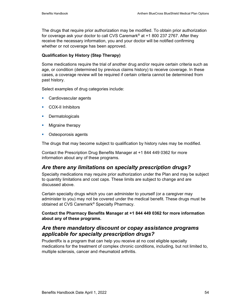The drugs that require prior authorization may be modified. To obtain prior authorization for coverage ask your doctor to call CVS Caremark® at +1 800 237 2767. After they receive the necessary information, you and your doctor will be notified confirming whether or not coverage has been approved.

### **Qualification by History (Step Therapy)**

Some medications require the trial of another drug and/or require certain criteria such as age, or condition (determined by previous claims history) to receive coverage. In these cases, a coverage review will be required if certain criteria cannot be determined from past history.

Select examples of drug categories include:

- **Cardiovascular agents**
- **COX-II Inhibitors**
- **Dermatologicals**
- **Migraine therapy**
- **•** Osteoporosis agents

The drugs that may become subject to qualification by history rules may be modified.

Contact the Prescription Drug Benefits Manager at +1 844 449 0362 for more information about any of these programs.

# *Are there any limitations on specialty prescription drugs?*

Specialty medications may require prior authorization under the Plan and may be subject to quantity limitations and cost caps. These limits are subject to change and are discussed above.

Certain specialty drugs which you can administer to yourself (or a caregiver may administer to you) may not be covered under the medical benefit. These drugs must be obtained at CVS Caremark® Specialty Pharmacy.

### **Contact the Pharmacy Benefits Manager at +1 844 449 0362 for more information about any of these programs.**

### *Are there mandatory discount or copay assistance programs applicable for specialty prescription drugs?*

PrudentRx is a program that can help you receive at no cost eligible specialty medications for the treatment of complex chronic conditions, including, but not limited to, multiple sclerosis, cancer and rheumatoid arthritis.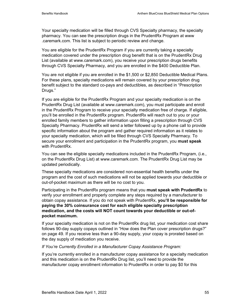Your specialty medication will be filled through CVS Specialty pharmacy, the specialty pharmacy. You can see the prescription drugs in the PrudentRx Program at www .caremark.com. This list is subject to periodic review and change.

You are eligible for the PrudentRx Program if you are currently taking a specialty medication covered under the prescription drug benefit that is on the PrudentRx Drug List (available at www.caremark.com), you receive your prescription drugs benefits through CVS Specialty Pharmacy, and you are enrolled in the \$400 Deductible Plan.

You are not eligible if you are enrolled in the \$1,500 or \$2,850 Deductible Medical Plans. For these plans, specialty medications will remain covered by your prescription drug benefit subject to the standard co-pays and deductibles, as described in "Prescription Drugs."

If you are eligible for the PrudentRx Program and your specialty medication is on the PrudentRx Drug List (available at www.caremark.com), you must participate and enroll in the PrudentRx Program to receive your specialty medication free of charge. If eligible, you'll be enrolled in the PrudentRx program. PrudentRx will reach out to you or your enrolled family members to gather information upon filling a prescription through CVS Specialty Pharmacy. PrudentRx will send a letter followed up by a phone call to provide specific information about the program and gather required information as it relates to your specialty medication, which will be filled through CVS Specialty Pharmacy. To secure your enrollment and participation in the PrudentRx program, you **must speak** with PrudentRx.

You can see the eligible specialty medications included in the PrudentRx Program, (i.e., on the PrudentRx Drug List) at www.caremark.com. The PrudentRx Drug List may be updated periodically.

These specialty medications are considered non-essential health benefits under the program and the cost of such medications will not be applied towards your deductible or out-of-pocket maximum as there will be no cost to you.

Participating in the PrudentRx program means that you **must speak with PrudentRx** to verify your enrollment and properly complete any steps required by a manufacturer to obtain copay assistance. If you do not speak with PrudentRx, **you'll be responsible for paying the 30% coinsurance cost for each eligible specialty prescription medication, and the costs will NOT count towards your deductible or out-ofpocket maximum.** 

If your specialty medication is not on the PrudentRx drug list, your medication cost share follows 90-day supply copays outlined in "How does the Plan cover prescription drugs?" on page 49. If you receive less than a 90-day supply, your copay is prorated based on the day supply of medication you receive.

#### *If You're Currently Enrolled in a Manufacturer Copay Assistance Program:*

If you're currently enrolled in a manufacturer copay assistance for a specialty medication and this medication is on the PrudentRx Drug list, you'll need to provide the manufacturer copay enrollment information to PrudentRx in order to pay \$0 for this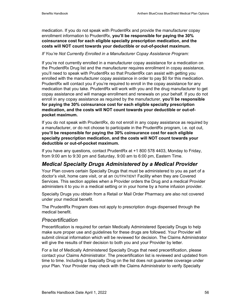medication. If you do not speak with PrudentRx and provide the manufacturer copay enrollment information to PrudentRx, **you'll be responsible for paying the 30% coinsurance cost for each eligible specialty prescription medication, and the costs will NOT count towards your deductible or out-of-pocket maximum.** 

*If You're Not Currently Enrolled in a Manufacturer Copay Assistance Program:* 

If you're not currently enrolled in a manufacturer copay assistance for a medication on the PrudentRx Drug list and the manufacturer requires enrollment in copay assistance, you'll need to speak with PrudentRx so that PrudentRx can assist with getting you enrolled with the manufacturer copay assistance in order to pay \$0 for this medication. PrudentRx will contact you if you're required to enroll in the copay assistance for any medication that you take. PrudentRx will work with you and the drug manufacturer to get copay assistance and will manage enrollment and renewals on your behalf. If you do not enroll in any copay assistance as required by the manufacturer, **you'll be responsible for paying the 30% coinsurance cost for each eligible specialty prescription medication, and the costs will NOT count towards your deductible or out-ofpocket maximum.** 

If you do not speak with PrudentRx, do not enroll in any copay assistance as required by a manufacturer, or do not choose to participate in the PrudentRx program, i.e. opt out, **you'll be responsible for paying the 30% coinsurance cost for each eligible specialty prescription medication, and the costs will NOT count towards your deductible or out-of-pocket maximum.**

If you have any questions, contact PrudentRx at +1 800 578 4403, Monday to Friday, from 9:00 am to 9:30 pm and Saturday, 9:00 am to 6:00 pm, Eastern Time.

# *Medical Specialty Drugs Administered by a Medical Provider*

Your Plan covers certain Specialty Drugs that must be administered to you as part of a doctor's visit, home care visit, or at an OUTPATIENT Facility when they are Covered Services. This section applies when a Provider orders the Drug and a medical Provider administers it to you in a medical setting or in your home by a home infusion provider.

Specialty Drugs you obtain from a Retail or Mail Order Pharmacy are also not covered under your medical benefit.

The PrudentRx Program does not apply to prescription drugs dispensed through the medical benefit.

### *Precertification*

Precertification is required for certain Medically Administered Specialty Drugs to help make sure proper use and guidelines for these drugs are followed. Your Provider will submit clinical information which will be reviewed for decision. The Claims Administrator will give the results of their decision to both you and your Provider by letter.

For a list of Medically Administered Specialty Drugs that need precertification, please contact your Claims Administrator. The precertification list is reviewed and updated from time to time. Including a Specialty Drug on the list does not guarantee coverage under your Plan. Your Provider may check with the Claims Administrator to verify Specialty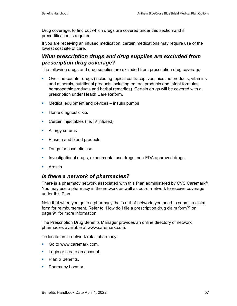Drug coverage, to find out which drugs are covered under this section and if precertification is required.

If you are receiving an infused medication, certain medications may require use of the lowest cost site of care.

### *What prescription drugs and drug supplies are excluded from prescription drug coverage?*

The following drugs and drug supplies are excluded from prescription drug coverage:

- Over-the-counter drugs (including topical contraceptives, nicotine products, vitamins and minerals, nutritional products including enteral products and infant formulas, homeopathic products and herbal remedies). Certain drugs will be covered with a prescription under Health Care Reform.
- **Medical equipment and devices insulin pumps**
- **Home diagnostic kits**
- **Certain injectables (i.e. IV infused)**
- **Allergy serums**
- Plasma and blood products
- **Drugs for cosmetic use**
- **Investigational drugs, experimental use drugs, non-FDA approved drugs.**
- **Arestin**

### *Is there a network of pharmacies?*

There is a pharmacy network associated with this Plan administered by CVS Caremark®. You may use a pharmacy in the network as well as out-of-network to receive coverage under this Plan.

Note that when you go to a pharmacy that's out-of-network, you need to submit a claim form for reimbursement. Refer to "How do I file a prescription drug claim form?" on page 91 for more information.

The Prescription Drug Benefits Manager provides an online directory of network pharmacies available at www.caremark.com.

To locate an in-network retail pharmacy:

- Go to www.caremark.com.
- **Login or create an account.**
- Plan & Benefits.
- Pharmacy Locator.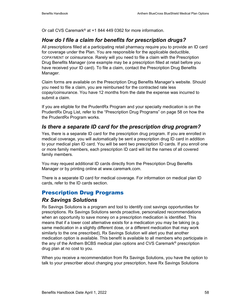Or call CVS Caremark® at +1 844 449 0362 for more information.

# *How do I file a claim for benefits for prescription drugs?*

All prescriptions filled at a participating retail pharmacy require you to provide an ID card for coverage under the Plan. You are responsible for the applicable deductible, COPAYMENT or coinsurance. Rarely will you need to file a claim with the Prescription Drug Benefits Manager (one example may be a prescription filled at retail before you have received your ID card). To file a claim, contact the Prescription Drug Benefits Manager.

Claim forms are available on the Prescription Drug Benefits Manager's website. Should you need to file a claim, you are reimbursed for the contracted rate less copay/coinsurance. You have 12 months from the date the expense was incurred to submit a claim.

If you are eligible for the PrudentRx Program and your specialty medication is on the PrudentRx Drug List, refer to the "Prescription Drug Programs" on page 58 on how the the PrudentRx Program works.

# *Is there a separate ID card for the prescription drug program?*

Yes, there is a separate ID card for the prescription drug program. If you are enrolled in medical coverage, you will automatically be sent a prescription drug ID card in addition to your medical plan ID card. You will be sent two prescription ID cards. If you enroll one or more family members, each prescription ID card will list the names of all covered family members.

You may request additional ID cards directly from the Prescription Drug Benefits Manager or by printing online at www.caremark.com.

There is a separate ID card for medical coverage. For information on medical plan ID cards, refer to the ID cards section.

# Prescription Drug Programs

# *Rx Savings Solutions*

Rx Savings Solutions is a program and tool to identify cost savings opportunities for prescriptions. Rx Savings Solutions sends proactive, personalized recommendations when an opportunity to save money on a prescription medication is identified. This means that if a lower cost alternative exists for a medication you may be taking (e.g. same medication in a slightly different dose, or a different medication that may work similarly to the one prescribed), Rx Savings Solution will alert you that another medication option is available. This benefit is available to all members who participate in the any of the Anthem BCBS medical plan options and CVS Caremark® prescription drug plan at no cost to you.

When you receive a recommendation from Rx Savings Solutions, you have the option to talk to your prescriber about changing your prescription, have Rx Savings Solutions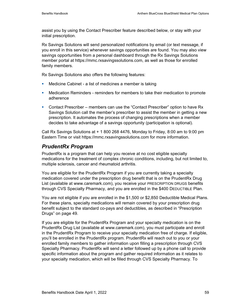assist you by using the Contact Prescriber feature described below, or stay with your initial prescription.

Rx Savings Solutions will send personalized notifications by email (or text message, if you enroll in this service) whenever savings opportunities are found. You may also view savings opportunities from a personal dashboard through the Rx Savings Solutions member portal at https://mmc.rxsavingssolutions.com, as well as those for enrolled family members.

Rx Savings Solutions also offers the following features:

- Medicine Cabinet a list of medicines a member is taking
- Medication Reminders reminders for members to take their medication to promote adherence
- Contact Prescriber members can use the "Contact Prescriber" option to have Rx Savings Solution call the member's prescriber to assist the member in getting a new prescription. It automates the process of changing prescriptions when a member decides to take advantage of a savings opportunity (participation is optional).

Call Rx Savings Solutions at + 1 800 268 4476, Monday to Friday, 8:00 am to 9:00 pm Eastern Time or visit https://mmc.rxsavingssolutions.com for more information.

# *PrudentRx Program*

PrudentRx is a program that can help you receive at no cost eligible specialty medications for the treatment of complex chronic conditions, including, but not limited to, multiple sclerosis, cancer and rheumatoid arthritis.

You are eligible for the PrudentRx Program if you are currently taking a specialty medication covered under the prescription drug benefit that is on the PrudentRx Drug List (available at www.caremark.com), you receive your PRESCRIPTION DRUGS benefits through CVS Specialty Pharmacy, and you are enrolled in the \$400 DEDUCTIBLE Plan.

You are not eligible if you are enrolled in the \$1,500 or \$2,850 Deductible Medical Plans. For these plans, specialty medications will remain covered by your prescription drug benefit subject to the standard co-pays and deductibles, as described in "Prescription Drugs" on page 49.

If you are eligible for the PrudentRx Program and your specialty medication is on the PrudentRx Drug List (available at www.caremark.com), you must participate and enroll in the PrudentRx Program to receive your specialty medication free of charge. If eligible, you'll be enrolled in the PrudentRx program. PrudentRx will reach out to you or your enrolled family members to gather information upon filling a prescription through CVS Specialty Pharmacy. PrudentRx will send a letter followed up by a phone call to provide specific information about the program and gather required information as it relates to your specialty medication, which will be filled through CVS Specialty Pharmacy. To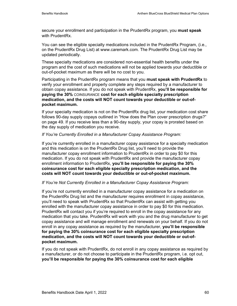secure your enrollment and participation in the PrudentRx program, you **must speak** with PrudentRx.

You can see the eligible specialty medications included in the PrudentRx Program, (i.e., on the PrudentRx Drug List) at www.caremark.com. The PrudentRx Drug List may be updated periodically.

These specialty medications are considered non-essential health benefits under the program and the cost of such medications will not be applied towards your deductible or out-of-pocket maximum as there will be no cost to you.

Participating in the PrudentRx program means that you **must speak with PrudentRx** to verify your enrollment and properly complete any steps required by a manufacturer to obtain copay assistance. If you do not speak with PrudentRx, **you'll be responsible for paying the 30%** COINSURANCE **cost for each eligible specialty prescription medication, and the costs will NOT count towards your deductible or out-ofpocket maximum.** 

If your specialty medication is not on the PrudentRx drug list, your medication cost share follows 90-day supply copays outlined in "How does the Plan cover prescription drugs?" on page 49. If you receive less than a 90-day supply, your copay is prorated based on the day supply of medication you receive.

### *If You're Currently Enrolled in a Manufacturer Copay Assistance Program:*

If you're currently enrolled in a manufacturer copay assistance for a specialty medication and this medication is on the PrudentRx Drug list, you'll need to provide the manufacturer copay enrollment information to PrudentRx in order to pay \$0 for this medication. If you do not speak with PrudentRx and provide the manufacturer copay enrollment information to PrudentRx, **you'll be responsible for paying the 30% coinsurance cost for each eligible specialty prescription medication, and the costs will NOT count towards your deductible or out-of-pocket maximum.** 

#### *If You're Not Currently Enrolled in a Manufacturer Copay Assistance Program:*

If you're not currently enrolled in a manufacturer copay assistance for a medication on the PrudentRx Drug list and the manufacturer requires enrollment in copay assistance, you'll need to speak with PrudentRx so that PrudentRx can assist with getting you enrolled with the manufacturer copay assistance in order to pay \$0 for this medication. PrudentRx will contact you if you're required to enroll in the copay assistance for any medication that you take. PrudentRx will work with you and the drug manufacturer to get copay assistance and will manage enrollment and renewals on your behalf. If you do not enroll in any copay assistance as required by the manufacturer, **you'll be responsible for paying the 30% coinsurance cost for each eligible specialty prescription medication, and the costs will NOT count towards your deductible or out-ofpocket maximum.** 

If you do not speak with PrudentRx, do not enroll in any copay assistance as required by a manufacturer, or do not choose to participate in the PrudentRx program, i.e. opt out, **you'll be responsible for paying the 30% coinsurance cost for each eligible**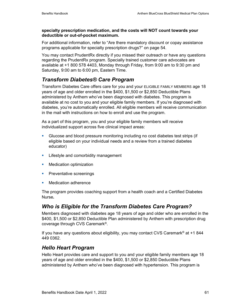#### **specialty prescription medication, and the costs will NOT count towards your deductible or out-of-pocket maximum.**

For additional information, refer to "Are there mandatory discount or copay assistance programs applicable for specialty prescription drugs?" on page 54.

You may contact PrudentRx directly if you missed their outreach or have any questions regarding the PrudentRx program. Specially trained customer care advocates are available at +1 800 578 4403, Monday through Friday, from 9:00 am to 9:30 pm and Saturday, 9:00 am to 6:00 pm, Eastern Time.

# *Transform Diabetes® Care Program*

Transform Diabetes Care offers care for you and your ELIGIBLE FAMILY MEMBERS age 18 years of age and older enrolled in the \$400, \$1,500 or \$2,850 Deductible Plans administered by Anthem who've been diagnosed with diabetes. This program is available at no cost to you and your eligible family members. If you're diagnosed with diabetes, you're automatically enrolled. All eligible members will receive communication in the mail with instructions on how to enroll and use the program.

As a part of this program, you and your eligible family members will receive individualized support across five clinical impact areas:

- Glucose and blood pressure monitoring including no cost diabetes test strips (if eligible based on your individual needs and a review from a trained diabetes educator)
- **EXECTE:** Lifestyle and comorbidity management
- **Nedication optimization**
- **Preventative screenings**
- **Nedication adherence**

The program provides coaching support from a health coach and a Certified Diabetes Nurse*.* 

# *Who is Eligible for the Transform Diabetes Care Program?*

Members diagnosed with diabetes age 18 years of age and older who are enrolled in the \$400, \$1,500 or \$2,850 Deductible Plan administered by Anthem with prescription drug coverage through CVS Caremark®.

If you have any questions about eligibility, you may contact CVS Caremark® at +1 844 449 0362.

# *Hello Heart Program*

Hello Heart provides care and support to you and your eligible family members age 18 years of age and older enrolled in the \$400, \$1,500 or \$2,850 Deductible Plans administered by Anthem who've been diagnosed with hypertension. This program is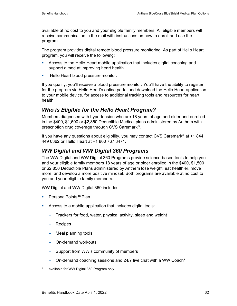available at no cost to you and your eligible family members. All eligible members will receive communication in the mail with instructions on how to enroll and use the program.

The program provides digital remote blood pressure monitoring. As part of Hello Heart program, you will receive the following:

- Access to the Hello Heart mobile application that includes digital coaching and support aimed at improving heart health
- **Hello Heart blood pressure monitor.**

If you qualify, you'll receive a blood pressure monitor. You'll have the ability to register for the program via Hello Heart's online portal and download the Hello Heart application to your mobile device, for access to additional tracking tools and resources for heart health.

# *Who is Eligible for the Hello Heart Program?*

Members diagnosed with hypertension who are 18 years of age and older and enrolled in the \$400, \$1,500 or \$2,850 Deductible Medical plans administered by Anthem with prescription drug coverage through CVS Caremark®.

If you have any questions about eligibility, you may contact CVS Caremark<sup>®</sup> at  $+1$  844 449 0362 or Hello Heart at +1 800 767 3471.

# *WW Digital and WW Digital 360 Programs*

The WW Digital and WW Digital 360 Programs provide science-based tools to help you and your eligible family members 18 years of age or older enrolled in the \$400, \$1,500 or \$2,850 Deductible Plans administered by Anthem lose weight, eat healthier, move more, and develop a more positive mindset. Both programs are available at no cost to you and your eligible family members.

WW Digital and WW Digital 360 includes:

- PersonalPoints™Plan
- Access to a mobile application that includes digital tools:
	- Trackers for food, water, physical activity, sleep and weight
	- − Recipes
	- − Meal planning tools
	- − On-demand workouts
	- Support from WW's community of members
	- − On-demand coaching sessions and 24/7 live chat with a WW Coach\*
- available for WW Digital 360 Program only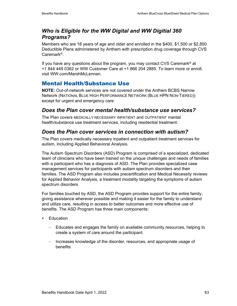# *Who is Eligible for the WW Digital and WW Digitial 360 Programs?*

Members who are 18 years of age and older and enrolled in the \$400, \$1,500 or \$2,850 Deductible Plans administered by Anthem with prescription drug coverage through CVS Caremark®.

If you have any questions about the program, you may contact CVS Caremark<sup>®</sup> at +1 844 449 0362 or WW Customer Care at +1 866 204 2885. To learn more or enroll, visit WW.com/MarshMcLennan.

# Mental Health/Substance Use

**NOTE:** Out-of-network services are not covered under the Anthem BCBS Narrow Network (NATIONAL BLUE HIGH PERFORMANCE NETWORK (BLUE HPN NON-TIERED)) except for urgent and emergency care.

# *Does the Plan cover mental health/substance use services?*

The Plan covers MEDICALLY NECESSARY INPATIENT and OUTPATIENT mental health/substance use treatment services, including residential treatment.

# *Does the Plan cover services in connection with autism?*

The Plan covers medically necessary inpatient and outpatient treatment services for autism, including Applied Behavioral Analysis.

The Autism Spectrum Disorders (ASD) Program is comprised of a specialized, dedicated team of clinicians who have been trained on the unique challenges and needs of families with a participant who has a diagnosis of ASD. The Plan provides specialized case management services for participants with autism spectrum disorders and their families. The ASD Program also includes precertification and Medical Necessity reviews for Applied Behavior Analysis, a treatment modality targeting the symptoms of autism spectrum disorders.

For families touched by ASD, the ASD Program provides support for the entire family, giving assistance wherever possible and making it easier for the family to understand and utilize care, resulting in access to better outcomes and more effective use of benefits. The ASD Program has three main components:

- **Education** 
	- − Educates and engages the family on available community resources, helping to create a system of care around the participant.
	- − Increases knowledge of the disorder, resources, and appropriate usage of benefits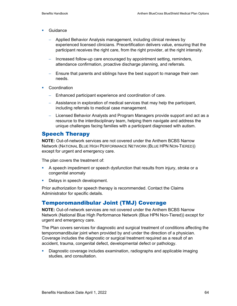- **Guidance** 
	- − Applied Behavior Analysis management, including clinical reviews by experienced licensed clinicians. Precertification delivers value, ensuring that the participant receives the right care, from the right provider, at the right intensity.
	- − Increased follow-up care encouraged by appointment setting, reminders, attendance confirmation, proactive discharge planning, and referrals.
	- − Ensure that parents and siblings have the best support to manage their own needs.
- **Coordination** 
	- − Enhanced participant experience and coordination of care.
	- − Assistance in exploration of medical services that may help the participant, including referrals to medical case management.
	- − Licensed Behavior Analysts and Program Managers provide support and act as a resource to the interdisciplinary team, helping them navigate and address the unique challenges facing families with a participant diagnosed with autism.

### Speech Therapy

**NOTE:** Out-of-network services are not covered under the Anthem BCBS Narrow Network (NATIONAL BLUE HIGH PERFORMANCE NETWORK (BLUE HPN NON-TIERED)) except for urgent and emergency care.

The plan covers the treatment of:

- A speech impediment or speech dysfunction that results from injury, stroke or a congenital anomaly
- Delays in speech development.

Prior authorization for speech therapy is recommended. Contact the Claims Administrator for specific details.

### Temporomandibular Joint (TMJ) Coverage

**NOTE:** Out-of-network services are not covered under the Anthem BCBS Narrow Network (National Blue High Performance Network (Blue HPN Non-Tiered)) except for urgent and emergency care.

The Plan covers services for diagnostic and surgical treatment of conditions affecting the temporomandibular joint when provided by and under the direction of a physician. Coverage includes the diagnostic or surgical treatment required as a result of an accident, trauma, congenital defect, developmental defect or pathology.

 Diagnostic coverage includes examination, radiographs and applicable imaging studies, and consultation.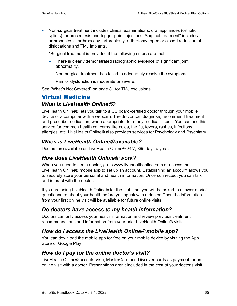Non-surgical treatment includes clinical examinations, oral appliances (orthotic splints), arthrocentesis and trigger-point injections. Surgical treatment\* includes arthrocentesis, arthroscopy, arthroplasty, arthrotomy, open or closed reduction of dislocations and TMJ implants.

\*Surgical treatment is provided if the following criteria are met:

- − There is clearly demonstrated radiographic evidence of significant joint abnormality.
- − Non-surgical treatment has failed to adequately resolve the symptoms.
- − Pain or dysfunction is moderate or severe.

See "What's Not Covered" on page 81 for TMJ exclusions.

# Virtual Medicine

### *What is LiveHealth Online***®***?*

LiveHealth Online**®** lets you talk to a US board-certified doctor through your mobile device or a computer with a webcam. The doctor can diagnose, recommend treatment and prescribe medication, when appropriate, for many medical issues. You can use this service for common health concerns like colds, the flu, fevers, rashes, infections, allergies, etc. LiveHealth Online® also provides services for Psychology and Psychiatry.

# *When is LiveHealth Online***®** *available?*

Doctors are available on LiveHealth Online**®** 24/7, 365 days a year.

### *How does LiveHealth Online***®** *work?*

When you need to see a doctor, go to www.livehealthonline.com or access the LiveHealth Online**®** mobile app to set up an account. Establishing an account allows you to securely store your personal and health information. Once connected, you can talk and interact with the doctor.

If you are using LiveHealth Online**®** for the first time, you will be asked to answer a brief questionnaire about your health before you speak with a doctor. Then the information from your first online visit will be available for future online visits.

# *Do doctors have access to my health information?*

Doctors can only access your health information and review previous treatment recommendations and information from your prior LiveHealth Online**®** visits.

# *How do I access the LiveHealth Online***®** *mobile app?*

You can download the mobile app for free on your mobile device by visiting the App Store or Google Play.

# *How do I pay for the online doctor's visit?*

LiveHealth Online**®** accepts Visa, MasterCard and Discover cards as payment for an online visit with a doctor. Prescriptions aren't included in the cost of your doctor's visit.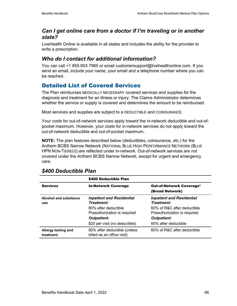### *Can I get online care from a doctor if I'm traveling or in another state?*

LiveHealth Online is available in all states and includes the ability for the provider to write a prescription.

# *Who do I contact for additional information?*

You can call +1 855 603 7985 or email customersupport@livehealthonline.com. If you send an email, include your name, your email and a telephone number where you can be reached.

# Detailed List of Covered Services

The Plan reimburses MEDICALLY NECESSARY covered services and supplies for the diagnosis and treatment for an illness or injury. The Claims Administrator determines whether the service or supply is covered and determines the amount to be reimbursed.

Most services and supplies are subject to a DEDUCTIBLE and COINSURANCE.

Your costs for out-of-network services apply toward the in-network deductible and out-ofpocket maximum. However, your costs for in-network services do not apply toward the out-of-network deductible and out-of-pocket maximum.

**NOTE:** The plan features described below (deductibles, coinsurance, etc.) for the Anthem BCBS Narrow Network (NATIONAL BLUE HIGH PERFORMANCE NETWORK (BLUE HPN NON-TIERED)) are reflected under in-network. Out-of-network services are not covered under the Anthem BCBS Narrow Network, except for urgent and emergency care.

|                                  | \$400 Deductible Plan                                      |                                                               |
|----------------------------------|------------------------------------------------------------|---------------------------------------------------------------|
| <b>Services</b>                  | <b>In-Network Coverage</b>                                 | <b>Out-of-Network Coverage<sup>1</sup></b><br>(Broad Network) |
| Alcohol and substance<br>use     | <b>Inpatient and Residential</b><br>Treatment:             | <b>Inpatient and Residential</b><br>Treatment:                |
|                                  | 80% after deductible<br>Preauthorization is required       | 60% of R&C after deductible<br>Preauthorization is required   |
|                                  | <b>Outpatient:</b>                                         | <b>Outpatient:</b>                                            |
|                                  | \$20 per visit (no deductible)                             | 60% after deductible                                          |
| Allergy testing and<br>treatment | 80% after deductible (unless<br>billed as an office visit) | 60% of R&C after deductible                                   |

### *\$400 Deductible Plan*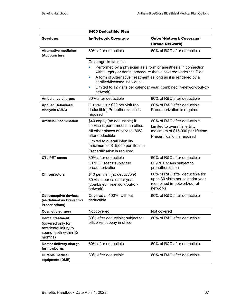|                                                                                                          | \$400 Deductible Plan                                                                                                                                                                                                            |                                                                                                                                                                                                                                                                             |
|----------------------------------------------------------------------------------------------------------|----------------------------------------------------------------------------------------------------------------------------------------------------------------------------------------------------------------------------------|-----------------------------------------------------------------------------------------------------------------------------------------------------------------------------------------------------------------------------------------------------------------------------|
| <b>Services</b>                                                                                          | <b>In-Network Coverage</b>                                                                                                                                                                                                       | Out-of-Network Coverage <sup>1</sup><br>(Broad Network)                                                                                                                                                                                                                     |
| <b>Alternative medicine</b><br>(Acupuncture)                                                             | 80% after deductible                                                                                                                                                                                                             | 60% of R&C after deductible                                                                                                                                                                                                                                                 |
|                                                                                                          | Coverage limitations:<br>ш<br>certified/licensed individual.<br>ш<br>network).                                                                                                                                                   | Performed by a physician as a form of anesthesia in connection<br>with surgery or dental procedure that is covered under the Plan.<br>A form of Alternative Treatment as long as it is rendered by a<br>Limited to 12 visits per calendar year (combined in-network/out-of- |
| <b>Ambulance charges</b>                                                                                 | 80% after deductible                                                                                                                                                                                                             | 80% of R&C after deductible                                                                                                                                                                                                                                                 |
| <b>Applied Behavioral</b><br><b>Analysis (ABA)</b>                                                       | OUTPATIENT: \$20 per visit (no<br>deductible) Preauthorization is<br>required                                                                                                                                                    | 60% of R&C after deductible<br>Preauthorization is required                                                                                                                                                                                                                 |
| <b>Artificial insemination</b>                                                                           | \$40 copay (no deductible) if<br>service is performed in an office<br>All other places of service: 80%<br>after deductible<br>Limited to overall infertility<br>maximum of \$15,000 per lifetime<br>Precertification is required | 60% of R&C after deductible<br>Limited to overall infertility<br>maximum of \$15,000 per lifetime<br>Precertification is required                                                                                                                                           |
| CT / PET scans                                                                                           | 80% after deductible<br>CT/PET scans subject to<br>preauthorization                                                                                                                                                              | 60% of R&C after deductible<br>CT/PET scans subject to<br>preauthorization                                                                                                                                                                                                  |
| <b>Chiropractors</b>                                                                                     | \$40 per visit (no deductible)<br>30 visits per calendar year<br>(combined in-network/out-of-<br>network)                                                                                                                        | 60% of R&C after deductible for<br>up to 30 visits per calendar year<br>(combined in-network/out-of-<br>network)                                                                                                                                                            |
| <b>Contraceptive devices</b><br>(as defined as Preventive<br><b>Prescriptions)</b>                       | Covered at 100%, without<br>deductible                                                                                                                                                                                           | 60% of R&C after deductible                                                                                                                                                                                                                                                 |
| <b>Cosmetic surgery</b>                                                                                  | Not covered                                                                                                                                                                                                                      | Not covered                                                                                                                                                                                                                                                                 |
| <b>Dental treatment</b><br>(covered only for<br>accidental injury to<br>sound teeth within 12<br>months) | 80% after deductible; subject to<br>office visit copay in office                                                                                                                                                                 | 60% of R&C after deductible                                                                                                                                                                                                                                                 |
| Doctor delivery charge<br>for newborns                                                                   | 80% after deductible                                                                                                                                                                                                             | 60% of R&C after deductible                                                                                                                                                                                                                                                 |
| <b>Durable medical</b><br>equipment (DME)                                                                | 80% after deductible                                                                                                                                                                                                             | 60% of R&C after deductible                                                                                                                                                                                                                                                 |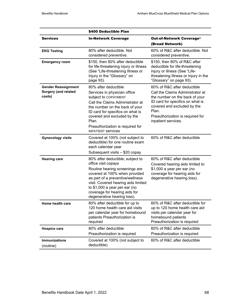|                                                                     | \$400 Deductible Plan                                                                                                                                                                                                                                                                                  |                                                                                                                                                                                                                                          |
|---------------------------------------------------------------------|--------------------------------------------------------------------------------------------------------------------------------------------------------------------------------------------------------------------------------------------------------------------------------------------------------|------------------------------------------------------------------------------------------------------------------------------------------------------------------------------------------------------------------------------------------|
| <b>Services</b>                                                     | <b>In-Network Coverage</b>                                                                                                                                                                                                                                                                             | Out-of-Network Coverage <sup>1</sup><br>(Broad Network)                                                                                                                                                                                  |
| <b>EKG Testing</b>                                                  | 80% after deductible. Not<br>considered preventive.                                                                                                                                                                                                                                                    | 60% of R&C after deductible. Not<br>considered preventive.                                                                                                                                                                               |
| <b>Emergency room</b>                                               | \$150, then 80% after deductible<br>for life-threatening injury or illness<br>(See "Life-threatening Illness or<br>Injury in the "Glossary" on<br>page 93).                                                                                                                                            | \$150, then 80% of R&C after<br>deductible for life-threatening<br>injury or illness (See "Life-<br>threatening Illness or Injury in the<br>"Glossary" on page 93).                                                                      |
| <b>Gender Reassignment</b><br><b>Surgery (and related</b><br>costs) | 80% after deductible<br>Services in physician office<br>subject to COPAYMENT<br>Call the Claims Administrator at<br>the number on the back of your<br>ID card for specifics on what is<br>covered and excluded by the<br>Plan.<br>Preauthorization is required for<br><b>INPATIENT Services</b>        | 60% of R&C after deductible<br>Call the Claims Administrator at<br>the number on the back of your<br>ID card for specifics on what is<br>covered and excluded by the<br>Plan.<br>Preauthorization is required for<br>inpatient services. |
| <b>Gynecology visits</b>                                            | Covered at 100% (not subject to<br>deductible) for one routine exam<br>each calendar year<br>Subsequent visits - \$20 copay                                                                                                                                                                            | 60% of R&C after deductible                                                                                                                                                                                                              |
| <b>Hearing care</b>                                                 | 80% after deductible; subject to<br>office visit copays<br>Routine hearing screenings are<br>covered at 100% when provided<br>as part of a preventive/wellness<br>visit. Covered hearing aids limited<br>to \$1,000 a year per ear (no<br>coverage for hearing aids for<br>degenerative hearing loss). | 60% of R&C after deductible<br>Covered hearing aids limited to<br>\$1,000 a year per ear (no<br>coverage for hearing aids for<br>degenerative hearing loss).                                                                             |
| Home health care                                                    | 80% after deductible for up to<br>120 home health care aid visits<br>per calendar year for homebound<br>patients Preauthorization is<br>required                                                                                                                                                       | 60% of R&C after deductible for<br>up to 120 home health care aid<br>visits per calendar year for<br>homebound patients<br>Preauthorization is required                                                                                  |
| <b>Hospice care</b>                                                 | 80% after deductible<br>Preauthorization is required                                                                                                                                                                                                                                                   | 60% of R&C after deductible<br>Preauthorization is required                                                                                                                                                                              |
| <b>Immunizations</b><br>(routine)                                   | Covered at 100% (not subject to<br>deductible)                                                                                                                                                                                                                                                         | 60% of R&C after deductible                                                                                                                                                                                                              |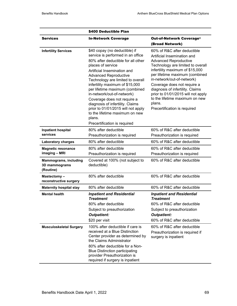|                                                                                             | \$400 Deductible Plan                                                                                                                                                                                                                                                                                                                                                                                                                                                                                                     |                                                                                                                                                                                                                                                                                                                                                                                                                         |
|---------------------------------------------------------------------------------------------|---------------------------------------------------------------------------------------------------------------------------------------------------------------------------------------------------------------------------------------------------------------------------------------------------------------------------------------------------------------------------------------------------------------------------------------------------------------------------------------------------------------------------|-------------------------------------------------------------------------------------------------------------------------------------------------------------------------------------------------------------------------------------------------------------------------------------------------------------------------------------------------------------------------------------------------------------------------|
| <b>Services</b>                                                                             | <b>In-Network Coverage</b>                                                                                                                                                                                                                                                                                                                                                                                                                                                                                                | <b>Out-of-Network Coverage<sup>1</sup></b><br>(Broad Network)                                                                                                                                                                                                                                                                                                                                                           |
| <b>Infertility Services</b>                                                                 | \$40 copay (no deductible) if<br>service is performed in an office<br>80% after deductible for all other<br>places of service<br>Artificial Insemination and<br><b>Advanced Reproductive</b><br>Technology are limited to overall<br>infertility maximum of \$15,000<br>per lifetime maximum (combined<br>in-network/out-of-network)<br>Coverage does not require a<br>diagnosis of infertility. Claims<br>prior to 01/01/2015 will not apply<br>to the lifetime maximum on new<br>plans.<br>Precertification is required | 60% of R&C after deductible<br>Artificial Insemination and<br><b>Advanced Reproductive</b><br>Technology are limited to overall<br>infertility maximum of \$15,000<br>per lifetime maximum (combined<br>in-network/out-of-network)<br>Coverage does not require a<br>diagnosis of infertility. Claims<br>prior to 01/01/2015 will not apply<br>to the lifetime maximum on new<br>plans.<br>Precertification is required |
| <b>Inpatient hospital</b><br>services                                                       | 80% after deductible<br>Preauthorization is required                                                                                                                                                                                                                                                                                                                                                                                                                                                                      | 60% of R&C after deductible<br>Preauthorization is required                                                                                                                                                                                                                                                                                                                                                             |
| <b>Laboratory charges</b>                                                                   | 80% after deductible                                                                                                                                                                                                                                                                                                                                                                                                                                                                                                      | 60% of R&C after deductible                                                                                                                                                                                                                                                                                                                                                                                             |
| <b>Magnetic resonance</b><br>imaging - MRI<br><b>Mammograms, including</b><br>3D mammograms | 80% after deductible<br>Preauthorization is required<br>Covered at 100% (not subject to<br>deductible)                                                                                                                                                                                                                                                                                                                                                                                                                    | 60% of R&C after deductible<br>Preauthorization is required<br>60% of R&C after deductible                                                                                                                                                                                                                                                                                                                              |
| (Routine)<br>Mastectomy-                                                                    | 80% after deductible                                                                                                                                                                                                                                                                                                                                                                                                                                                                                                      | 60% of R&C after deductible                                                                                                                                                                                                                                                                                                                                                                                             |
| reconstructive surgery                                                                      |                                                                                                                                                                                                                                                                                                                                                                                                                                                                                                                           |                                                                                                                                                                                                                                                                                                                                                                                                                         |
| <b>Maternity hospital stay</b>                                                              | 80% after deductible                                                                                                                                                                                                                                                                                                                                                                                                                                                                                                      | 60% of R&C after deductible                                                                                                                                                                                                                                                                                                                                                                                             |
| <b>Mental health</b>                                                                        | <b>Inpatient and Residential</b><br><b>Treatment</b><br>80% after deductible<br>Subject to preauthorization<br><b>Outpatient:</b><br>\$20 per visit                                                                                                                                                                                                                                                                                                                                                                       | <b>Inpatient and Residential</b><br><b>Treatment</b><br>60% of R&C after deductible<br>Subject to preauthorization<br><b>Outpatient:</b><br>60% of R&C after deductible                                                                                                                                                                                                                                                 |
| <b>Musculoskeletal Surgery</b>                                                              | 100% after deductible if care is<br>received at a Blue Distinction<br>Center provider as determined by<br>the Claims Administrator<br>80% after deductible for a Non-<br><b>Blue Distinction participating</b><br>provider Preauthorization is<br>required if surgery is inpatient                                                                                                                                                                                                                                        | 60% of R&C after deductible<br>Preauthorization is required if<br>surgery is inpatient                                                                                                                                                                                                                                                                                                                                  |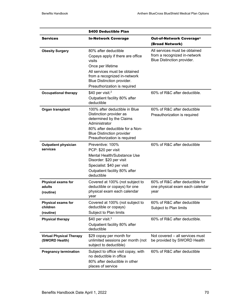|                                                    | \$400 Deductible Plan                                                                                                                |                                                                                             |  |
|----------------------------------------------------|--------------------------------------------------------------------------------------------------------------------------------------|---------------------------------------------------------------------------------------------|--|
| <b>Services</b>                                    | <b>In-Network Coverage</b>                                                                                                           | Out-of-Network Coverage <sup>1</sup><br>(Broad Network)                                     |  |
| <b>Obesity Surgery</b>                             | 80% after deductible<br>Copays apply if there are office<br>visits                                                                   | All services must be obtained<br>from a recognized in-network<br>Blue Distinction provider. |  |
|                                                    | Once per lifetime                                                                                                                    |                                                                                             |  |
|                                                    | All services must be obtained<br>from a recognized in-network<br>Blue Distinction provider.                                          |                                                                                             |  |
|                                                    | Preauthorization is required                                                                                                         |                                                                                             |  |
| <b>Occupational therapy</b>                        | \$40 per visit. <sup>2</sup><br>Outpatient facility 80% after<br>deductible                                                          | 60% of R&C after deductible.                                                                |  |
| Organ transplant                                   | 100% after deductible in Blue<br>Distinction provider as<br>determined by the Claims<br>Administrator                                | 60% of R&C after deductible<br>Preauthorization is required                                 |  |
|                                                    | 80% after deductible for a Non-<br><b>Blue Distinction provider</b><br>Preauthorization is required                                  |                                                                                             |  |
| <b>Outpatient physician</b><br>services            | Preventive: 100%<br>PCP: \$20 per visit                                                                                              | 60% of R&C after deductible                                                                 |  |
|                                                    | Mental Health/Substance Use<br>Disorder: \$20 per visit<br>Specialist: \$40 per visit<br>Outpatient facility 80% after<br>deductible |                                                                                             |  |
| Physical exams for<br>adults<br>(routine)          | Covered at 100% (not subject to<br>deductible or copays) for one<br>physical exam each calendar<br>year                              | 60% of R&C after deductible for<br>one physical exam each calendar<br>year                  |  |
| <b>Physical exams for</b><br>children<br>(routine) | Covered at 100% (not subject to<br>deductible or copays)<br>Subject to Plan limits                                                   | 60% of R&C after deductible<br>Subject to Plan limits                                       |  |
| <b>Physical therapy</b>                            | \$40 per visit. $3$<br>Outpatient facility 80% after<br>deductible                                                                   | 60% of R&C after deductible.                                                                |  |
| <b>Virtual Physical Therapy</b><br>(SWORD Health)  | \$29 copay per month for<br>unlimited sessions per month (not<br>subject to deductible)                                              | Not covered – all services must<br>be provided by SWORD Health                              |  |
| <b>Pregnancy termination</b>                       | Subject to office visit copay, with<br>no deductible in office<br>80% after deductible in other<br>places of service                 | 60% of R&C after deductible                                                                 |  |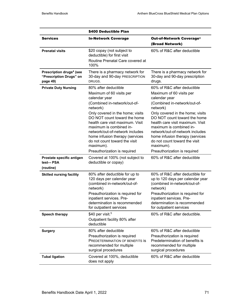|                                                                             | \$400 Deductible Plan                                                                                                                                                                                                                                                                                                                                                                                |                                                                                                                                                                                                                                                                                                                                                                                                             |
|-----------------------------------------------------------------------------|------------------------------------------------------------------------------------------------------------------------------------------------------------------------------------------------------------------------------------------------------------------------------------------------------------------------------------------------------------------------------------------------------|-------------------------------------------------------------------------------------------------------------------------------------------------------------------------------------------------------------------------------------------------------------------------------------------------------------------------------------------------------------------------------------------------------------|
| <b>Services</b>                                                             | <b>In-Network Coverage</b>                                                                                                                                                                                                                                                                                                                                                                           | Out-of-Network Coverage <sup>1</sup><br>(Broad Network)                                                                                                                                                                                                                                                                                                                                                     |
| <b>Prenatal visits</b>                                                      | \$20 copay (not subject to<br>deductible) for first visit<br>Routine Prenatal Care covered at<br>100%                                                                                                                                                                                                                                                                                                | 60% of R&C after deductible                                                                                                                                                                                                                                                                                                                                                                                 |
| Prescription drugs <sup>4</sup> (see<br>"Prescription Drugs" on<br>page 49) | There is a pharmacy network for<br>30-day and 90-day PRESCRIPTION<br>DRUGS.                                                                                                                                                                                                                                                                                                                          | There is a pharmacy network for<br>30-day and 90-day prescription<br>drugs.                                                                                                                                                                                                                                                                                                                                 |
| <b>Private Duty Nursing</b>                                                 | 80% after deductible<br>Maximum of 60 visits per<br>calendar year<br>(Combined in-network/out-of-<br>network)<br>Only covered in the home; visits<br>DO NOT count toward the home<br>health care visit maximum. Visit<br>maximum is combined in-<br>network/out-of-network includes<br>home infusion therapy (services<br>do not count toward the visit<br>maximum).<br>Preauthorization is required | 60% of R&C after deductible<br>Maximum of 60 visits per<br>calendar year<br>(Combined in-network/out-of-<br>network)<br>Only covered in the home; visits<br>DO NOT count toward the home<br>health care visit maximum. Visit<br>maximum is combined in-<br>network/out-of-network includes<br>home infusion therapy (services<br>do not count toward the visit<br>maximum).<br>Preauthorization is required |
| Prostate specific antigen<br>test-- PSA<br>(routine)                        | Covered at 100% (not subject to<br>deductible or copay)                                                                                                                                                                                                                                                                                                                                              | 60% of R&C after deductible                                                                                                                                                                                                                                                                                                                                                                                 |
| <b>Skilled nursing facility</b>                                             | 80% after deductible for up to<br>120 days per calendar year<br>(combined in-network/out-of-<br>network)<br>Preauthorization is required for<br>inpatient services. Pre-<br>determination is recommended<br>for outpatient services                                                                                                                                                                  | 60% of R&C after deductible for<br>up to 120 days per calendar year<br>(combined in-network/out-of-<br>network)<br>Preauthorization is required for<br>inpatient services. Pre-<br>determination is recommended<br>for outpatient services                                                                                                                                                                  |
| Speech therapy                                                              | \$40 per visit. $5$<br>Outpatient facility 80% after<br>deductible                                                                                                                                                                                                                                                                                                                                   | 60% of R&C after deductible.                                                                                                                                                                                                                                                                                                                                                                                |
| <b>Surgery</b>                                                              | 80% after deductible<br>Preauthorization is required<br>PREDETERMINATION OF BENEFITS IS<br>recommended for multiple<br>surgical procedures                                                                                                                                                                                                                                                           | 60% of R&C after deductible<br>Preauthorization is required<br>Predetermination of benefits is<br>recommended for multiple<br>surgical procedures                                                                                                                                                                                                                                                           |
| <b>Tubal ligation</b>                                                       | Covered at 100%, deductible<br>does not apply                                                                                                                                                                                                                                                                                                                                                        | 60% of R&C after deductible                                                                                                                                                                                                                                                                                                                                                                                 |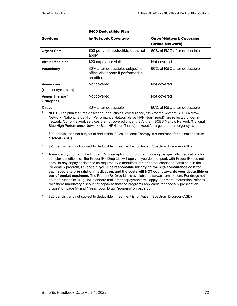|                                             | \$400 Deductible Plan                                                               |                                                               |
|---------------------------------------------|-------------------------------------------------------------------------------------|---------------------------------------------------------------|
| <b>Services</b>                             | <b>In-Network Coverage</b>                                                          | <b>Out-of-Network Coverage<sup>1</sup></b><br>(Broad Network) |
| <b>Urgent Care</b>                          | \$50 per visit, deductible does not<br>apply                                        | 60% of R&C after deductible                                   |
| <b>Virtual Medicine</b>                     | \$20 copay per visit                                                                | Not covered                                                   |
| <b>Vasectomy</b>                            | 80% after deductible; subject to<br>office visit copay if performed in<br>an office | 60% of R&C after deductible                                   |
| <b>Vision care</b><br>(routine eye exam)    | Not covered                                                                         | Not covered                                                   |
| <b>Vision Therapy/</b><br><b>Orthoptics</b> | Not covered                                                                         | Not covered                                                   |
| X-rays                                      | 80% after deductible                                                                | 60% of R&C after deductible                                   |

<sup>1</sup> **NOTE**: The plan features described (deductibles, coinsurance, etc.) for the Anthem BCBS Narrow Network (National Blue High Performance Network (Blue HPN Non-Tiered)) are reflected under innetwork. Out-of-network services are not covered under the Anthem BCBS Narrow Network (National Blue High Performance Network (Blue HPN Non-Tiered)), except for urgent and emergency care.

 $2^2$  \$20 per visit and not subject to deductible if Occupational Therapy is a treatment for autism spectrum disorder (ASD).

<sup>3</sup> \$20 per visit and not subject to deductible if treatment is for Autism Spectrum Disorder (ASD).

<sup>4</sup> A mandatory program, the PrudentRx prescription drug program, for eligible specialty medications for complex conditions on the PrudentRx Drug List will apply. If you do not speak with PrudentRx, do not enroll in any copay assistance as required by a manufacturer, or do not choose to participate in the PrudentRx program, i.e. opt out, **you'll be responsible for paying the 30% coinsurance cost for each specialty prescription medication, and the costs will NOT count towards your deductible or out-of-pocket maximum.** The PrudentRx Drug List is available at www.caremark.com. For drugs not on the PrudentRx Drug List, standard mail order copayments will apply. For more information, refer to "Are there mandatory discount or copay assistance programs applicable for specialty prescription drugs?" on page 54 and "Prescription Drug Programs" on page 58.

<sup>5</sup> \$20 per visit and not subject to deductible if treatment is for Autism Spectrum Disorder (ASD).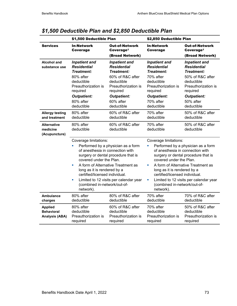|                                                              | \$1,500 Deductible Plan                                                                                                                                                                                            |                                                                                                                                                                                | \$2,850 Deductible Plan                                                                                                                                                                                              |                                                                                                                                                                                |
|--------------------------------------------------------------|--------------------------------------------------------------------------------------------------------------------------------------------------------------------------------------------------------------------|--------------------------------------------------------------------------------------------------------------------------------------------------------------------------------|----------------------------------------------------------------------------------------------------------------------------------------------------------------------------------------------------------------------|--------------------------------------------------------------------------------------------------------------------------------------------------------------------------------|
| <b>Services</b>                                              | <b>In-Network</b><br><b>Coverage</b>                                                                                                                                                                               | <b>Out-of-Network</b><br>Coverage <sup>1</sup><br>(Broad Network)                                                                                                              | <b>In-Network</b><br>Coverage                                                                                                                                                                                        | <b>Out-of-Network</b><br>Coverage <sup>1</sup><br>(Broad Network)                                                                                                              |
| <b>Alcohol and</b><br>substance use                          | <b>Inpatient and</b><br><b>Residential</b><br>Treatment:<br>80% after<br>deductible<br>Preauthorization is<br>required<br><b>Outpatient:</b><br>80% after<br>deductible                                            | <b>Inpatient and</b><br><b>Residential</b><br>Treatment:<br>60% of R&C after<br>deductible<br>Preauthorization is<br>required<br><b>Outpatient:</b><br>60% after<br>deductible | <b>Inpatient and</b><br><b>Residential</b><br>Treatment:<br>70% after<br>deductible<br>Preauthorization is<br>required<br><b>Outpatient:</b><br>70% after<br>deductible                                              | <b>Inpatient and</b><br><b>Residential</b><br>Treatment:<br>50% of R&C after<br>deductible<br>Preauthorization is<br>required<br><b>Outpatient:</b><br>50% after<br>deductible |
| <b>Allergy testing</b><br>and treatment                      | 80% after<br>deductible                                                                                                                                                                                            | 60% of R&C after<br>deductible                                                                                                                                                 | 70% after<br>deductible                                                                                                                                                                                              | 50% of R&C after<br>deductible                                                                                                                                                 |
| <b>Alternative</b><br>medicine<br>(Acupuncture)              | 80% after<br>deductible                                                                                                                                                                                            | 60% of R&C after<br>deductible                                                                                                                                                 | 70% after<br>deductible                                                                                                                                                                                              | 50% of R&C after<br>deductible                                                                                                                                                 |
|                                                              | Coverage limitations:<br>L.<br>of anesthesia in connection with<br>covered under the Plan.<br>×<br>long as it is rendered by a<br>certified/licensed individual.<br>×<br>(combined in-network/out-of-<br>network). | Performed by a physician as a form<br>surgery or dental procedure that is<br>A form of Alternative Treatment as<br>Limited to 12 visits per calendar year                      | Coverage limitations:<br>a,<br>of anesthesia in connection with<br>covered under the Plan.<br>u,<br>long as it is rendered by a<br>certified/licensed individual.<br>u,<br>(combined in-network/out-of-<br>network). | Performed by a physician as a form<br>surgery or dental procedure that is<br>A form of Alternative Treatment as<br>Limited to 12 visits per calendar year                      |
| <b>Ambulance</b><br>charges                                  | 80% after<br>deductible                                                                                                                                                                                            | 80% of R&C after<br>deductible                                                                                                                                                 | 70% after<br>deductible                                                                                                                                                                                              | 70% of R&C after<br>deductible                                                                                                                                                 |
| <b>Applied</b><br><b>Behavioral</b><br><b>Analysis (ABA)</b> | 80% after<br>deductible<br>Preauthorization is<br>required                                                                                                                                                         | 60% of R&C after<br>deductible<br>Preauthorization is<br>required                                                                                                              | 70% after<br>deductible<br>Preauthorization is<br>required                                                                                                                                                           | 50% of R&C after<br>deductible<br>Preauthorization is<br>required                                                                                                              |

# *\$1,500 Deductible Plan and \$2,850 Deductible Plan*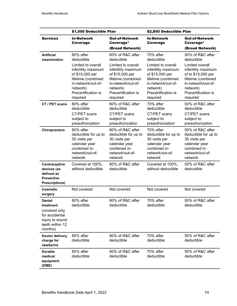|                                                                                                                | \$1,500 Deductible Plan                                                                                                                                                            |                                                                                                                                                                                           | \$2,850 Deductible Plan                                                                                                                                                            |                                                                                                                                                                                           |
|----------------------------------------------------------------------------------------------------------------|------------------------------------------------------------------------------------------------------------------------------------------------------------------------------------|-------------------------------------------------------------------------------------------------------------------------------------------------------------------------------------------|------------------------------------------------------------------------------------------------------------------------------------------------------------------------------------|-------------------------------------------------------------------------------------------------------------------------------------------------------------------------------------------|
| <b>Services</b>                                                                                                | <b>In-Network</b><br>Coverage                                                                                                                                                      | <b>Out-of-Network</b><br>Coverage <sup>1</sup><br>(Broad Network)                                                                                                                         | <b>In-Network</b><br>Coverage                                                                                                                                                      | <b>Out-of-Network</b><br>Coverage <sup>1</sup><br>(Broad Network)                                                                                                                         |
| <b>Artificial</b><br>insemination                                                                              | 80% after<br>deductible<br>Limited to overall<br>infertility maximum<br>of \$15,000 per<br>lifetime (combined<br>in-network/out-of-<br>network)<br>Precertification is<br>required | 60% of R&C after<br>deductible<br>Limited to overall<br>infertility maximum<br>of \$15,000 per<br>lifetime (combined<br>in-network/out-of-<br>network)<br>Precertification is<br>required | 70% after<br>deductible<br>Limited to overall<br>infertility maximum<br>of \$15,000 per<br>lifetime (combined<br>in-network/out-of-<br>network)<br>Precertification is<br>required | 50% of R&C after<br>deductible<br>Limited overall<br>infertility maximum<br>of to \$15,000 per<br>lifetime (combined<br>in-network/out-of-<br>network)<br>Precertification is<br>required |
| CT / PET scans                                                                                                 | 80% after<br>deductible<br>CT/PET scans<br>subject to<br>preauthorization                                                                                                          | 60% of R&C after<br>deductible<br>CT/PET scans<br>subject to<br>preauthorization                                                                                                          | 70% after<br>deductible<br>CT/PET scans<br>subject to<br>preauthorization                                                                                                          | 50% of R&C after<br>deductible<br>CT/PET scans<br>subject to<br>preauthorization                                                                                                          |
| <b>Chiropractors</b>                                                                                           | 80% after<br>deductible for up to<br>30 visits per<br>calendar year<br>combined in-<br>network/out-of-<br>network                                                                  | 60% of R&C after<br>deductible for up to<br>30 visits per<br>calendar year<br>combined in-<br>network/out-of-<br>network                                                                  | 70% after<br>deductible for up to<br>30 visits per<br>calendar year<br>combined in-<br>network/out-of-<br>network                                                                  | 50% of R&C after<br>deductible for up to<br>30 visits per<br>calendar year<br>combined in-<br>network/out-of-<br>network                                                                  |
| Contraceptive<br>devices (as<br>defined as<br><b>Preventive</b><br><b>Prescriptions)</b>                       | Covered at 100%,<br>without deductible                                                                                                                                             | 60% of R&C after<br>deductible                                                                                                                                                            | Covered at 100%,<br>without deductible                                                                                                                                             | 50% of R&C after<br>deductible                                                                                                                                                            |
| <b>Cosmetic</b><br>surgery                                                                                     | Not covered                                                                                                                                                                        | Not covered                                                                                                                                                                               | Not covered                                                                                                                                                                        | Not covered                                                                                                                                                                               |
| <b>Dental</b><br>treatment<br>(covered only<br>for accidental<br>injury to sound<br>teeth within 12<br>months) | 80% after<br>deductible                                                                                                                                                            | 60% of R&C after<br>deductible                                                                                                                                                            | 70% after<br>deductible                                                                                                                                                            | 50% of R&C after<br>deductible                                                                                                                                                            |
| Doctor delivery<br>charge for<br>newborns                                                                      | 80% after<br>deductible                                                                                                                                                            | 60% of R&C after<br>deductible                                                                                                                                                            | 70% after<br>deductible                                                                                                                                                            | 50% of R&C after<br>deductible                                                                                                                                                            |
| <b>Durable</b><br>medical<br>equipment<br>(DME)                                                                | 80% after<br>deductible                                                                                                                                                            | 60% of R&C after<br>deductible                                                                                                                                                            | 70% after<br>deductible                                                                                                                                                            | 50% of R&C after<br>deductible                                                                                                                                                            |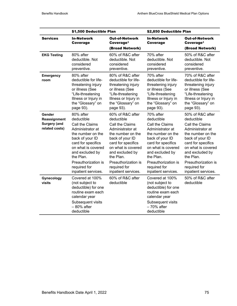|                                                                 | \$1,500 Deductible Plan                                                                                                                                                                                                                          |                                                                                                                                                                                                                                                         | \$2,850 Deductible Plan                                                                                                                                                                                                                          |                                                                                                                                                                                                                                                         |
|-----------------------------------------------------------------|--------------------------------------------------------------------------------------------------------------------------------------------------------------------------------------------------------------------------------------------------|---------------------------------------------------------------------------------------------------------------------------------------------------------------------------------------------------------------------------------------------------------|--------------------------------------------------------------------------------------------------------------------------------------------------------------------------------------------------------------------------------------------------|---------------------------------------------------------------------------------------------------------------------------------------------------------------------------------------------------------------------------------------------------------|
| <b>Services</b>                                                 | <b>In-Network</b><br>Coverage                                                                                                                                                                                                                    | <b>Out-of-Network</b><br>Coverage <sup>1</sup><br>(Broad Network)                                                                                                                                                                                       | <b>In-Network</b><br><b>Coverage</b>                                                                                                                                                                                                             | <b>Out-of-Network</b><br>Coverage <sup>1</sup><br>(Broad Network)                                                                                                                                                                                       |
| <b>EKG Testing</b>                                              | 80% after<br>deductible. Not<br>considered<br>preventive.                                                                                                                                                                                        | 60% of R&C after<br>deductible. Not<br>considered<br>preventive.                                                                                                                                                                                        | 70% after<br>deductible. Not<br>considered<br>preventive.                                                                                                                                                                                        | 50% of R&C after<br>deductible. Not<br>considered<br>preventive.                                                                                                                                                                                        |
| <b>Emergency</b><br>room                                        | 80% after<br>deductible for life-<br>threatening injury<br>or illness (See<br>"Life-threatening<br>Illness or Injury in<br>the "Glossary" on<br>page 93).                                                                                        | 80% of R&C after<br>deductible for life-<br>threatening injury<br>or illness (See<br>"Life-threatening<br>Illness or Injury in<br>the "Glossary" on<br>page 93).                                                                                        | 70% after<br>deductible for life-<br>threatening injury<br>or illness (See<br>"Life-threatening<br>Illness or Injury in<br>the "Glossary" on<br>page 93).                                                                                        | 70% of R&C after<br>deductible for life-<br>threatening injury<br>or illness (See<br>"Life-threatening<br>Illness or Injury in<br>the "Glossary" on<br>page 93).                                                                                        |
| Gender<br>Reassignment<br><b>Surgery (and</b><br>related costs) | 80% after<br>deductible<br>Call the Claims<br>Administrator at<br>the number on the<br>back of your ID<br>card for specifics<br>on what is covered<br>and excluded by<br>the Plan.<br>Preauthorization is<br>required for<br>inpatient services. | 60% of R&C after<br>deductible<br>Call the Claims<br>Administrator at<br>the number on the<br>back of your ID<br>card for specifics<br>on what is covered<br>and excluded by<br>the Plan.<br>Preauthorization is<br>required for<br>inpatient services. | 70% after<br>deductible<br>Call the Claims<br>Administrator at<br>the number on the<br>back of your ID<br>card for specifics<br>on what is covered<br>and excluded by<br>the Plan.<br>Preauthorization is<br>required for<br>inpatient services. | 50% of R&C after<br>deductible<br>Call the Claims<br>Administrator at<br>the number on the<br>back of your ID<br>card for specifics<br>on what is covered<br>and excluded by<br>the Plan.<br>Preauthorization is<br>required for<br>inpatient services. |
| Gynecology<br>visits                                            | Covered at 100%<br>(not subject to<br>deductible) for one<br>routine exam each<br>calendar year<br>Subsequent visits<br>$-80%$ after<br>deductible                                                                                               | 60% of R&C after<br>deductible                                                                                                                                                                                                                          | Covered at 100%<br>(not subject to<br>deductible) for one<br>routine exam each<br>calendar year<br>Subsequent visits<br>$-70%$ after<br>deductible                                                                                               | 50% of R&C after<br>deductible                                                                                                                                                                                                                          |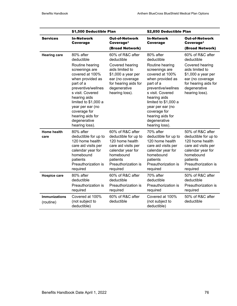|                                   | \$1,500 Deductible Plan                                                                                                                                                                                                                                                                      |                                                                                                                                                                          | \$2,850 Deductible Plan                                                                                                                                                                                                                                                                      |                                                                                                                                                                          |
|-----------------------------------|----------------------------------------------------------------------------------------------------------------------------------------------------------------------------------------------------------------------------------------------------------------------------------------------|--------------------------------------------------------------------------------------------------------------------------------------------------------------------------|----------------------------------------------------------------------------------------------------------------------------------------------------------------------------------------------------------------------------------------------------------------------------------------------|--------------------------------------------------------------------------------------------------------------------------------------------------------------------------|
| <b>Services</b>                   | <b>In-Network</b><br><b>Coverage</b>                                                                                                                                                                                                                                                         | <b>Out-of-Network</b><br>Coverage <sup>1</sup><br>(Broad Network)                                                                                                        | <b>In-Network</b><br><b>Coverage</b>                                                                                                                                                                                                                                                         | <b>Out-of-Network</b><br>Coverage <sup>1</sup><br>(Broad Network)                                                                                                        |
| <b>Hearing care</b>               | 80% after<br>deductible<br>Routine hearing<br>screenings are<br>covered at 100%<br>when provided as<br>part of a<br>preventive/wellnes<br>s visit. Covered<br>hearing aids<br>limited to \$1,000 a<br>year per ear (no<br>coverage for<br>hearing aids for<br>degenerative<br>hearing loss). | 60% of R&C after<br>deductible<br>Covered hearing<br>aids limited to<br>\$1,000 a year per<br>ear (no coverage<br>for hearing aids for<br>degenerative<br>hearing loss). | 80% after<br>deductible<br>Routine hearing<br>screenings are<br>covered at 100%<br>when provided as<br>part of a<br>preventive/wellnes<br>s visit. Covered<br>hearing aids<br>limited to \$1,000 a<br>year per ear (no<br>coverage for<br>hearing aids for<br>degenerative<br>hearing loss). | 60% of R&C after<br>deductible<br>Covered hearing<br>aids limited to<br>\$1,000 a year per<br>ear (no coverage<br>for hearing aids for<br>degenerative<br>hearing loss). |
| Home health<br>care               | 80% after<br>deductible for up to<br>120 home health<br>care aid visits per<br>calendar year for<br>homebound<br>patients<br>Preauthorization is<br>required                                                                                                                                 | 60% of R&C after<br>deductible for up to<br>120 home health<br>care aid visits per<br>calendar year for<br>homebound<br>patients<br>Preauthorization is<br>required      | 70% after<br>deductible for up to<br>120 home health<br>care aid visits per<br>calendar year for<br>homebound<br>patients<br>Preauthorization is<br>required                                                                                                                                 | 50% of R&C after<br>deductible for up to<br>120 home health<br>care aid visits per<br>calendar year for<br>homebound<br>patients<br>Preauthorization is<br>required      |
| <b>Hospice care</b>               | 80% after<br>deductible<br>Preauthorization is<br>required                                                                                                                                                                                                                                   | 60% of R&C after<br>deductible<br>Preauthorization is<br>required                                                                                                        | 70% after<br>deductible<br>Preauthorization is<br>required                                                                                                                                                                                                                                   | 50% of R&C after<br>deductible<br>Preauthorization is<br>required                                                                                                        |
| <b>Immunizations</b><br>(routine) | Covered at 100%<br>(not subject to<br>deductible)                                                                                                                                                                                                                                            | 60% of R&C after<br>deductible                                                                                                                                           | Covered at 100%<br>(not subject to<br>deductible)                                                                                                                                                                                                                                            | 50% of R&C after<br>deductible                                                                                                                                           |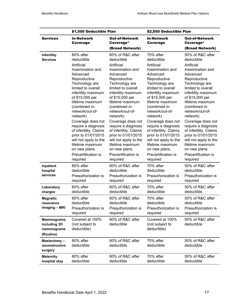|                                                        | \$1,500 Deductible Plan                                                                                                                                                                                                                                                                                                                                                               |                                                                                                                                                                                                                                                                                                                                                                                              | \$2,850 Deductible Plan                                                                                                                                                                                                                                                                                                                                                               |                                                                                                                                                                                                                                                                                                                                                                                              |
|--------------------------------------------------------|---------------------------------------------------------------------------------------------------------------------------------------------------------------------------------------------------------------------------------------------------------------------------------------------------------------------------------------------------------------------------------------|----------------------------------------------------------------------------------------------------------------------------------------------------------------------------------------------------------------------------------------------------------------------------------------------------------------------------------------------------------------------------------------------|---------------------------------------------------------------------------------------------------------------------------------------------------------------------------------------------------------------------------------------------------------------------------------------------------------------------------------------------------------------------------------------|----------------------------------------------------------------------------------------------------------------------------------------------------------------------------------------------------------------------------------------------------------------------------------------------------------------------------------------------------------------------------------------------|
| <b>Services</b>                                        | <b>In-Network</b><br>Coverage                                                                                                                                                                                                                                                                                                                                                         | <b>Out-of-Network</b><br>Coverage <sup>1</sup><br>(Broad Network)                                                                                                                                                                                                                                                                                                                            | <b>In-Network</b><br>Coverage                                                                                                                                                                                                                                                                                                                                                         | <b>Out-of-Network</b><br>Coverage <sup>1</sup><br>(Broad Network)                                                                                                                                                                                                                                                                                                                            |
| Infertility<br><b>Services</b>                         | 80% after<br>deductible<br>Artificial<br>Insemination and<br>Advanced<br>Reproductive<br>Technology are<br>limited to overall<br>infertility maximum<br>of \$15,000 per<br>lifetime maximum<br>(combined in-<br>network/out-of-<br>network)<br>Coverage does not<br>require a diagnosis<br>of infertility. Claims<br>prior to 01/01/2015<br>will not apply to the<br>lifetime maximum | 60% of R&C after<br>deductible<br>Artificial<br>Insemination and<br>Advanced<br>Reproductive<br>Technology are<br>limited to overall<br>infertility maximum<br>of \$15,000 per<br>lifetime maximum<br>(combined in-<br>network/out-of-<br>network)<br>Coverage does not<br>require a diagnosis<br>of infertility. Claims<br>prior to 01/01/2015<br>will not apply to the<br>lifetime maximum | 70% after<br>deductible<br>Artificial<br>Insemination and<br>Advanced<br>Reproductive<br>Technology are<br>limited to overall<br>infertility maximum<br>of \$15,000 per<br>lifetime maximum<br>(combined in-<br>network/out-of-<br>network)<br>Coverage does not<br>require a diagnosis<br>of infertility. Claims<br>prior to 01/01/2015<br>will not apply to the<br>lifetime maximum | 50% of R&C after<br>deductible<br>Artificial<br>Insemination and<br>Advanced<br>Reproductive<br>Technology are<br>limited to overall<br>infertility maximum<br>of \$15,000 per<br>lifetime maximum<br>(combined in-<br>network/out-of-<br>network)<br>Coverage does not<br>require a diagnosis<br>of infertility. Claims<br>prior to 01/01/2015<br>will not apply to the<br>lifetime maximum |
|                                                        | on new plans.<br>Precertification is<br>required                                                                                                                                                                                                                                                                                                                                      | on new plans.<br>Precertification is<br>required                                                                                                                                                                                                                                                                                                                                             | on new plans.<br>Precertification is<br>required                                                                                                                                                                                                                                                                                                                                      | on new plans.<br>Precertification is<br>required                                                                                                                                                                                                                                                                                                                                             |
| Inpatient<br>hospital<br>services                      | 80% after<br>deductible<br>Preauthorization is<br>required                                                                                                                                                                                                                                                                                                                            | 60% of R&C after<br>deductible<br>Preauthorization is<br>required                                                                                                                                                                                                                                                                                                                            | 70% after<br>deductible<br>Preauthorization is<br>required                                                                                                                                                                                                                                                                                                                            | 50% of R&C after<br>deductible<br>Preauthorization is<br>required                                                                                                                                                                                                                                                                                                                            |
| Laboratory<br>charges                                  | 80% after<br>deductible                                                                                                                                                                                                                                                                                                                                                               | 60% of R&C after<br>deductible                                                                                                                                                                                                                                                                                                                                                               | 70% after<br>deductible                                                                                                                                                                                                                                                                                                                                                               | 50% of R&C after<br>deductible                                                                                                                                                                                                                                                                                                                                                               |
| <b>Magnetic</b><br>resonance<br>imaging - MRI          | 80% after<br>deductible<br>Preauthorization is<br>required                                                                                                                                                                                                                                                                                                                            | 60% of R&C after<br>deductible<br>Preauthorization is<br>required                                                                                                                                                                                                                                                                                                                            | 70% after<br>deductible<br>Preauthorization is<br>required                                                                                                                                                                                                                                                                                                                            | 50% of R&C after<br>deductible<br>Preauthorization is<br>required                                                                                                                                                                                                                                                                                                                            |
| Mammograms,<br>including 3D<br>mammograms<br>(Routine) | Covered at 100%<br>(not subject to<br>deductible)                                                                                                                                                                                                                                                                                                                                     | 60% of R&C after<br>deductible                                                                                                                                                                                                                                                                                                                                                               | Covered at 100%<br>(not subject to<br>deductible)                                                                                                                                                                                                                                                                                                                                     | 50% of R&C after<br>deductible                                                                                                                                                                                                                                                                                                                                                               |
| Mastectomy-<br>reconstructive<br>surgery               | 80% after<br>deductible                                                                                                                                                                                                                                                                                                                                                               | 60% of R&C after<br>deductible                                                                                                                                                                                                                                                                                                                                                               | 70% after<br>deductible                                                                                                                                                                                                                                                                                                                                                               | 50% of R&C after<br>deductible                                                                                                                                                                                                                                                                                                                                                               |
| <b>Maternity</b><br>hospital stay                      | 80% after<br>deductible                                                                                                                                                                                                                                                                                                                                                               | 60% of R&C after<br>deductible                                                                                                                                                                                                                                                                                                                                                               | 70% after<br>deductible                                                                                                                                                                                                                                                                                                                                                               | 50% of R&C after<br>deductible                                                                                                                                                                                                                                                                                                                                                               |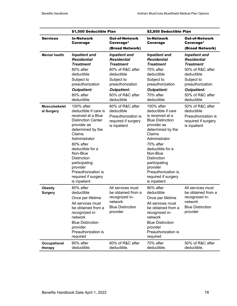|                                    | \$1,500 Deductible Plan                                                                                                                                                                                                                                                                                             |                                                                                                             | \$2,850 Deductible Plan                                                                                                                                                                                                                                                                                      |                                                                                                             |  |
|------------------------------------|---------------------------------------------------------------------------------------------------------------------------------------------------------------------------------------------------------------------------------------------------------------------------------------------------------------------|-------------------------------------------------------------------------------------------------------------|--------------------------------------------------------------------------------------------------------------------------------------------------------------------------------------------------------------------------------------------------------------------------------------------------------------|-------------------------------------------------------------------------------------------------------------|--|
| <b>Services</b>                    | <b>In-Network</b><br>Coverage                                                                                                                                                                                                                                                                                       | <b>Out-of-Network</b><br>Coverage <sup>1</sup>                                                              | <b>In-Network</b><br>Coverage                                                                                                                                                                                                                                                                                | <b>Out-of-Network</b><br>Coverage <sup>1</sup>                                                              |  |
|                                    |                                                                                                                                                                                                                                                                                                                     | (Broad Network)                                                                                             |                                                                                                                                                                                                                                                                                                              | (Broad Network)                                                                                             |  |
| <b>Mental health</b>               | <b>Inpatient and</b><br><b>Residential</b><br><b>Treatment</b>                                                                                                                                                                                                                                                      | <b>Inpatient and</b><br><b>Residential</b><br><b>Treatment</b>                                              | <b>Inpatient and</b><br><b>Residential</b><br><b>Treatment</b>                                                                                                                                                                                                                                               | <b>Inpatient and</b><br><b>Residential</b><br><b>Treatment</b>                                              |  |
|                                    | 80% after<br>deductible<br>Subject to<br>preauthorization<br><b>Outpatient:</b><br>80% after                                                                                                                                                                                                                        | 60% of R&C after<br>deductible<br>Subject to<br>preauthorization<br><b>Outpatient:</b><br>60% of R&C after  | 70% after<br>deductible<br>Subject to<br>preauthorization<br><b>Outpatient:</b><br>70% after                                                                                                                                                                                                                 | 50% of R&C after<br>deductible<br>Subject to<br>preauthorization<br><b>Outpatient:</b><br>50% of R&C after  |  |
|                                    | deductible                                                                                                                                                                                                                                                                                                          | deductible                                                                                                  | deductible                                                                                                                                                                                                                                                                                                   | deductible                                                                                                  |  |
| <b>Musculoskelet</b><br>al Surgery | 100% after<br>deductible if care is<br>received at a Blue<br><b>Distinction Center</b><br>provider as<br>determined by the<br>Claims<br>Administrator<br>80% after<br>deductible for a<br>Non-Blue<br><b>Distinction</b><br>participating<br>provider<br>Preauthorization is<br>required if surgery<br>is inpatient | 60% of R&C after<br>deductible<br>Preauthorization is<br>required if surgery<br>is inpatient                | 100% after<br>deductible if care<br>is received at a<br><b>Blue Distinction</b><br>provider as<br>determined by the<br>Claims<br>Administrator<br>70% after<br>deductible for a<br>Non-Blue<br><b>Distinction</b><br>participating<br>provider<br>Preauthorization is<br>required if surgery<br>is inpatient | 50% of R&C after<br>deductible<br>Preauthorization is<br>required if surgery<br>is inpatient                |  |
| <b>Obesity</b><br><b>Surgery</b>   | 80% after<br>deductible<br>Once per lifetime<br>All services must<br>be obtained from a<br>recognized in-<br>network<br><b>Blue Distinction</b><br>provider<br>Preauthorization is<br>required                                                                                                                      | All services must<br>be obtained from a<br>recognized in-<br>network<br><b>Blue Distinction</b><br>provider | 80% after<br>deductible<br>Once per lifetime<br>All services must<br>be obtained from a<br>recognized in-<br>network<br><b>Blue Distinction</b><br>provider<br>Preauthorization is<br>required                                                                                                               | All services must<br>be obtained from a<br>recognized in-<br>network<br><b>Blue Distinction</b><br>provider |  |
| Occupational<br>therapy            | 80% after<br>deductible.                                                                                                                                                                                                                                                                                            | 60% of R&C after<br>deductible.                                                                             | 70% after<br>deductible.                                                                                                                                                                                                                                                                                     | 50% of R&C after<br>deductible.                                                                             |  |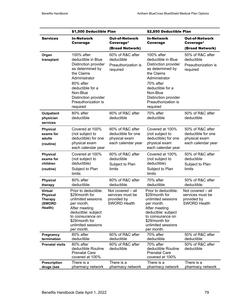|                                                                          | \$1,500 Deductible Plan                                                                                                                                                                                             |                                                                               | \$2,850 Deductible Plan                                                                                                                                                                                             |                                                                               |
|--------------------------------------------------------------------------|---------------------------------------------------------------------------------------------------------------------------------------------------------------------------------------------------------------------|-------------------------------------------------------------------------------|---------------------------------------------------------------------------------------------------------------------------------------------------------------------------------------------------------------------|-------------------------------------------------------------------------------|
| <b>Services</b>                                                          | <b>In-Network</b><br>Coverage                                                                                                                                                                                       | <b>Out-of-Network</b><br>Coverage <sup>1</sup><br>(Broad Network)             | <b>In-Network</b><br>Coverage                                                                                                                                                                                       | <b>Out-of-Network</b><br>Coverage <sup>1</sup><br>(Broad Network)             |
| Organ<br>transplant                                                      | 100% after<br>deductible in Blue<br>Distinction provider<br>as determined by<br>the Claims<br>Administrator<br>80% after<br>deductible for a<br>Non-Blue<br>Distinction provider<br>Preauthorization is<br>required | 60% of R&C after<br>deductible<br>Preauthorization is<br>required             | 100% after<br>deductible in Blue<br>Distinction provider<br>as determined by<br>the Claims<br>Administrator<br>70% after<br>deductible for a<br>Non-Blue<br>Distinction provider<br>Preauthorization is<br>required | 50% of R&C after<br>deductible<br>Preauthorization is<br>required             |
| Outpatient<br>physician<br>services                                      | 80% after<br>deductible                                                                                                                                                                                             | 60% of R&C after<br>deductible                                                | 70% after<br>deductible                                                                                                                                                                                             | 50% of R&C after<br>deductible                                                |
| <b>Physical</b><br>exams for<br>adults<br>(routine)                      | Covered at 100%<br>(not subject to<br>deductible) for one<br>physical exam<br>each calendar year                                                                                                                    | 60% of R&C after<br>deductible for one<br>physical exam<br>each calendar year | Covered at 100%<br>(not subject to<br>deductible) for one<br>physical exam<br>each calendar year                                                                                                                    | 50% of R&C after<br>deductible for one<br>physical exam<br>each calendar year |
| <b>Physical</b><br>exams for<br>children<br>(routine)                    | Covered at 100%<br>(not subject to<br>deductible)<br>Subject to Plan<br>limits                                                                                                                                      | 60% of R&C after<br>deductible<br>Subject to Plan<br>limits                   | Covered at 100%<br>(not subject to<br>deductible)<br>Subject to Plan<br>limits                                                                                                                                      | 50% of R&C after<br>deductible<br>Subject to Plan<br>limits                   |
| <b>Physical</b><br>therapy                                               | 80% after<br>deductible.                                                                                                                                                                                            | 60% of R&C after<br>deductible.                                               | 70% after<br>deductible.                                                                                                                                                                                            | 50% of R&C after<br>deductible.                                               |
| <b>Virtual</b><br><b>Physical</b><br><b>Therapy</b><br>(SWORD<br>Health) | Prior to deductible:<br>\$29/month for<br>unlimited sessions<br>per month.<br>After meeting<br>deductble: subject<br>to coinsurance on<br>\$29/month for<br>unlimited sessions<br>per month.                        | Not covered - all<br>services must be<br>provided by<br><b>SWORD Health</b>   | Prior to deductible:<br>\$29/month for<br>unlimited sessions<br>per month.<br>After meeting<br>deductble: subject<br>to coinsurance on<br>\$29/month for<br>unlimited sessions<br>per month.                        | Not covered - all<br>services must be<br>provided by<br><b>SWORD Health</b>   |
| Pregnancy<br>termination                                                 | 80% after<br>deductible                                                                                                                                                                                             | 60% of R&C after<br>deductible                                                | 70% after<br>deductible                                                                                                                                                                                             | 50% of R&C after<br>deductible                                                |
| <b>Prenatal visits</b>                                                   | 80% after<br>deductible Routine<br><b>Prenatal Care</b><br>covered at 100%                                                                                                                                          | 60% of R&C after<br>deductible                                                | 70% after<br>deductible Routine<br><b>Prenatal Care</b><br>covered at 100%                                                                                                                                          | 50% of R&C after<br>deductible                                                |
| <b>Prescription</b><br>drugs (see                                        | There is a<br>pharmacy network                                                                                                                                                                                      | There is a<br>pharmacy network                                                | There is a<br>pharmacy network                                                                                                                                                                                      | There is a<br>pharmacy network                                                |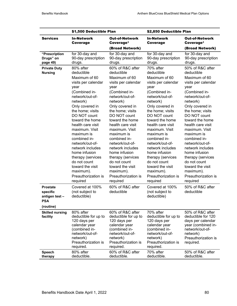|                                                                         | \$1,500 Deductible Plan                                                                                                                                                                                                                                                                                                                                                                 |                                                                                                                                                                                                                                                                                                                                                                                                | \$2,850 Deductible Plan                                                                                                                                                                                                                                                                                                                                                                 |                                                                                                                                                                                                                                                                                                                                                                                                |
|-------------------------------------------------------------------------|-----------------------------------------------------------------------------------------------------------------------------------------------------------------------------------------------------------------------------------------------------------------------------------------------------------------------------------------------------------------------------------------|------------------------------------------------------------------------------------------------------------------------------------------------------------------------------------------------------------------------------------------------------------------------------------------------------------------------------------------------------------------------------------------------|-----------------------------------------------------------------------------------------------------------------------------------------------------------------------------------------------------------------------------------------------------------------------------------------------------------------------------------------------------------------------------------------|------------------------------------------------------------------------------------------------------------------------------------------------------------------------------------------------------------------------------------------------------------------------------------------------------------------------------------------------------------------------------------------------|
| <b>Services</b>                                                         | <b>In-Network</b><br>Coverage                                                                                                                                                                                                                                                                                                                                                           | <b>Out-of-Network</b><br>Coverage <sup>1</sup>                                                                                                                                                                                                                                                                                                                                                 | <b>In-Network</b><br>Coverage                                                                                                                                                                                                                                                                                                                                                           | <b>Out-of-Network</b><br>Coverage <sup>1</sup>                                                                                                                                                                                                                                                                                                                                                 |
|                                                                         |                                                                                                                                                                                                                                                                                                                                                                                         | (Broad Network)                                                                                                                                                                                                                                                                                                                                                                                |                                                                                                                                                                                                                                                                                                                                                                                         | (Broad Network)                                                                                                                                                                                                                                                                                                                                                                                |
| "Prescription<br>Drugs" on<br>page 49)                                  | for 30-day and<br>90-day prescription<br>drugs.                                                                                                                                                                                                                                                                                                                                         | for 30-day and<br>90-day prescription<br>drugs.                                                                                                                                                                                                                                                                                                                                                | for 30-day and<br>90-day prescription<br>drugs.                                                                                                                                                                                                                                                                                                                                         | for 30-day and<br>90-day prescription<br>drugs.                                                                                                                                                                                                                                                                                                                                                |
| <b>Private Duty</b><br><b>Nursing</b>                                   | 80% after<br>deductible<br>Maximum of 60<br>visits per calendar<br>year<br>(Combined in-<br>network/out-of-<br>network)<br>Only covered in<br>the home; visits<br>DO NOT count<br>toward the home<br>health care visit<br>maximum. Visit<br>maximum is<br>combined in-<br>network/out-of-<br>network includes<br>home infusion<br>therapy (services<br>do not count<br>toward the visit | 60% of R&C after<br>deductible<br>Maximum of 60<br>visits per calendar<br>year<br>(Combined in-<br>network/out-of-<br>network)<br>Only covered in<br>the home; visits<br>DO NOT count<br>toward the home<br>health care visit<br>maximum. Visit<br>maximum is<br>combined in-<br>network/out-of-<br>network includes<br>home infusion<br>therapy (services<br>do not count<br>toward the visit | 70% after<br>deductible<br>Maximum of 60<br>visits per calendar<br>year<br>(Combined in-<br>network/out-of-<br>network)<br>Only covered in<br>the home; visits<br>DO NOT count<br>toward the home<br>health care visit<br>maximum. Visit<br>maximum is<br>combined in-<br>network/out-of-<br>network includes<br>home infusion<br>therapy (services<br>do not count<br>toward the visit | 50% of R&C after<br>deductible<br>Maximum of 60<br>visits per calendar<br>year<br>(Combined in-<br>network/out-of-<br>network)<br>Only covered in<br>the home; visits<br>DO NOT count<br>toward the home<br>health care visit<br>maximum. Visit<br>maximum is<br>combined in-<br>network/out-of-<br>network includes<br>home infusion<br>therapy (services<br>do not count<br>toward the visit |
|                                                                         | maximum).<br>Preauthorization is<br>required                                                                                                                                                                                                                                                                                                                                            | maximum).<br>Preauthorization is<br>required                                                                                                                                                                                                                                                                                                                                                   | maximum).<br>Preauthorization is<br>required                                                                                                                                                                                                                                                                                                                                            | maximum).<br>Preauthorization is<br>required                                                                                                                                                                                                                                                                                                                                                   |
| <b>Prostate</b><br>specific<br>antigen test-<br><b>PSA</b><br>(routine) | Covered at 100%<br>(not subject to<br>deductible)                                                                                                                                                                                                                                                                                                                                       | 60% of R&C after<br>deductible                                                                                                                                                                                                                                                                                                                                                                 | Covered at 100%<br>(not subject to<br>deductible)                                                                                                                                                                                                                                                                                                                                       | 50% of R&C after<br>deductible                                                                                                                                                                                                                                                                                                                                                                 |
| <b>Skilled nursing</b>                                                  | 80% after                                                                                                                                                                                                                                                                                                                                                                               | 60% of R&C after                                                                                                                                                                                                                                                                                                                                                                               | 70% after                                                                                                                                                                                                                                                                                                                                                                               | 50% of R&C after                                                                                                                                                                                                                                                                                                                                                                               |
| facility                                                                | deductible for up to<br>120 days per<br>calendar year<br>(combined in-<br>network/out-of-<br>network)<br>Preauthorization is<br>required.                                                                                                                                                                                                                                               | deductible for up to<br>120 days per<br>calendar year<br>(combined in-<br>network/out-of-<br>network)<br>Preauthorization is<br>required.                                                                                                                                                                                                                                                      | deductible for up to<br>120 days per<br>calendar year<br>(combined in-<br>network/out-of-<br>network)<br>Preauthorization is<br>required.                                                                                                                                                                                                                                               | deductible for 120<br>days per calendar<br>year (combined in-<br>network/out-of-<br>network)<br>Preauthorization is<br>required.                                                                                                                                                                                                                                                               |
| Speech<br>therapy                                                       | 80% after<br>deductible.                                                                                                                                                                                                                                                                                                                                                                | 60% of R&C after<br>deductible.                                                                                                                                                                                                                                                                                                                                                                | 70% after<br>deductible.                                                                                                                                                                                                                                                                                                                                                                | 50% of R&C after<br>deductible.                                                                                                                                                                                                                                                                                                                                                                |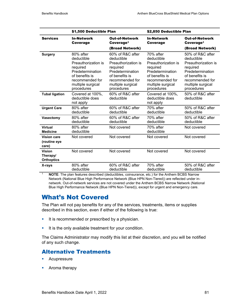|                                                | \$1,500 Deductible Plan                                                                                                                                |                                                                                                                                                               | \$2,850 Deductible Plan                                                                                                                                |                                                                                                                                                               |
|------------------------------------------------|--------------------------------------------------------------------------------------------------------------------------------------------------------|---------------------------------------------------------------------------------------------------------------------------------------------------------------|--------------------------------------------------------------------------------------------------------------------------------------------------------|---------------------------------------------------------------------------------------------------------------------------------------------------------------|
| <b>Services</b>                                | <b>In-Network</b><br>Coverage                                                                                                                          | <b>Out-of-Network</b><br>Coverage <sup>1</sup><br>(Broad Network)                                                                                             | <b>In-Network</b><br><b>Coverage</b>                                                                                                                   | <b>Out-of-Network</b><br>Coverage <sup>1</sup><br>(Broad Network)                                                                                             |
| <b>Surgery</b>                                 | 80% after<br>deductible<br>Preauthorization is<br>required<br>Predetermination<br>of benefits is<br>recommended for<br>multiple surgical<br>procedures | 60% of R&C after<br>deductible<br>Preauthorization is<br>required<br>Predetermination<br>of benefits is<br>recommended for<br>multiple surgical<br>procedures | 70% after<br>deductible<br>Preauthorization is<br>required<br>Predetermination<br>of benefits is<br>recommended for<br>multiple surgical<br>procedures | 50% of R&C after<br>deductible<br>Preauthorization is<br>required<br>Predetermination<br>of benefits is<br>recommended for<br>multiple surgical<br>procedures |
| <b>Tubal ligation</b>                          | Covered at 100%,<br>deductible does<br>not apply                                                                                                       | 60% of R&C after<br>deductible                                                                                                                                | Covered at 100%,<br>deductible does<br>not apply                                                                                                       | 50% of R&C after<br>deductible                                                                                                                                |
| <b>Urgent Care</b>                             | 80% after<br>deductible                                                                                                                                | 60% of R&C after<br>deductible                                                                                                                                | 70% after<br>deductible                                                                                                                                | 50% of R&C after<br>deductible                                                                                                                                |
| <b>Vasectomy</b>                               | 80% after<br>deductible                                                                                                                                | 60% of R&C after<br>deductible                                                                                                                                | 70% after<br>deductible                                                                                                                                | 50% of R&C after<br>deductible                                                                                                                                |
| <b>Virtual</b><br><b>Medicine</b>              | 80% after<br>deductible                                                                                                                                | Not covered                                                                                                                                                   | 70% after<br>deductible                                                                                                                                | Not covered                                                                                                                                                   |
| <b>Vision care</b><br>(routine eye<br>care)    | Not covered                                                                                                                                            | Not covered                                                                                                                                                   | Not covered                                                                                                                                            | Not covered                                                                                                                                                   |
| <b>Vision</b><br>Therapy/<br><b>Orthoptics</b> | Not covered                                                                                                                                            | Not covered                                                                                                                                                   | Not covered                                                                                                                                            | Not covered                                                                                                                                                   |
| X-rays                                         | 80% after<br>deductible                                                                                                                                | 60% of R&C after<br>deductible                                                                                                                                | 70% after<br>deductible                                                                                                                                | 50% of R&C after<br>deductible                                                                                                                                |

<sup>1</sup> **NOTE**: The plan features described (deductibles, coinsurance, etc.) for the Anthem BCBS Narrow Network (National Blue High Performance Network (Blue HPN Non-Tiered)) are reflected under innetwork. Out-of-network services are not covered under the Anthem BCBS Narrow Network (National Blue High Performance Network (Blue HPN Non-Tiered)), except for urgent and emergency care.

# What's Not Covered

The Plan will not pay benefits for any of the services, treatments, items or supplies described in this section, even if either of the following is true:

- It is recommended or prescribed by a physician.
- It is the only available treatment for your condition.

The Claims Administrator may modify this list at their discretion, and you will be notified of any such change.

# Alternative Treatments

- **Acupressure**
- **•** Aroma therapy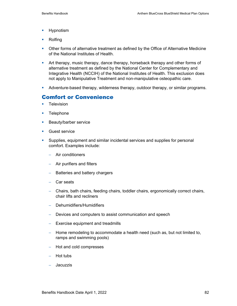- **Hypnotism**
- **Rolfing**
- **Other forms of alternative treatment as defined by the Office of Alternative Medicine** of the National Institutes of Health.
- Art therapy, music therapy, dance therapy, horseback therapy and other forms of alternative treatment as defined by the National Center for Complementary and Integrative Health (NCCIH) of the National Institutes of Health. This exclusion does not apply to Manipulative Treatment and non-manipulative osteopathic care.
- Adventure-based therapy, wilderness therapy, outdoor therapy, or similar programs.

# Comfort or Convenience

- **Television**
- **Telephone**
- **Beauty/barber service**
- **Guest service**
- Supplies, equipment and similar incidental services and supplies for personal comfort. Examples include:
	- − Air conditioners
	- − Air purifiers and filters
	- − Batteries and battery chargers
	- − Car seats
	- − Chairs, bath chairs, feeding chairs, toddler chairs, ergonomically correct chairs, chair lifts and recliners
	- − Dehumidifiers/Humidifiers
	- − Devices and computers to assist communication and speech
	- − Exercise equipment and treadmills
	- − Home remodeling to accommodate a health need (such as, but not limited to, ramps and swimming pools)
	- − Hot and cold compresses
	- − Hot tubs
	- − Jacuzzis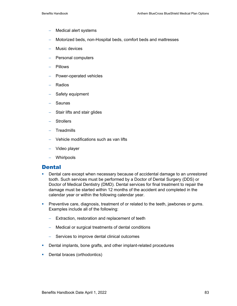- − Medical alert systems
- − Motorized beds, non-Hospital beds, comfort beds and mattresses
- − Music devices
- − Personal computers
- − Pillows
- − Power-operated vehicles
- − Radios
- − Safety equipment
- − Saunas
- Stair lifts and stair glides
- − Strollers
- − Treadmills
- − Vehicle modifications such as van lifts
- − Video player
- − Whirlpools

### **Dental**

- **•** Dental care except when necessary because of accidental damage to an unrestored tooth. Such services must be performed by a Doctor of Dental Surgery (DDS) or Doctor of Medical Dentistry (DMD). Dental services for final treatment to repair the damage must be started within 12 months of the accident and completed in the calendar year or within the following calendar year.
- **Preventive care, diagnosis, treatment of or related to the teeth, jawbones or gums.** Examples include all of the following:
	- − Extraction, restoration and replacement of teeth
	- − Medical or surgical treatments of dental conditions
	- − Services to improve dental clinical outcomes
- **Dental implants, bone grafts, and other implant-related procedures**
- **Dental braces (orthodontics)**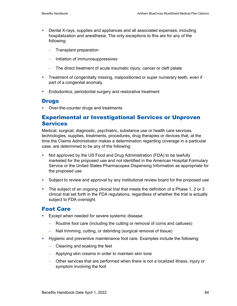- **•** Dental X-rays, supplies and appliances and all associated expenses, including hospitalization and anesthesia. The only exceptions to this are for any of the following:
	- − Transplant preparation
	- − Initiation of immunosuppressives
	- − The direct treatment of acute traumatic injury, cancer or cleft palate
- **Treatment of congenitally missing, malpositioned or super numerary teeth, even if** part of a congenital anomaly.
- **Endodontics, periodontal surgery and restorative treatment**

### **Drugs**

• Over-the-counter drugs and treatments

### Experimental or Investigational Services or Unproven Services

Medical, surgical, diagnostic, psychiatric, substance use or health care services, technologies, supplies, treatments, procedures, drug therapies or devices that, at the time the Claims Administrator makes a determination regarding coverage in a particular case, are determined to be any of the following:

- Not approved by the US Food and Drug Administration (FDA) to be lawfully marketed for the proposed use and not identified in the American Hospital Formulary Service or the United States Pharmacopea Dispensing Information as appropriate for the proposed use
- Subject to review and approval by any institutional review board for the proposed use
- The subject of an ongoing clinical trial that meets the definition of a Phase 1, 2 or 3 clinical trial set forth in the FDA regulations, regardless of whether the trial is actually subject to FDA oversight.

### Foot Care

- Except when needed for severe systemic disease:
	- − Routine foot care (including the cutting or removal of corns and calluses)
	- − Nail trimming, cutting, or debriding (surgical removal of tissue)
- Hygienic and preventive maintenance foot care. Examples include the following:
	- − Cleaning and soaking the feet
	- − Applying skin creams in order to maintain skin tone
	- − Other services that are performed when there is not a localized illness, injury or symptom involving the foot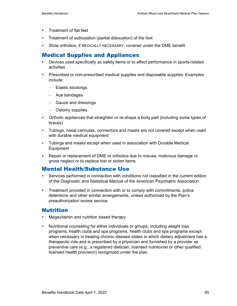- **Treatment of flat feet**
- **Treatment of subluxation (partial dislocation) of the foot**
- Shoe orthotics; if MEDICALLY NECESSARY, covered under the DME benefit

# Medical Supplies and Appliances

- Devices used specifically as safety items or to affect performance in sports-related activities
- **Prescribed or non-prescribed medical supplies and disposable supplies. Examples** include:
	- − Elastic stockings
	- − Ace bandages
	- − Gauze and dressings
	- − Ostomy supplies
- Orthotic appliances that straighten or re-shape a body part (including some types of braces)
- Tubings, nasal cannulas, connectors and masks are not covered except when used with durable medical equipment
- Tubings and masks except when used in association with Durable Medical Equipment
- Repair or replacement of DME or orthotics due to misuse, malicious damage or gross neglect or to replace lost or stolen items

# Mental Health/Substance Use

- Services performed in connection with conditions not classified in the current edition of the Diagnostic and Statistical Manual of the American Psychiatric Association
- **Treatment provided in connection with or to comply with commitments, police** detentions and other similar arrangements, unless authorized by the Plan's preauthorization review service

### Nutrition

- **Megavitamin and nutrition based therapy**
- Nutritional counseling for either individuals or groups, including weight loss programs, health clubs and spa programs, health clubs and spa programs except when necessary in treating chronic disease states in which dietary adjustment has a therapeutic role and is prescribed by a physician and furnished by a provider as preventive care (e.g., a registered dietician, licensed nutritionist or other qualified licensed health provision) recognized under the plan.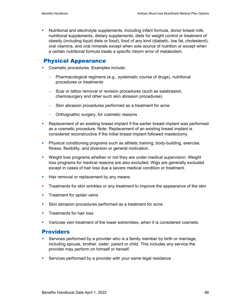Nutritional and electrolyte supplements, including infant formula, donor breast milk, nutritional supplements, dietary supplements, diets for weight control or treatment of obesity (including liquid diets or food), food of any kind (diabetic, low fat, cholesterol), oral vitamins, and oral minerals except when sole source of nutrition or except when a certain nutritional formula treats a specific inborn error of metabolism.

### Physical Appearance

- **Cosmetic procedures. Examples include:** 
	- − Pharmacological regimens (e.g., systematic course of drugs), nutritional procedures or treatments
	- − Scar or tattoo removal or revision procedures (such as salabrasion, chemosurgery and other such skin abrasion procedures)
	- − Skin abrasion procedures performed as a treatment for acne
	- − Orthognathic surgery, for cosmetic reasons
- Replacement of an existing breast implant if the earlier breast implant was performed as a cosmetic procedure. Note: Replacement of an existing breast implant is considered reconstructive if the initial breast implant followed mastectomy.
- Physical conditioning programs such as athletic training, body-building, exercise, fitness, flexibility, and diversion or general motivation.
- **Weight loss programs whether or not they are under medical supervision. Weight Video** loss programs for medical reasons are also excluded. Wigs are generally excluded except in cases of hair loss due a severe medical condition or treatment.
- **Hair removal or replacement by any means**
- **Treatments for skin wrinkles or any treatment to improve the appearance of the skin**
- **Treatment for spider veins**
- Skin abrasion procedures performed as a treatment for acne
- **Treatments for hair loss**
- Varicose vein treatment of the lower extremities, when it is considered cosmetic

### **Providers**

- Services performed by a provider who is a family member by birth or marriage, including spouse, brother, sister, parent or child. This includes any service the provider may perform on himself or herself.
- Services performed by a provider with your same legal residence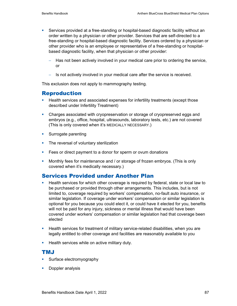- Services provided at a free-standing or hospital-based diagnostic facility without an order written by a physician or other provider. Services that are self-directed to a free-standing or hospital-based diagnostic facility. Services ordered by a physician or other provider who is an employee or representative of a free-standing or hospitalbased diagnostic facility, when that physician or other provider:
	- Has not been actively involved in your medical care prior to ordering the service, or
	- − Is not actively involved in your medical care after the service is received.

This exclusion does not apply to mammography testing.

### Reproduction

- **Health services and associated expenses for infertility treatments (except those** described under Infertility Treatment)
- Charges associated with cryopreservation or storage of cryopreserved eggs and embryos (e.g., office, hospital, ultrasounds, laboratory tests, etc.) are not covered (This is only covered when it's MEDICALLY NECESSARY.)
- **Surrogate parenting**
- The reversal of voluntary sterilization
- **Fees or direct payment to a donor for sperm or ovum donations**
- **Monthly fees for maintenance and / or storage of frozen embryos. (This is only** covered when it's medically necessary.)

### Services Provided under Another Plan

- **Health services for which other coverage is required by federal, state or local law to** be purchased or provided through other arrangements. This includes, but is not limited to, coverage required by workers' compensation, no-fault auto insurance, or similar legislation. If coverage under workers' compensation or similar legislation is optional for you because you could elect it, or could have it elected for you, benefits will not be paid for any injury, sickness or mental illness that would have been covered under workers' compensation or similar legislation had that coverage been elected
- **Health services for treatment of military service-related disabilities, when you are** legally entitled to other coverage and facilities are reasonably available to you
- **Health services while on active military duty.**

### TMJ

- **Surface electromyography**
- **Doppler analysis**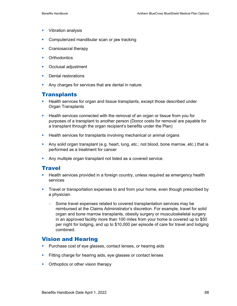- **Vibration analysis**
- Computerized mandibular scan or jaw tracking
- **Craniosacral therapy**
- **•** Orthodontics
- **•** Occlusal adjustment
- **Dental restorations**
- **Any charges for services that are dental in nature.**

### **Transplants**

- **Health services for organ and tissue transplants, except those described under** Organ Transplants
- Health services connected with the removal of an organ or tissue from you for purposes of a transplant to another person (Donor costs for removal are payable for a transplant through the organ recipient's benefits under the Plan)
- **Health services for transplants involving mechanical or animal organs**
- Any solid organ transplant (e.g. heart, lung, etc.; not blood, bone marrow, etc.) that is performed as a treatment for cancer
- Any multiple organ transplant not listed as a covered service.

### **Travel**

- **Health services provided in a foreign country, unless required as emergency health** services
- Travel or transportation expenses to and from your home, even though prescribed by a physician.
	- − Some travel expenses related to covered transplantation services may be reimbursed at the Claims Administrator's discretion. For example, travel for solid organ and bone marrow transplants, obesity surgery or musculoskeletal surgery in an approved facility more than 100 miles from your home is covered up to \$50 per night for lodging, and up to \$10,000 per episode of care for travel and lodging combined.

### Vision and Hearing

- **Purchase cost of eye glasses, contact lenses, or hearing aids**
- Fitting charge for hearing aids, eye glasses or contact lenses
- Orthoptics or other vision therapy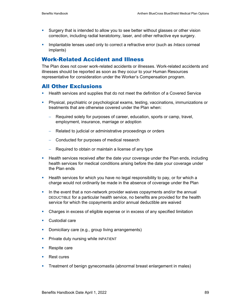- Surgery that is intended to allow you to see better without glasses or other vision correction, including radial keratotomy, laser, and other refractive eye surgery.
- **Implantable lenses used only to correct a refractive error (such as** *Intacs* **corneal** implants)

### Work-Related Accident and Illness

The Plan does not cover work-related accidents or illnesses. Work-related accidents and illnesses should be reported as soon as they occur to your Human Resources representative for consideration under the Worker's Compensation program.

### All Other Exclusions

- **Health services and supplies that do not meet the definition of a Covered Service**
- Physical, psychiatric or psychological exams, testing, vaccinations, immunizations or treatments that are otherwise covered under the Plan when:
	- − Required solely for purposes of career, education, sports or camp, travel, employment, insurance, marriage or adoption
	- − Related to judicial or administrative proceedings or orders
	- − Conducted for purposes of medical research
	- − Required to obtain or maintain a license of any type
- **Health services received after the date your coverage under the Plan ends, including** health services for medical conditions arising before the date your coverage under the Plan ends
- Health services for which you have no legal responsibility to pay, or for which a charge would not ordinarily be made in the absence of coverage under the Plan
- In the event that a non-network provider waives copayments and/or the annual DEDUCTIBLE for a particular health service, no benefits are provided for the health service for which the copayments and/or annual deductible are waived
- Charges in excess of eligible expense or in excess of any specified limitation
- Custodial care
- **-** Domiciliary care (e.g., group living arrangements)
- **Private duty nursing while INPATIENT**
- Respite care
- Rest cures
- Treatment of benign gynecomastia (abnormal breast enlargement in males)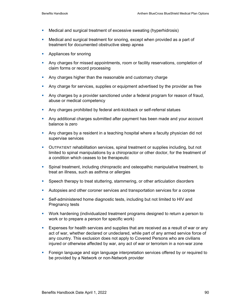- Medical and surgical treatment of excessive sweating (hyperhidrosis)
- Medical and surgical treatment for snoring, except when provided as a part of treatment for documented obstructive sleep apnea
- **Appliances for snoring**
- Any charges for missed appointments, room or facility reservations, completion of claim forms or record processing
- Any charges higher than the reasonable and customary charge
- Any charge for services, supplies or equipment advertised by the provider as free
- **Any charges by a provider sanctioned under a federal program for reason of fraud,** abuse or medical competency
- **Any charges prohibited by federal anti-kickback or self-referral statues**
- **Any additional charges submitted after payment has been made and your account** balance is zero
- Any charges by a resident in a teaching hospital where a faculty physician did not supervise services
- OUTPATIENT rehabilitation services, spinal treatment or supplies including, but not limited to spinal manipulations by a chiropractor or other doctor, for the treatment of a condition which ceases to be therapeutic
- Spinal treatment, including chiropractic and osteopathic manipulative treatment, to treat an illness, such as asthma or allergies
- Speech therapy to treat stuttering, stammering, or other articulation disorders
- Autopsies and other coroner services and transportation services for a corpse
- Self-administered home diagnostic tests, including but not limited to HIV and Pregnancy tests
- Work hardening (individualized treatment programs designed to return a person to work or to prepare a person for specific work)
- **Expenses for health services and supplies that are received as a result of war or any** act of war, whether declared or undeclared, while part of any armed service force of any country. This exclusion does not apply to Covered Persons who are civilians injured or otherwise affected by war, any act of war or terrorism in a non-war zone
- Foreign language and sign language interpretation services offered by or required to be provided by a Network or non-Network provider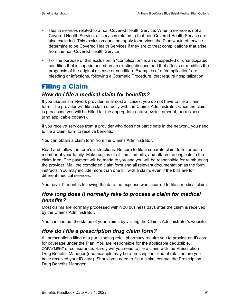- Health services related to a non-Covered Health Service: When a service is not a Covered Health Service, all services related to that non-Covered Health Service are also excluded. This exclusion does not apply to services the Plan would otherwise determine to be Covered Health Services if they are to treat complications that arise from the non-Covered Health Service
- For the purpose of this exclusion, a "complication" is an unexpected or unanticipated condition that is superimposed on an existing disease and that affects or modifies the prognosis of the original disease or condition. Examples of a "complication" are bleeding or infections, following a Cosmetic Procedure, that require hospitalization

# Filing a Claim

# *How do I file a medical claim for benefits?*

If you use an in-network provider, in almost all cases, you do not have to file a claim form. The provider will file a claim directly with the Claims Administrator. Once the claim is processed you will be billed for the appropriate COINSURANCE amount, DEDUCTIBLE (and applicable copays).

If you receive services from a provider who does not participate in the network, you need to file a claim form to receive benefits.

You can obtain a claim form from the Claims Administrator.

Read and follow the form's instructions. Be sure to file a separate claim form for each member of your family. Make copies of all itemized bills, and attach the originals to the claim form. The payment will be made to you and you will be responsible for reimbursing the provider. Mail the completed claim form and all relevant documentation as the form instructs. You may include more than one bill with a claim, even if the bills are for different medical services.

You have 12 months following the date the expense was incurred to file a medical claim.

# *How long does it normally take to process a claim for medical benefits?*

Most claims are normally processed within 30 business days after the claim is received by the Claims Administrator.

You can find out the status of your claims by visiting the Claims Administrator's website.

# *How do I file a prescription drug claim form?*

All prescriptions filled at a participating retail pharmacy require you to provide an ID card for coverage under the Plan. You are responsible for the applicable deductible, COPAYMENT or coinsurance. Rarely will you need to file a claim with the Prescription Drug Benefits Manager (one example may be a prescription filled at retail before you have received your ID card). Should you need to file a claim, contact the Prescription Drug Benefits Manager.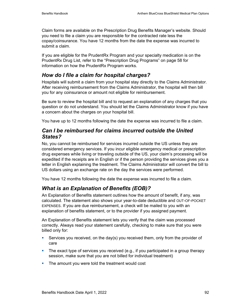Claim forms are available on the Prescription Drug Benefits Manager's website. Should you need to file a claim you are responsible for the contracted rate less the copay/coinsurance. You have 12 months from the date the expense was incurred to submit a claim.

If you are eligible for the PrudentRx Program and your specialty medication is on the PrudentRx Drug List, refer to the "Prescription Drug Programs" on page 58 for information on how the PrudentRx Program works.

# *How do I file a claim for hospital charges?*

Hospitals will submit a claim from your hospital stay directly to the Claims Administrator. After receiving reimbursement from the Claims Administrator, the hospital will then bill you for any coinsurance or amount not eligible for reimbursement.

Be sure to review the hospital bill and to request an explanation of any charges that you question or do not understand. You should let the Claims Administrator know if you have a concern about the charges on your hospital bill.

You have up to 12 months following the date the expense was incurred to file a claim.

# *Can I be reimbursed for claims incurred outside the United States?*

No, you cannot be reimbursed for services incurred outside the US unless they are considered emergency services. If you incur eligible emergency medical or prescription drug expenses while living or traveling outside of the US, your claim's processing will be expedited if the receipts are in English or if the person providing the services gives you a letter in English explaining the treatment. The Claims Administrator will convert the bill to US dollars using an exchange rate on the day the services were performed.

You have 12 months following the date the expense was incurred to file a claim.

# *What is an Explanation of Benefits (EOB)?*

An Explanation of Benefits statement outlines how the amount of benefit, if any, was calculated. The statement also shows your year-to-date deductible and OUT-OF-POCKET EXPENSES. If you are due reimbursement, a check will be mailed to you with an explanation of benefits statement, or to the provider if you assigned payment.

An Explanation of Benefits statement lets you verify that the claim was processed correctly. Always read your statement carefully, checking to make sure that you were billed only for:

- **Services you received, on the day(s) you received them, only from the provider of** care
- The exact type of services you received (e.g., if you participated in a group therapy session, make sure that you are not billed for individual treatment)
- The amount you were told the treatment would cost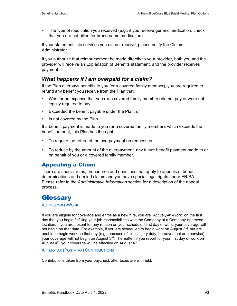The type of medication you received (e.g., if you receive generic medication, check that you are not billed for brand name medication).

If your statement lists services you did not receive, please notify the Claims Administrator.

If you authorize that reimbursement be made directly to your provider, both you and the provider will receive an Explanation of Benefits statement, and the provider receives payment.

# *What happens if I am overpaid for a claim?*

If the Plan overpays benefits to you (or a covered family member), you are required to refund any benefit you receive from the Plan that:

- Was for an expense that you (or a covered family member) did not pay or were not legally required to pay;
- **Exceeded the benefit payable under the Plan; or**
- $\blacksquare$  Is not covered by the Plan.

If a benefit payment is made to you (or a covered family member), which exceeds the benefit amount, this Plan has the right:

- To require the return of the overpayment on request; or
- To reduce by the amount of the overpayment, any future benefit payment made to or on behalf of you or a covered family member.

# Appealing a Claim

There are special rules, procedures and deadlines that apply to appeals of benefit determinations and denied claims and you have special legal rights under ERISA. Please refer to the *Administrative Information* section for a description of the appeal process.

# **Glossary**

ACTIVELY-AT-WORK

If you are eligible for coverage and enroll as a new hire, you are "Actively-At-Work" on the first day that you begin fulfilling your job responsibilities with the Company at a Company-approved location. If you are absent for any reason on your scheduled first day of work, your coverage will not begin on that date. For example, if you are scheduled to begin work on August  $3<sup>rd</sup>$ , but are unable to begin work on that day (e.g., because of illness, jury duty, bereavement or otherwise), your coverage will not begin on August 3rd. Thereafter, if you report for your first day of work on August  $4<sup>th</sup>$ , your coverage will be effective on August  $4<sup>th</sup>$ .

AFTER-TAX (POST-TAX) CONTRIBUTIONS

Contributions taken from your paycheck after taxes are withheld.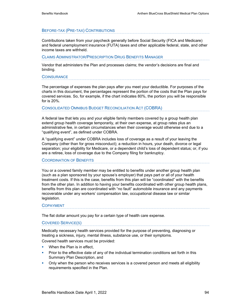#### BEFORE-TAX (PRE-TAX) CONTRIBUTIONS

Contributions taken from your paycheck generally before Social Security (FICA and Medicare) and federal unemployment insurance (FUTA) taxes and other applicable federal, state, and other income taxes are withheld.

#### CLAIMS ADMINISTRATOR/PRESCRIPTION DRUG BENEFITS MANAGER

Vendor that administers the Plan and processes claims; the vendor's decisions are final and binding.

#### **COINSURANCE**

The percentage of expenses the plan pays after you meet your deductible. For purposes of the charts in this document, the percentages represent the portion of the costs that the Plan pays for covered services. So, for example, if the chart indicates 80%, the portion you will be responsible for is 20%.

#### CONSOLIDATED OMNIBUS BUDGET RECONCILIATION ACT (COBRA)

A federal law that lets you and your eligible family members covered by a group health plan extend group health coverage temporarily, at their own expense, at group rates plus an administrative fee, in certain circumstances when their coverage would otherwise end due to a "qualifying event", as defined under COBRA.

A "qualifying event" under COBRA includes loss of coverage as a result of your leaving the Company (other than for gross misconduct); a reduction in hours, your death, divorce or legal separation; your eligibility for Medicare, or a dependent child's loss of dependent status; or, if you are a retiree, loss of coverage due to the Company filing for bankruptcy.

#### COORDINATION OF BENEFITS

You or a covered family member may be entitled to benefits under another group health plan (such as a plan sponsored by your spouse's employer) that pays part or all of your health treatment costs. If this is the case, benefits from this plan will be "coordinated" with the benefits from the other plan. In addition to having your benefits coordinated with other group health plans, benefits from this plan are coordinated with "no fault" automobile insurance and any payments recoverable under any workers' compensation law, occupational disease law or similar legislation.

#### COPAYMENT

The flat dollar amount you pay for a certain type of health care expense.

#### COVERED SERVICE(S)

Medically necessary health services provided for the purpose of preventing, diagnosing or treating a sickness, injury, mental illness, substance use, or their symptoms.

Covered health services must be provided:

- When the Plan is in effect,
- Prior to the effective date of any of the individual termination conditions set forth in this Summary Plan Description, and
- **•** Only when the person who receives services is a covered person and meets all eligibility requirements specified in the Plan.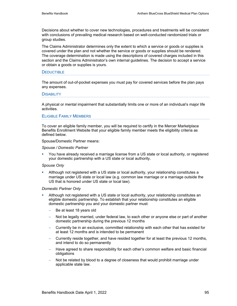Decisions about whether to cover new technologies, procedures and treatments will be consistent with conclusions of prevailing medical research based on well-conducted randomized trials or group studies.

The Claims Administrator determines only the extent to which a service or goods or supplies is covered under the plan and not whether the service or goods or supplies should be rendered. The coverage determination is made using the descriptions of covered charges included in this section and the Claims Administrator's own internal guidelines. The decision to accept a service or obtain a goods or supplies is yours.

#### **DEDUCTIBLE**

The amount of out-of-pocket expenses you must pay for covered services before the plan pays any expenses.

#### **DISABILITY**

A physical or mental impairment that substantially limits one or more of an individual's major life activities.

#### ELIGIBLE FAMILY MEMBERS

To cover an eligible family member, you will be required to certify in the Mercer Marketplace Benefits Enrollment Website that your eligible family member meets the eligibility criteria as defined below.

Spouse/Domestic Partner means:

*Spouse / Domestic Partner* 

 You have already received a marriage license from a US state or local authority, or registered your domestic partnership with a US state or local authority.

#### *Spouse Only*

 Although not registered with a US state or local authority, your relationship constitutes a marriage under US state or local law (e.g. common law marriage or a marriage outside the US that is honored under US state or local law).

#### *Domestic Partner Only*

- Although not registered with a US state or local authority, your relationship constitutes an eligible domestic partnership. To establish that your relationship constitutes an eligible domestic partnership you and your domestic partner must:
	- Be at least 18 years old
	- − Not be legally married, under federal law, to each other or anyone else or part of another domestic partnership during the previous 12 months
	- − Currently be in an exclusive, committed relationship with each other that has existed for at least 12 months and is intended to be permanent
	- − Currently reside together, and have resided together for at least the previous 12 months, and intend to do so permanently
	- − Have agreed to share responsibility for each other's common welfare and basic financial obligations
	- Not be related by blood to a degree of closeness that would prohibit marriage under applicable state law.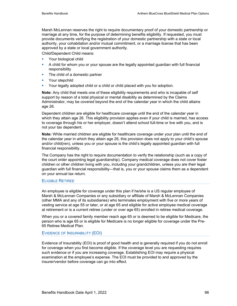Marsh McLennan reserves the right to require documentary proof of your domestic partnership or marriage at any time, for the purpose of determining benefits eligibility. If requested, you must provide documents verifying the registration of your domestic partnership with a state or local authority, your cohabitation and/or mutual commitment, or a marriage license that has been approved by a state or local government authority.

Child/Dependent Child means:

- **Your biological child**
- A child for whom you or your spouse are the legally appointed guardian with full financial responsibility
- The child of a domestic partner
- **•** Your stepchild
- Your legally adopted child or a child or child placed with you for adoption.

**Note:** Any child that meets one of these eligibility requirements and who is incapable of self support by reason of a total physical or mental disability as determined by the Claims Administrator, may be covered beyond the end of the calendar year in which the child attains age 26.

Dependent children are eligible for healthcare coverage until the end of the calendar year in which they attain age 26. This eligibility provision applies even if your child is married, has access to coverage through his or her employer, doesn't attend school full-time or live with you, and is not your tax dependent.

**Note:** While married children are eligible for healthcare coverage under your plan until the end of the calendar year in which they attain age 26, this provision does not apply to your child's spouse and/or child(ren), unless you or your spouse is the child's legally appointed guardian with full financial responsibility.

The Company has the right to require documentation to verify the relationship (such as a copy of the court order appointing legal guardianship). Company medical coverage does not cover foster children or other children living with you, including your grandchildren, unless you are their legal guardian with full financial responsibility—that is, you or your spouse claims them as a dependent on your annual tax return.

#### ELIGIBLE RETIREE

An employee is eligible for coverage under this plan if he/she is a US regular employee of Marsh & McLennan Companies or any subsidiary or affiliate of Marsh & McLennan Companies (other MMA and any of its subsidiaries) who terminates employment with five or more years of vesting service at age 55 or later, or at age 65 and eligible for active employee medical coverage at retirement or is a current retiree (under or over age 65) enrolled in retiree medical coverage.

When you or a covered family member reach age 65 or is deemed to be eligible for Medicare, the person who is age 65 or is eligible for Medicare is no longer eligible for coverage under the Pre-65 Retiree Medical Plan.

#### EVIDENCE OF INSURABILITY (EOI)

Evidence of Insurability (EOI) is proof of good health and is generally required if you do not enroll for coverage when you first become eligible. If the coverage level you are requesting requires such evidence or if you are increasing coverage. Establishing EOI may require a physical examination at the employee's expense. The EOI must be provided to and approved by the insurer/vendor before coverage can go into effect.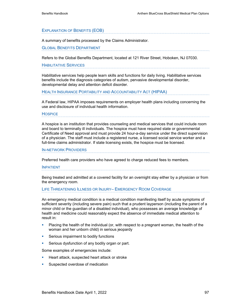#### EXPLANATION OF BENEFITS (EOB)

A summary of benefits processed by the Claims Administrator.

#### GLOBAL BENEFITS DEPARTMENT

Refers to the Global Benefits Department, located at 121 River Street, Hoboken, NJ 07030.

#### HABILITATIVE SERVICES

Habilitative services help people learn skills and functions for daily living. Habilitative services benefits include the diagnosis categories of autism, pervasive developmental disorder, developmental delay and attention deficit disorder.

#### HEALTH INSURANCE PORTABILITY AND ACCOUNTABILITY ACT (HIPAA)

A Federal law, HIPAA imposes requirements on employer health plans including concerning the use and disclosure of individual health information.

#### **HOSPICE**

A hospice is an institution that provides counseling and medical services that could include room and board to terminally ill individuals. The hospice must have required state or governmental Certificate of Need approval and must provide 24 hour-a-day service under the direct supervision of a physician. The staff must include a registered nurse, a licensed social service worker and a full-time claims administrator. If state licensing exists, the hospice must be licensed.

#### IN-NETWORK PROVIDERS

Preferred health care providers who have agreed to charge reduced fees to members.

#### INPATIENT

Being treated and admitted at a covered facility for an overnight stay either by a physician or from the emergency room.

#### LIFE THREATENING ILLNESS OR INJURY– EMERGENCY ROOM COVERAGE

An emergency medical condition is a medical condition manifesting itself by acute symptoms of sufficient severity (including severe pain) such that a prudent layperson (including the parent of a minor child or the guardian of a disabled individual), who possesses an average knowledge of health and medicine could reasonably expect the absence of immediate medical attention to result in:

- **Placing the health of the individual (or, with respect to a pregnant woman, the health of the** woman and her unborn child) in serious jeopardy
- **Serious impairment to bodily functions**
- **Serious dysfunction of any bodily organ or part.**

Some examples of emergencies include:

- **Heart attack, suspected heart attack or stroke**
- Suspected overdose of medication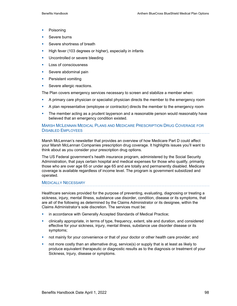- **Poisoning**
- Severe burns
- Severe shortness of breath
- High fever (103 degrees or higher), especially in infants
- **Uncontrolled or severe bleeding**
- **Loss of consciousness**
- **Severe abdominal pain**
- **•** Persistent vomiting
- Severe allergic reactions.

The Plan covers emergency services necessary to screen and stabilize a member when:

- **A** primary care physician or specialist physician directs the member to the emergency room
- A plan representative (employee or contractor) directs the member to the emergency room
- **The member acting as a prudent layperson and a reasonable person would reasonably have** believed that an emergency condition existed.

#### MARSH MCLENNAN MEDICAL PLANS AND MEDICARE PRESCRIPTION DRUG COVERAGE FOR DISABLED EMPLOYEES

Marsh McLennan's newsletter that provides an overview of how Medicare Part D could affect your Marsh McLennan Companies prescription drug coverage. It highlights issues you'll want to think about as you consider your prescription drug options.

The US Federal government's health insurance program, administered by the Social Security Administration, that pays certain hospital and medical expenses for those who qualify, primarily those who are over age 65 or under age 65 and are totally and permanently disabled. Medicare coverage is available regardless of income level. The program is government subsidized and operated.

#### MEDICALLY NECESSARY

Healthcare services provided for the purpose of preventing, evaluating, diagnosing or treating a sickness, injury, mental Illness, substance use disorder, condition, disease or its symptoms, that are all of the following as determined by the Claims Administrator or its designee, within the Claims Administrator's sole discretion. The services must be:

- **•** in accordance with Generally Accepted Standards of Medical Practice;
- clinically appropriate, in terms of type, frequency, extent, site and duration, and considered effective for your sickness, injury, mental illness, substance use disorder disease or its symptoms;
- not mainly for your convenience or that of your doctor or other health care provider; and
- **not more costly than an alternative drug, service(s) or supply that is at least as likely to** produce equivalent therapeutic or diagnostic results as to the diagnosis or treatment of your Sickness, Injury, disease or symptoms.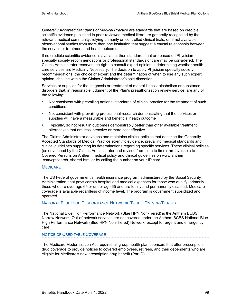*Generally Accepted Standards of Medical Practice* are standards that are based on credible scientific evidence published in peer-reviewed medical literature generally recognized by the relevant medical community, relying primarily on controlled clinical trials, or, if not available, observational studies from more than one institution that suggest a causal relationship between the service or treatment and health outcomes.

If no credible scientific evidence is available, then standards that are based on Physician specialty society recommendations or professional standards of care may be considered. The Claims Administrator reserves the right to consult expert opinion in determining whether health care services are Medically Necessary. The decision to apply Physician specialty society recommendations, the choice of expert and the determination of when to use any such expert opinion, shall be within the Claims Administrator's sole discretion.

Services or supplies for the diagnosis or treatment of mental illness, alcoholism or substance disorders that, in reasonable judgment of the Plan's preauthorization review service, are any of the following:

- Not consistent with prevailing national standards of clinical practice for the treatment of such conditions
- **Not consistent with prevailing professional research demonstrating that the services or** supplies will have a measurable and beneficial health outcome
- **Typically, do not result in outcomes demonstrably better than other available treatment** alternatives that are less intensive or more cost effective

The Claims Administrator develops and maintains clinical policies that describe the Generally Accepted Standards of Medical Practice scientific evidence, prevailing medical standards and clinical guidelines supporting its determinations regarding specific services. These clinical policies (as developed by the Claims Administrator and revised from time to time), are available to Covered Persons on Anthem medical policy and clinical guidelines on www.anthem .com/cptsearch\_shared.html or by calling the number on your ID card.

#### **MEDICARE**

The US Federal government's health insurance program, administered by the Social Security Administration, that pays certain hospital and medical expenses for those who qualify, primarily those who are over age 65 or under age 65 and are totally and permanently disabled. Medicare coverage is available regardless of income level. The program is government subsidized and operated.

#### NATIONAL BLUE HIGH PERFORMANCE NETWORK (BLUE HPN NON-TIERED)

The National Blue High Performance Network (Blue HPN Non-Tiered) is the Anthem BCBS Narrow Network. Out-of-network services are not covered under the Anthem BCBS National Blue High Performance Network (Blue HPN Non-Tiered) Network, except for urgent and emergency care.

#### NOTICE OF CREDITABLE COVERAGE

The Medicare Modernization Act requires all group health plan sponsors that offer prescription drug coverage to provide notices to covered employees, retirees, and their dependents who are eligible for Medicare's new prescription drug benefit (Part D).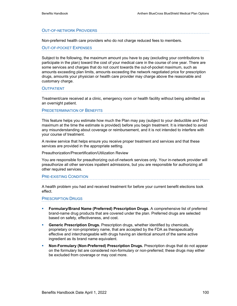#### OUT-OF-NETWORK PROVIDERS

Non-preferred health care providers who do not charge reduced fees to members.

OUT-OF-POCKET EXPENSES

Subject to the following, the maximum amount you have to pay (excluding your contributions to participate in the plan) toward the cost of your medical care in the course of one year. There are some services and charges that do not count towards the out-of-pocket maximum, such as amounts exceeding plan limits, amounts exceeding the network negotiated price for prescription drugs, amounts your physician or health care provider may charge above the reasonable and customary charge.

#### **OUTPATIENT**

Treatment/care received at a clinic, emergency room or health facility without being admitted as an overnight patient.

#### PREDETERMINATION OF BENEFITS

This feature helps you estimate how much the Plan may pay (subject to your deductible and Plan maximum at the time the estimate is provided) before you begin treatment. It is intended to avoid any misunderstanding about coverage or reimbursement, and it is not intended to interfere with your course of treatment.

A review service that helps ensure you receive proper treatment and services and that these services are provided in the appropriate setting.

Preauthorization/Precertification/Utilization Review

You are responsible for preauthorizing out-of-network services only. Your in-network provider will preauthorize all other services inpatient admissions, but you are responsible for authorizing all other required services.

#### PRE-EXISTING CONDITION

A health problem you had and received treatment for before your current benefit elections took effect.

#### PRESCRIPTION DRUGS

- **Formulary/Brand Name (Preferred) Prescription Drugs.** A comprehensive list of preferred brand-name drug products that are covered under the plan. Preferred drugs are selected based on safety, effectiveness, and cost.
- **Generic Prescription Drugs.** Prescription drugs, whether identified by chemicals, proprietary or non-proprietary name, that are accepted by the FDA as therapeutically effective and interchangeable with drugs having an identical amount of the same active ingredient as its brand name equivalent.
- **Non-Formulary (Non-Preferred) Prescription Drugs.** Prescription drugs that do not appear on the formulary list are considered non-formulary or non-preferred; these drugs may either be excluded from coverage or may cost more.